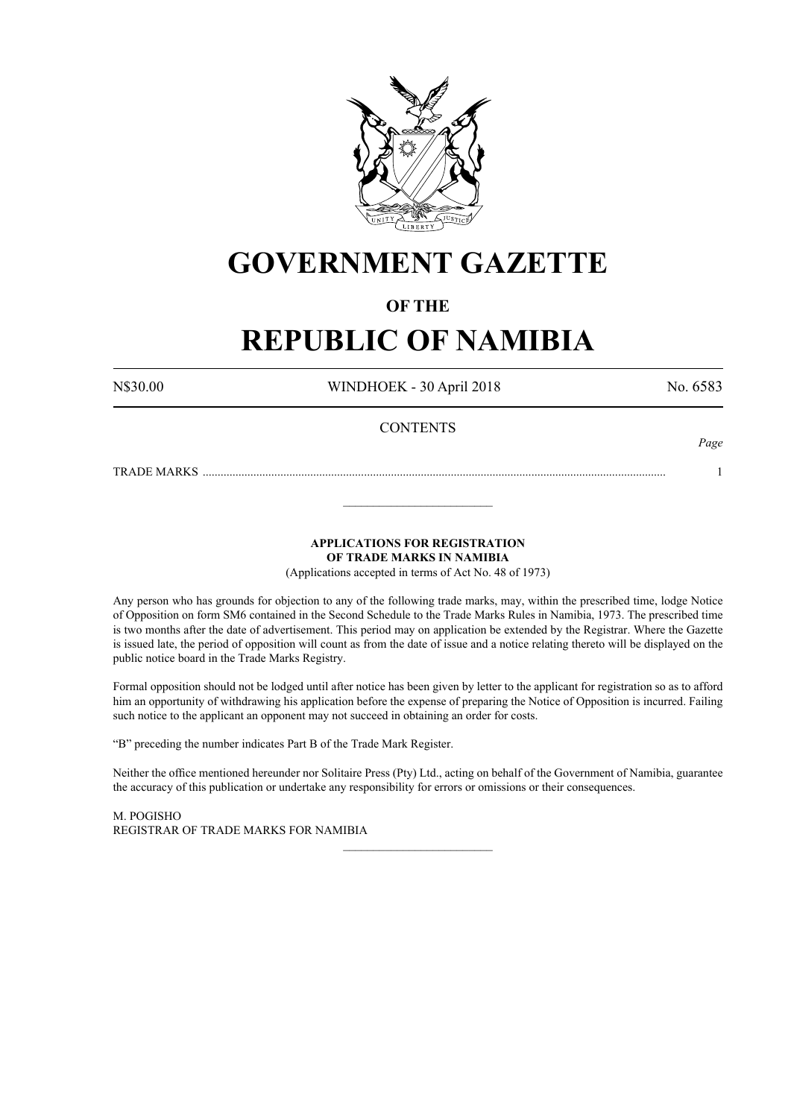

# **GOVERNMENT GAZETTE**

# **OF THE**

# **REPUBLIC OF NAMIBIA**

N\$30.00 WINDHOEK - 30 April 2018 No. 6583

*Page*

# **CONTENTS**

TRADE MARKS ........................................................................................................................................................... 1

**APPLICATIONS FOR REGISTRATION**

**OF TRADE MARKS IN NAMIBIA**

\_\_\_\_\_\_\_\_\_\_\_\_\_\_\_\_\_\_\_\_\_\_\_\_\_

(Applications accepted in terms of Act No. 48 of 1973)

Any person who has grounds for objection to any of the following trade marks, may, within the prescribed time, lodge Notice of Opposition on form SM6 contained in the Second Schedule to the Trade Marks Rules in Namibia, 1973. The prescribed time is two months after the date of advertisement. This period may on application be extended by the Registrar. Where the Gazette is issued late, the period of opposition will count as from the date of issue and a notice relating thereto will be displayed on the public notice board in the Trade Marks Registry.

Formal opposition should not be lodged until after notice has been given by letter to the applicant for registration so as to afford him an opportunity of withdrawing his application before the expense of preparing the Notice of Opposition is incurred. Failing such notice to the applicant an opponent may not succeed in obtaining an order for costs.

"B" preceding the number indicates Part B of the Trade Mark Register.

Neither the office mentioned hereunder nor Solitaire Press (Pty) Ltd., acting on behalf of the Government of Namibia, guarantee the accuracy of this publication or undertake any responsibility for errors or omissions or their consequences.

\_\_\_\_\_\_\_\_\_\_\_\_\_\_\_\_\_\_\_\_\_\_\_\_\_

M. PogIsho REGISTRAR OF TRADE MARKS FOR NAMIBIA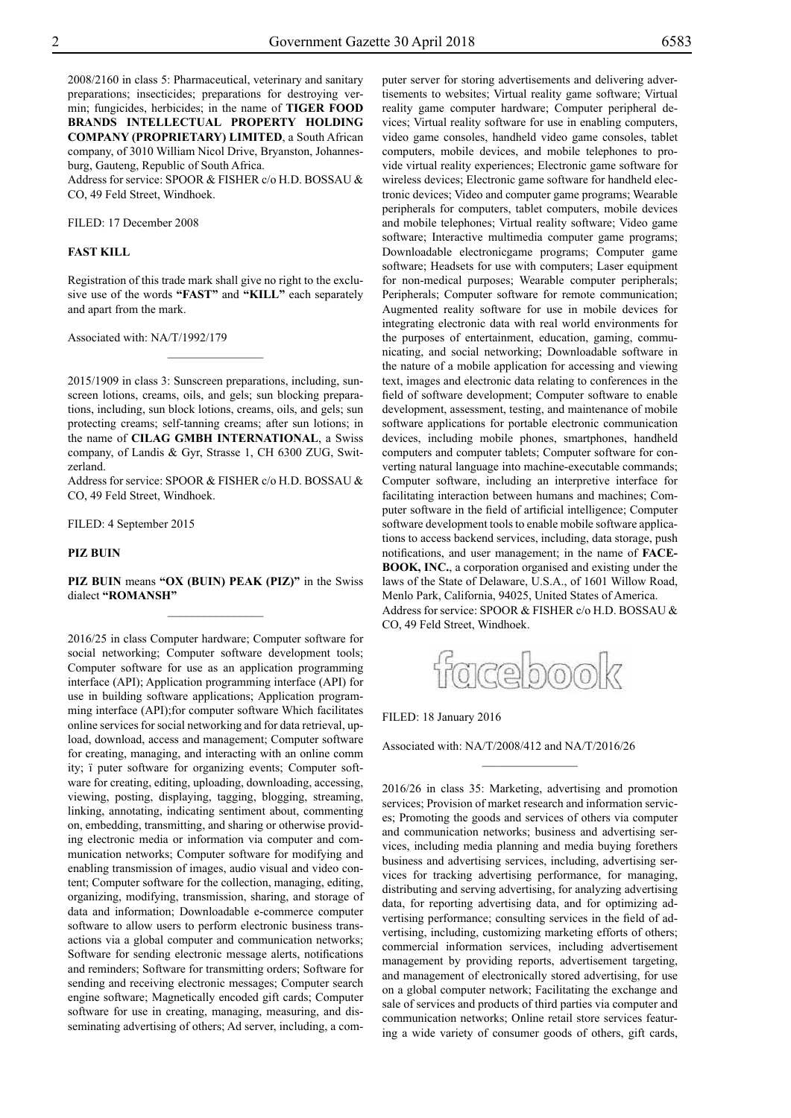2008/2160 in class 5: Pharmaceutical, veterinary and sanitary preparations; insecticides; preparations for destroying vermin; fungicides, herbicides; in the name of **TIGER FOOD BRANDS INTELLECTUAL PROPERTY HOLDING COMPANY (PROPRIETARY) LIMITED**, a South African company, of 3010 William Nicol Drive, Bryanston, Johannesburg, Gauteng, Republic of South Africa.

Address for service: SPOOR & FISHER c/o H.D. BOSSAU & Co, 49 Feld Street, Windhoek.

Filed: 17 December 2008

#### **FAST KILL**

Registration of this trade mark shall give no right to the exclusive use of the words **"FAST"** and **"KILL"** each separately and apart from the mark.

 $\overline{\phantom{a}}$  , where  $\overline{\phantom{a}}$ 

Associated with: NA/T/1992/179

2015/1909 in class 3: Sunscreen preparations, including, sunscreen lotions, creams, oils, and gels; sun blocking preparations, including, sun block lotions, creams, oils, and gels; sun protecting creams; self-tanning creams; after sun lotions; in the name of **CILAG GMBH INTERNATIONAL**, a Swiss company, of Landis & Gyr, Strasse 1, CH 6300 ZUG, Switzerland.

Address for service: SPOOR & FISHER c/o H.D. BOSSAU & Co, 49 Feld Street, Windhoek.

FILED: 4 September 2015

#### **PIZ BUIN**

**PIZ BUIN** means **"OX (Buin) Peak (piz)"** in the Swiss dialect **"romansh"**  $\frac{1}{2}$ 

2016/25 in class Computer hardware; Computer software for social networking; Computer software development tools; Computer software for use as an application programming interface (API); Application programming interface (API) for use in building software applications; Application programming interface (API);for computer software Which facilitates online services for social networking and for data retrieval, upload, download, access and management; Computer software for creating, managing, and interacting with an online comm ity; ï puter software for organizing events; Computer software for creating, editing, uploading, downloading, accessing, viewing, posting, displaying, tagging, blogging, streaming, linking, annotating, indicating sentiment about, commenting on, embedding, transmitting, and sharing or otherwise providing electronic media or information via computer and communication networks; Computer software for modifying and enabling transmission of images, audio visual and video content; Computer software for the collection, managing, editing, organizing, modifying, transmission, sharing, and storage of data and information; Downloadable e-commerce computer software to allow users to perform electronic business transactions via a global computer and communication networks; Software for sending electronic message alerts, notifications and reminders; Software for transmitting orders; Software for sending and receiving electronic messages; Computer search engine software; Magnetically encoded gift cards; Computer software for use in creating, managing, measuring, and disseminating advertising of others; Ad server, including, a com-

puter server for storing advertisements and delivering advertisements to websites; Virtual reality game software; Virtual reality game computer hardware; Computer peripheral devices; Virtual reality software for use in enabling computers, video game consoles, handheld video game consoles, tablet computers, mobile devices, and mobile telephones to provide virtual reality experiences; Electronic game software for wireless devices; Electronic game software for handheld electronic devices; Video and computer game programs; Wearable peripherals for computers, tablet computers, mobile devices and mobile telephones; Virtual reality software; Video game software; Interactive multimedia computer game programs; Downloadable electronicgame programs; Computer game software; Headsets for use with computers; Laser equipment for non-medical purposes; Wearable computer peripherals; Peripherals; Computer software for remote communication; Augmented reality software for use in mobile devices for integrating electronic data with real world environments for the purposes of entertainment, education, gaming, communicating, and social networking; Downloadable software in the nature of a mobile application for accessing and viewing text, images and electronic data relating to conferences in the field of software development; Computer software to enable development, assessment, testing, and maintenance of mobile software applications for portable electronic communication devices, including mobile phones, smartphones, handheld computers and computer tablets; Computer software for converting natural language into machine-executable commands; Computer software, including an interpretive interface for facilitating interaction between humans and machines; Computer software in the field of artificial intelligence; Computer software development tools to enable mobile software applications to access backend services, including, data storage, push notifications, and user management; in the name of **FACE-BOOK, INC.**, a corporation organised and existing under the laws of the State of Delaware, U.S.A., of 1601 Willow Road, Menlo Park, California, 94025, United States of America. Address for service: SPOOR & FISHER c/o H.D. BOSSAU & Co, 49 Feld Street, Windhoek.



 $\frac{1}{2}$ 

FILED: 18 January 2016

Associated with: NA/T/2008/412 and NA/T/2016/26

2016/26 in class 35: Marketing, advertising and promotion services; Provision of market research and information services; Promoting the goods and services of others via computer and communication networks; business and advertising services, including media planning and media buying forethers business and advertising services, including, advertising services for tracking advertising performance, for managing, distributing and serving advertising, for analyzing advertising data, for reporting advertising data, and for optimizing advertising performance; consulting services in the field of advertising, including, customizing marketing efforts of others; commercial information services, including advertisement management by providing reports, advertisement targeting, and management of electronically stored advertising, for use on a global computer network; Facilitating the exchange and sale of services and products of third parties via computer and communication networks; Online retail store services featuring a wide variety of consumer goods of others, gift cards,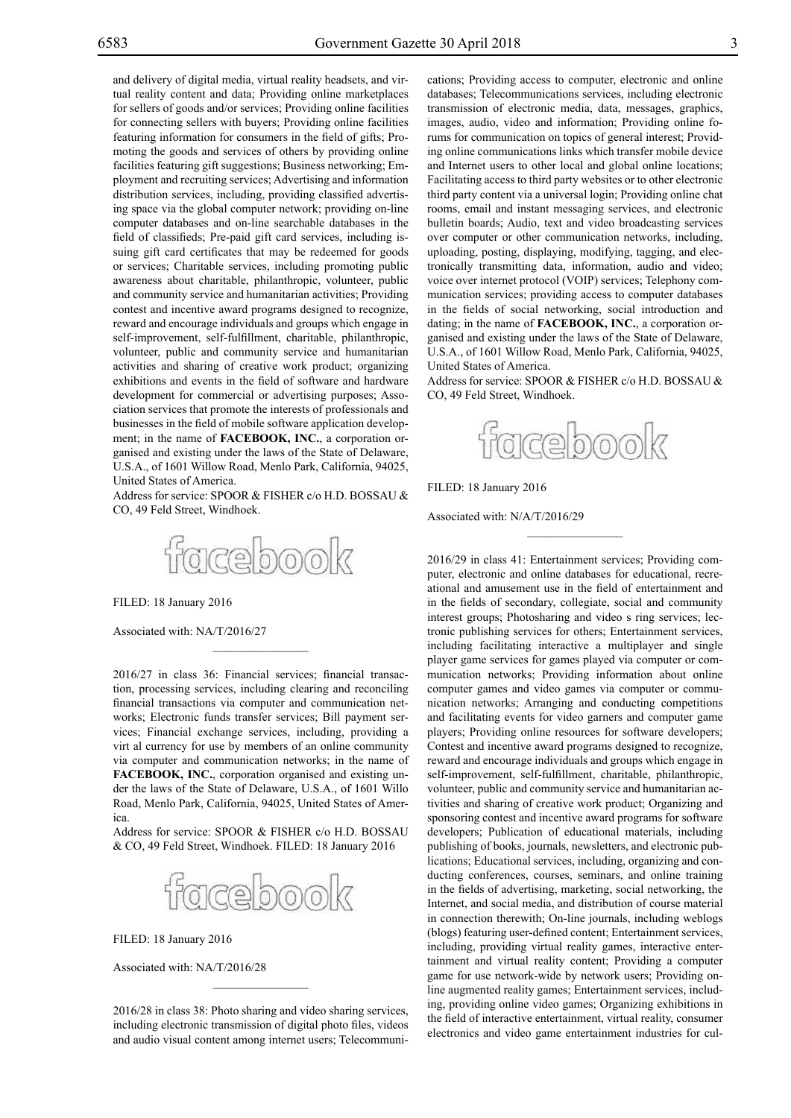and delivery of digital media, virtual reality headsets, and virtual reality content and data; Providing online marketplaces for sellers of goods and/or services; Providing online facilities for connecting sellers with buyers; Providing online facilities featuring information for consumers in the field of gifts; Promoting the goods and services of others by providing online facilities featuring gift suggestions; Business networking; Employment and recruiting services; Advertising and information distribution services, including, providing classified advertising space via the global computer network; providing on-line computer databases and on-line searchable databases in the field of classifieds; Pre-paid gift card services, including issuing gift card certificates that may be redeemed for goods or services; Charitable services, including promoting public awareness about charitable, philanthropic, volunteer, public and community service and humanitarian activities; Providing contest and incentive award programs designed to recognize, reward and encourage individuals and groups which engage in self-improvement, self-fulfillment, charitable, philanthropic, volunteer, public and community service and humanitarian activities and sharing of creative work product; organizing exhibitions and events in the field of software and hardware development for commercial or advertising purposes; Association services that promote the interests of professionals and businesses in the field of mobile software application development; in the name of **FACEBOOK, INC.**, a corporation organised and existing under the laws of the State of Delaware, U.S.A., of 1601 Willow Road, Menlo Park, California, 94025, United States of America.

Address for service: SPOOR & FISHER c/o H.D. BOSSAU & Co, 49 Feld Street, Windhoek.



FILED: 18 January 2016

Associated with: NA/T/2016/27

2016/27 in class 36: Financial services; financial transaction, processing services, including clearing and reconciling financial transactions via computer and communication networks; Electronic funds transfer services; Bill payment services; Financial exchange services, including, providing a virt al currency for use by members of an online community via computer and communication networks; in the name of **FACEBOOK, INC.**, corporation organised and existing under the laws of the State of Delaware, U.S.A., of 1601 Willo Road, Menlo Park, California, 94025, United States of America.

Address for service: SPOOR & FISHER c/o H.D. BOSSAU & CO, 49 Feld Street, Windhoek. FILED: 18 January 2016



Filed: 18 January 2016

Associated with: NA/T/2016/28

2016/28 in class 38: Photo sharing and video sharing services, including electronic transmission of digital photo files, videos and audio visual content among internet users; Telecommunications; Providing access to computer, electronic and online databases; Telecommunications services, including electronic transmission of electronic media, data, messages, graphics, images, audio, video and information; Providing online forums for communication on topics of general interest; Providing online communications links which transfer mobile device and Internet users to other local and global online locations; Facilitating access to third party websites or to other electronic third party content via a universal login; Providing online chat rooms, email and instant messaging services, and electronic bulletin boards; Audio, text and video broadcasting services over computer or other communication networks, including, uploading, posting, displaying, modifying, tagging, and electronically transmitting data, information, audio and video; voice over internet protocol (VOIP) services; Telephony communication services; providing access to computer databases in the fields of social networking, social introduction and dating; in the name of **FACEBOOK, INC.**, a corporation organised and existing under the laws of the State of Delaware, U.S.A., of 1601 Willow Road, Menlo Park, California, 94025, United States of America.

Address for service: SPOOR & FISHER c/o H.D. BOSSAU & Co, 49 Feld Street, Windhoek.



 $\frac{1}{2}$ 

Filed: 18 January 2016

Associated with: N/A/T/2016/29

2016/29 in class 41: Entertainment services; Providing computer, electronic and online databases for educational, recreational and amusement use in the field of entertainment and in the fields of secondary, collegiate, social and community interest groups; Photosharing and video s ring services; lectronic publishing services for others; Entertainment services, including facilitating interactive a multiplayer and single player game services for games played via computer or communication networks; Providing information about online computer games and video games via computer or communication networks; Arranging and conducting competitions and facilitating events for video garners and computer game players; Providing online resources for software developers; Contest and incentive award programs designed to recognize, reward and encourage individuals and groups which engage in self-improvement, self-fulfillment, charitable, philanthropic, volunteer, public and community service and humanitarian activities and sharing of creative work product; Organizing and sponsoring contest and incentive award programs for software developers; Publication of educational materials, including publishing of books, journals, newsletters, and electronic publications; Educational services, including, organizing and conducting conferences, courses, seminars, and online training in the fields of advertising, marketing, social networking, the Internet, and social media, and distribution of course material in connection therewith; On-line journals, including weblogs (blogs) featuring user-defined content; Entertainment services, including, providing virtual reality games, interactive entertainment and virtual reality content; Providing a computer game for use network-wide by network users; Providing online augmented reality games; Entertainment services, including, providing online video games; Organizing exhibitions in the field of interactive entertainment, virtual reality, consumer electronics and video game entertainment industries for cul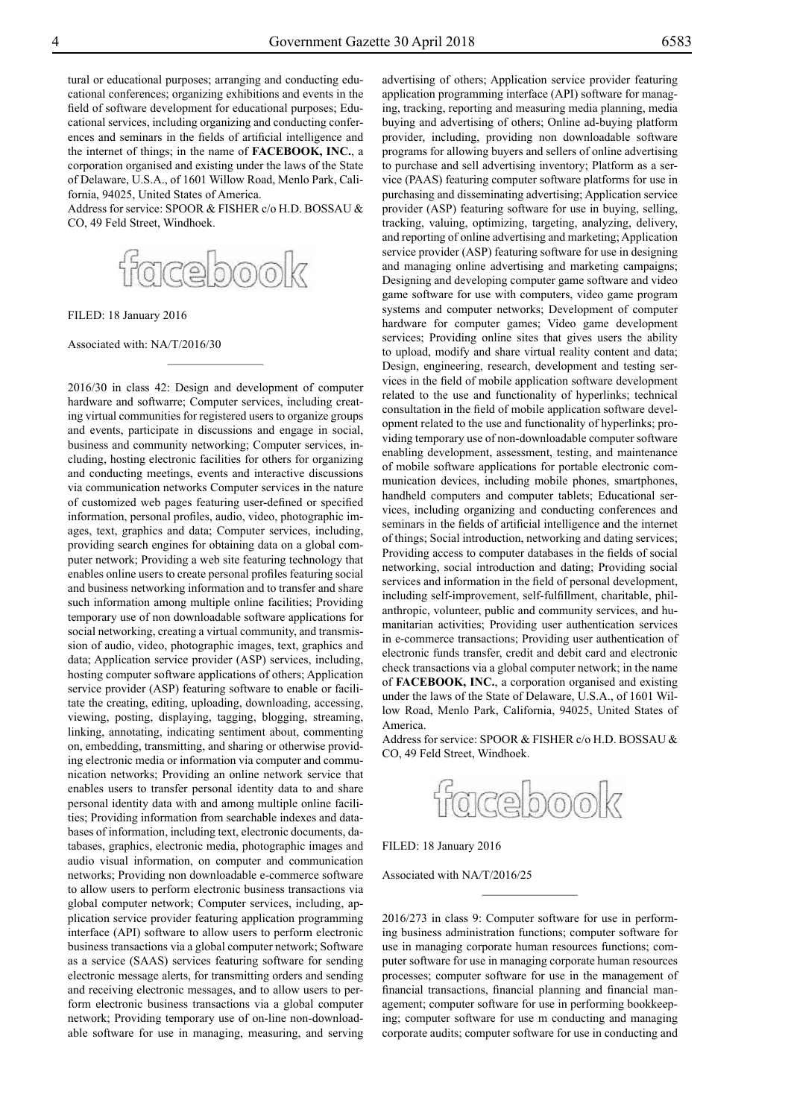tural or educational purposes; arranging and conducting educational conferences; organizing exhibitions and events in the field of software development for educational purposes; Educational services, including organizing and conducting conferences and seminars in the fields of artificial intelligence and the internet of things; in the name of **FACEBOOK, INC.**, a corporation organised and existing under the laws of the State of Delaware, U.S.A., of 1601 Willow Road, Menlo Park, California, 94025, United States of America.

Address for service: SPOOR & FISHER c/o H.D. BOSSAU & CO, 49 Feld Street, Windhoek.



 $\frac{1}{2}$ 

FILED: 18 January 2016

Associated with: NA/T/2016/30

2016/30 in class 42: Design and development of computer hardware and softwarre; Computer services, including creating virtual communities for registered users to organize groups and events, participate in discussions and engage in social, business and community networking; Computer services, including, hosting electronic facilities for others for organizing and conducting meetings, events and interactive discussions via communication networks Computer services in the nature of customized web pages featuring user-defined or specified information, personal profiles, audio, video, photographic images, text, graphics and data; Computer services, including, providing search engines for obtaining data on a global computer network; Providing a web site featuring technology that enables online users to create personal profiles featuring social and business networking information and to transfer and share such information among multiple online facilities; Providing temporary use of non downloadable software applications for social networking, creating a virtual community, and transmission of audio, video, photographic images, text, graphics and data; Application service provider (ASP) services, including, hosting computer software applications of others; Application service provider (ASP) featuring software to enable or facilitate the creating, editing, uploading, downloading, accessing, viewing, posting, displaying, tagging, blogging, streaming, linking, annotating, indicating sentiment about, commenting on, embedding, transmitting, and sharing or otherwise providing electronic media or information via computer and communication networks; Providing an online network service that enables users to transfer personal identity data to and share personal identity data with and among multiple online facilities; Providing information from searchable indexes and databases of information, including text, electronic documents, databases, graphics, electronic media, photographic images and audio visual information, on computer and communication networks; Providing non downloadable e-commerce software to allow users to perform electronic business transactions via global computer network; Computer services, including, application service provider featuring application programming interface (API) software to allow users to perform electronic business transactions via a global computer network; Software as a service (SAAS) services featuring software for sending electronic message alerts, for transmitting orders and sending and receiving electronic messages, and to allow users to perform electronic business transactions via a global computer network; Providing temporary use of on-line non-downloadable software for use in managing, measuring, and serving

advertising of others; Application service provider featuring application programming interface (API) software for managing, tracking, reporting and measuring media planning, media buying and advertising of others; Online ad-buying platform provider, including, providing non downloadable software programs for allowing buyers and sellers of online advertising to purchase and sell advertising inventory; Platform as a service (PAAS) featuring computer software platforms for use in purchasing and disseminating advertising; Application service provider (ASP) featuring software for use in buying, selling, tracking, valuing, optimizing, targeting, analyzing, delivery, and reporting of online advertising and marketing; Application service provider (ASP) featuring software for use in designing and managing online advertising and marketing campaigns; Designing and developing computer game software and video game software for use with computers, video game program systems and computer networks; Development of computer hardware for computer games; Video game development services; Providing online sites that gives users the ability to upload, modify and share virtual reality content and data; Design, engineering, research, development and testing services in the field of mobile application software development related to the use and functionality of hyperlinks; technical consultation in the field of mobile application software development related to the use and functionality of hyperlinks; providing temporary use of non-downloadable computer software enabling development, assessment, testing, and maintenance of mobile software applications for portable electronic communication devices, including mobile phones, smartphones, handheld computers and computer tablets; Educational services, including organizing and conducting conferences and seminars in the fields of artificial intelligence and the internet of things; Social introduction, networking and dating services; Providing access to computer databases in the fields of social networking, social introduction and dating; Providing social services and information in the field of personal development, including self-improvement, self-fulfillment, charitable, philanthropic, volunteer, public and community services, and humanitarian activities; Providing user authentication services in e-commerce transactions; Providing user authentication of electronic funds transfer, credit and debit card and electronic check transactions via a global computer network; in the name of **FACEBOOK, INC.**, a corporation organised and existing under the laws of the State of Delaware, U.S.A., of 1601 Willow Road, Menlo Park, California, 94025, United States of America.

Address for service: SPOOR & FISHER c/o H.D. BOSSAU & CO, 49 Feld Street, Windhoek.



FILED: 18 January 2016

Associated with NA/T/2016/25

2016/273 in class 9: Computer software for use in performing business administration functions; computer software for use in managing corporate human resources functions; computer software for use in managing corporate human resources processes; computer software for use in the management of financial transactions, financial planning and financial management; computer software for use in performing bookkeeping; computer software for use m conducting and managing corporate audits; computer software for use in conducting and

 $\frac{1}{2}$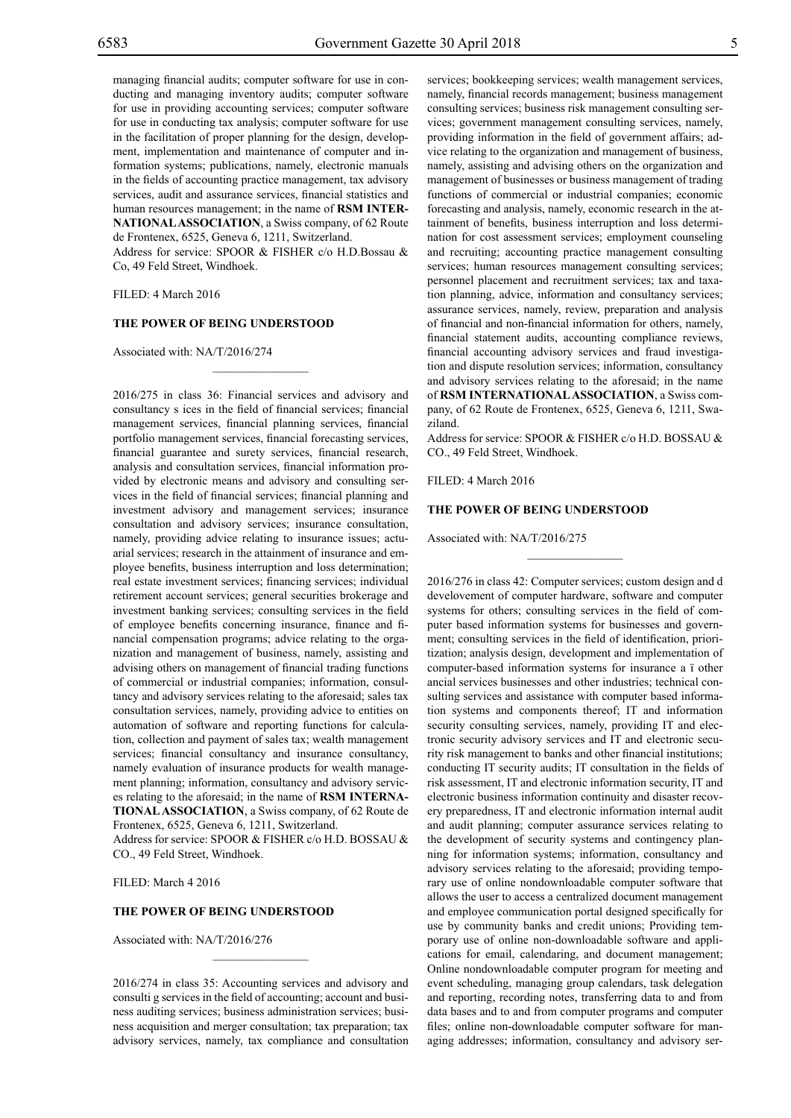managing financial audits; computer software for use in conducting and managing inventory audits; computer software for use in providing accounting services; computer software for use in conducting tax analysis; computer software for use in the facilitation of proper planning for the design, development, implementation and maintenance of computer and information systems; publications, namely, electronic manuals in the fields of accounting practice management, tax advisory services, audit and assurance services, financial statistics and human resources management; in the name of **RSM INTER-NATIONAL ASSOCIATION**, a Swiss company, of 62 Route de Frontenex, 6525, Geneva 6, 1211, Switzerland.

Address for service: SPOOR & FISHER c/o H.D.Bossau & Co, 49 Feld Street, Windhoek.

 $\mathcal{L}=\mathcal{L}^{\text{max}}$ 

#### FILED: 4 March 2016

#### **THE POWER OF BEING UNDERSTOOD**

Associated with: NA/T/2016/274

2016/275 in class 36: Financial services and advisory and consultancy s ices in the field of financial services; financial management services, financial planning services, financial portfolio management services, financial forecasting services, financial guarantee and surety services, financial research, analysis and consultation services, financial information provided by electronic means and advisory and consulting services in the field of financial services; financial planning and investment advisory and management services; insurance consultation and advisory services; insurance consultation, namely, providing advice relating to insurance issues; actuarial services; research in the attainment of insurance and employee benefits, business interruption and loss determination; real estate investment services; financing services; individual retirement account services; general securities brokerage and investment banking services; consulting services in the field of employee benefits concerning insurance, finance and financial compensation programs; advice relating to the organization and management of business, namely, assisting and advising others on management of financial trading functions of commercial or industrial companies; information, consultancy and advisory services relating to the aforesaid; sales tax consultation services, namely, providing advice to entities on automation of software and reporting functions for calculation, collection and payment of sales tax; wealth management services; financial consultancy and insurance consultancy, namely evaluation of insurance products for wealth management planning; information, consultancy and advisory services relating to the aforesaid; in the name of **RSM INTERNA-TIONAL ASSOCIATION**, a Swiss company, of 62 Route de Frontenex, 6525, Geneva 6, 1211, Switzerland.

Address for service: SPOOR & FISHER c/o H.D. BOSSAU & Co., 49 Feld Street, Windhoek.

FILED: March 4 2016

#### **THE POWER OF BEING UNDERSTOOD**

Associated with: NA/T/2016/276

2016/274 in class 35: Accounting services and advisory and consulti g services in the field of accounting; account and business auditing services; business administration services; business acquisition and merger consultation; tax preparation; tax advisory services, namely, tax compliance and consultation

 $\overline{\phantom{a}}$  , where  $\overline{\phantom{a}}$ 

services; bookkeeping services; wealth management services, namely, financial records management; business management consulting services; business risk management consulting services; government management consulting services, namely, providing information in the field of government affairs; advice relating to the organization and management of business, namely, assisting and advising others on the organization and management of businesses or business management of trading functions of commercial or industrial companies; economic forecasting and analysis, namely, economic research in the attainment of benefits, business interruption and loss determination for cost assessment services; employment counseling and recruiting; accounting practice management consulting services; human resources management consulting services; personnel placement and recruitment services; tax and taxation planning, advice, information and consultancy services; assurance services, namely, review, preparation and analysis of financial and non-financial information for others, namely, financial statement audits, accounting compliance reviews, financial accounting advisory services and fraud investigation and dispute resolution services; information, consultancy and advisory services relating to the aforesaid; in the name of **RSM INTERNATIONAL ASSOCIATION**, a Swiss company, of 62 Route de Frontenex, 6525, Geneva 6, 1211, Swaziland.

Address for service: SPOOR & FISHER c/o H.D. BOSSAU & Co., 49 Feld Street, Windhoek.

 $\frac{1}{2}$ 

FILED: 4 March 2016

#### **THE POWER OF BEING UNDERSTOOD**

Associated with: NA/T/2016/275

2016/276 in class 42: Computer services; custom design and d develovement of computer hardware, software and computer systems for others; consulting services in the field of computer based information systems for businesses and government; consulting services in the field of identification, prioritization; analysis design, development and implementation of computer-based information systems for insurance a ï other ancial services businesses and other industries; technical consulting services and assistance with computer based information systems and components thereof; IT and information security consulting services, namely, providing IT and electronic security advisory services and IT and electronic security risk management to banks and other financial institutions; conducting IT security audits; IT consultation in the fields of risk assessment, IT and electronic information security, IT and electronic business information continuity and disaster recovery preparedness, IT and electronic information internal audit and audit planning; computer assurance services relating to the development of security systems and contingency planning for information systems; information, consultancy and advisory services relating to the aforesaid; providing temporary use of online nondownloadable computer software that allows the user to access a centralized document management and employee communication portal designed specifically for use by community banks and credit unions; Providing temporary use of online non-downloadable software and applications for email, calendaring, and document management; Online nondownloadable computer program for meeting and event scheduling, managing group calendars, task delegation and reporting, recording notes, transferring data to and from data bases and to and from computer programs and computer files; online non-downloadable computer software for managing addresses; information, consultancy and advisory ser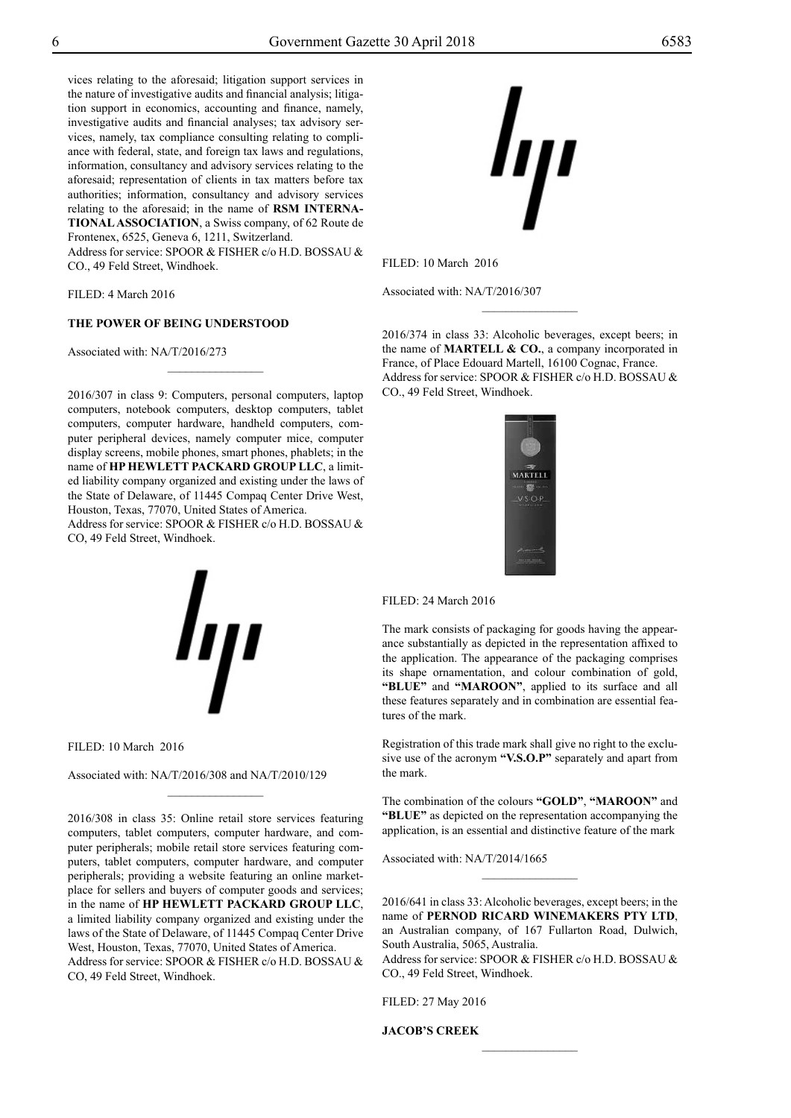vices relating to the aforesaid; litigation support services in the nature of investigative audits and financial analysis; litigation support in economics, accounting and finance, namely, investigative audits and financial analyses; tax advisory services, namely, tax compliance consulting relating to compliance with federal, state, and foreign tax laws and regulations, information, consultancy and advisory services relating to the aforesaid; representation of clients in tax matters before tax authorities; information, consultancy and advisory services relating to the aforesaid; in the name of **RSM INTERNA-TIONAL ASSOCIATION**, a Swiss company, of 62 Route de Frontenex, 6525, Geneva 6, 1211, Switzerland.

Address for service: SPOOR & FISHER c/o H.D. BOSSAU & Co., 49 Feld Street, Windhoek.

FILED: 4 March 2016

#### **THE POWER OF BEING UNDERSTOOD**

Associated with: NA/T/2016/273

2016/307 in class 9: Computers, personal computers, laptop computers, notebook computers, desktop computers, tablet computers, computer hardware, handheld computers, computer peripheral devices, namely computer mice, computer display screens, mobile phones, smart phones, phablets; in the name of **HP HEWLETT PACKARD GROUP LLC**, a limited liability company organized and existing under the laws of the State of Delaware, of 11445 Compaq Center Drive West, Houston, Texas, 77070, United States of America. Address for service: SPOOR & FISHER c/o H.D. BOSSAU &

 $\frac{1}{2}$ 

Co, 49 Feld Street, Windhoek.



Associated with: NA/T/2016/308 and NA/T/2010/129

2016/308 in class 35: Online retail store services featuring computers, tablet computers, computer hardware, and computer peripherals; mobile retail store services featuring computers, tablet computers, computer hardware, and computer peripherals; providing a website featuring an online marketplace for sellers and buyers of computer goods and services; in the name of **HP HEWLETT PACKARD GROUP LLC**, a limited liability company organized and existing under the laws of the State of Delaware, of 11445 Compaq Center Drive West, Houston, Texas, 77070, United States of America. Address for service: SPOOR & FISHER c/o H.D. BOSSAU & Co, 49 Feld Street, Windhoek.

 $\frac{1}{2}$ 

Filed: 24 March 2016

The mark consists of packaging for goods having the appearance substantially as depicted in the representation affixed to the application. The appearance of the packaging comprises its shape ornamentation, and colour combination of gold, "BLUE" and "MAROON", applied to its surface and all these features separately and in combination are essential features of the mark.

Registration of this trade mark shall give no right to the exclusive use of the acronym **"V.S.O.P"** separately and apart from the mark.

The combination of the colours "GOLD", "MAROON" and **"blue"** as depicted on the representation accompanying the application, is an essential and distinctive feature of the mark

Associated with: NA/T/2014/1665

2016/641 in class 33: Alcoholic beverages, except beers; in the name of **PERNOD RICARD WINEMAKERS PTY LTD**, an Australian company, of 167 Fullarton Road, Dulwich, South Australia, 5065, Australia.

 $\frac{1}{2}$ 

Address for service: SPOOR & FISHER c/o H.D. BOSSAU & Co., 49 Feld Street, Windhoek.

 $\frac{1}{2}$ 

Filed: 27 May 2016

**JACOB'S CREEK**

Filed: 10 March 2016

Associated with: NA/T/2016/307

2016/374 in class 33: Alcoholic beverages, except beers; in the name of **MARTELL & CO.**, a company incorporated in France, of Place Edouard Martell, 16100 Cognac, France. Address for service: SPOOR & FISHER c/o H.D. BOSSAU & Co., 49 Feld Street, Windhoek.

 $\overline{\phantom{a}}$  , where  $\overline{\phantom{a}}$ 



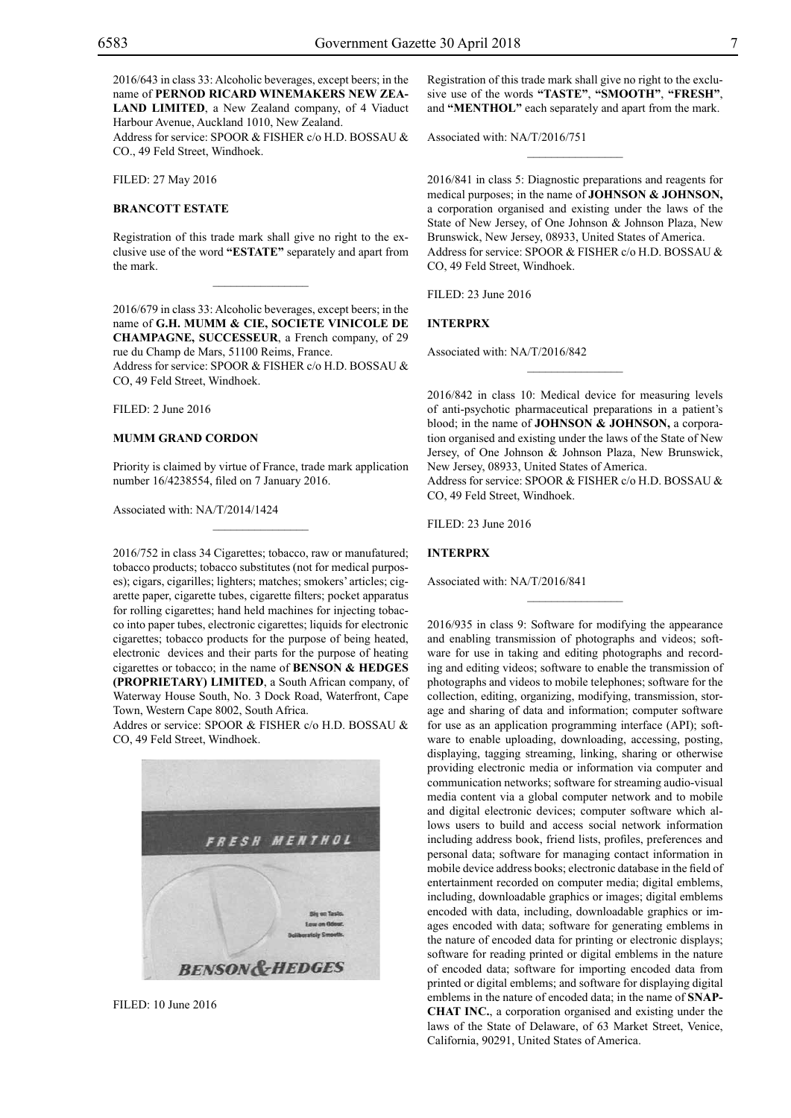2016/643 in class 33: Alcoholic beverages, except beers; in the name of **PERNOD RICARD WINEMAKERS NEW ZEA-LAND LIMITED**, a New Zealand company, of 4 Viaduct Harbour Avenue, Auckland 1010, New Zealand.

Address for service: SPOOR & FISHER c/o H.D. BOSSAU & Co., 49 Feld Street, Windhoek.

Filed: 27 May 2016

#### **BRANCOTT ESTATE**

Registration of this trade mark shall give no right to the exclusive use of the word **"ESTATE"** separately and apart from the mark.

 $\overline{\phantom{a}}$  , where  $\overline{\phantom{a}}$ 

2016/679 in class 33: Alcoholic beverages, except beers; in the name of **G.H. MUMM & CIE, SOCIETE VINICOLE DE CHAMPAGNE, SUCCESSEUR**, a French company, of 29 rue du Champ de Mars, 51100 Reims, France.

Address for service: SPOOR & FISHER c/o H.D. BOSSAU & Co, 49 Feld Street, Windhoek.

Filed: 2 June 2016

#### **MUMM GRAND CORDON**

Priority is claimed by virtue of France, trade mark application number 16/4238554, filed on 7 January 2016.

Associated with: NA/T/2014/1424

2016/752 in class 34 Cigarettes; tobacco, raw or manufatured; tobacco products; tobacco substitutes (not for medical purposes); cigars, cigarilles; lighters; matches; smokers' articles; cigarette paper, cigarette tubes, cigarette filters; pocket apparatus for rolling cigarettes; hand held machines for injecting tobacco into paper tubes, electronic cigarettes; liquids for electronic cigarettes; tobacco products for the purpose of being heated, electronic devices and their parts for the purpose of heating cigarettes or tobacco; in the name of **BENSON & HEDGES (PROPRIETARY) LIMITED**, a South African company, of Waterway House South, No. 3 Dock Road, Waterfront, Cape Town, Western Cape 8002, South Africa.

Addres or service: SPOOR & FISHER c/o H.D. BOSSAU & Co, 49 Feld Street, Windhoek.



Filed: 10 June 2016

Registration of this trade mark shall give no right to the exclusive use of the words **"TASTE"**, **"SMOOTH"**, **"FRESH"**, and **"MENTHOL"** each separately and apart from the mark.

 $\frac{1}{2}$ 

Associated with: NA/T/2016/751

2016/841 in class 5: Diagnostic preparations and reagents for medical purposes; in the name of **JOHNSON & JOHNSON,** a corporation organised and existing under the laws of the State of New Jersey, of One Johnson & Johnson Plaza, New Brunswick, New Jersey, 08933, United States of America. Address for service: SPOOR & FISHER c/o H.D. BOSSAU & Co, 49 Feld Street, Windhoek.

Filed: 23 June 2016

#### **INTERPRX**

Associated with: NA/T/2016/842

2016/842 in class 10: Medical device for measuring levels of anti-psychotic pharmaceutical preparations in a patient's blood; in the name of **JOHNSON & JOHNSON,** a corporation organised and existing under the laws of the State of New Jersey, of One Johnson & Johnson Plaza, New Brunswick, New Jersey, 08933, United States of America.

 $\frac{1}{2}$ 

Address for service: SPOOR & FISHER c/o H.D. BOSSAU & Co, 49 Feld Street, Windhoek.

Filed: 23 June 2016

#### **INTERPRX**

Associated with: NA/T/2016/841

2016/935 in class 9: Software for modifying the appearance and enabling transmission of photographs and videos; software for use in taking and editing photographs and recording and editing videos; software to enable the transmission of photographs and videos to mobile telephones; software for the collection, editing, organizing, modifying, transmission, storage and sharing of data and information; computer software for use as an application programming interface (API); software to enable uploading, downloading, accessing, posting, displaying, tagging streaming, linking, sharing or otherwise providing electronic media or information via computer and communication networks; software for streaming audio-visual media content via a global computer network and to mobile and digital electronic devices; computer software which allows users to build and access social network information including address book, friend lists, profiles, preferences and personal data; software for managing contact information in mobile device address books; electronic database in the field of entertainment recorded on computer media; digital emblems, including, downloadable graphics or images; digital emblems encoded with data, including, downloadable graphics or images encoded with data; software for generating emblems in the nature of encoded data for printing or electronic displays; software for reading printed or digital emblems in the nature of encoded data; software for importing encoded data from printed or digital emblems; and software for displaying digital emblems in the nature of encoded data; in the name of **SNAP-CHAT INC.**, a corporation organised and existing under the laws of the State of Delaware, of 63 Market Street, Venice, California, 90291, United States of America.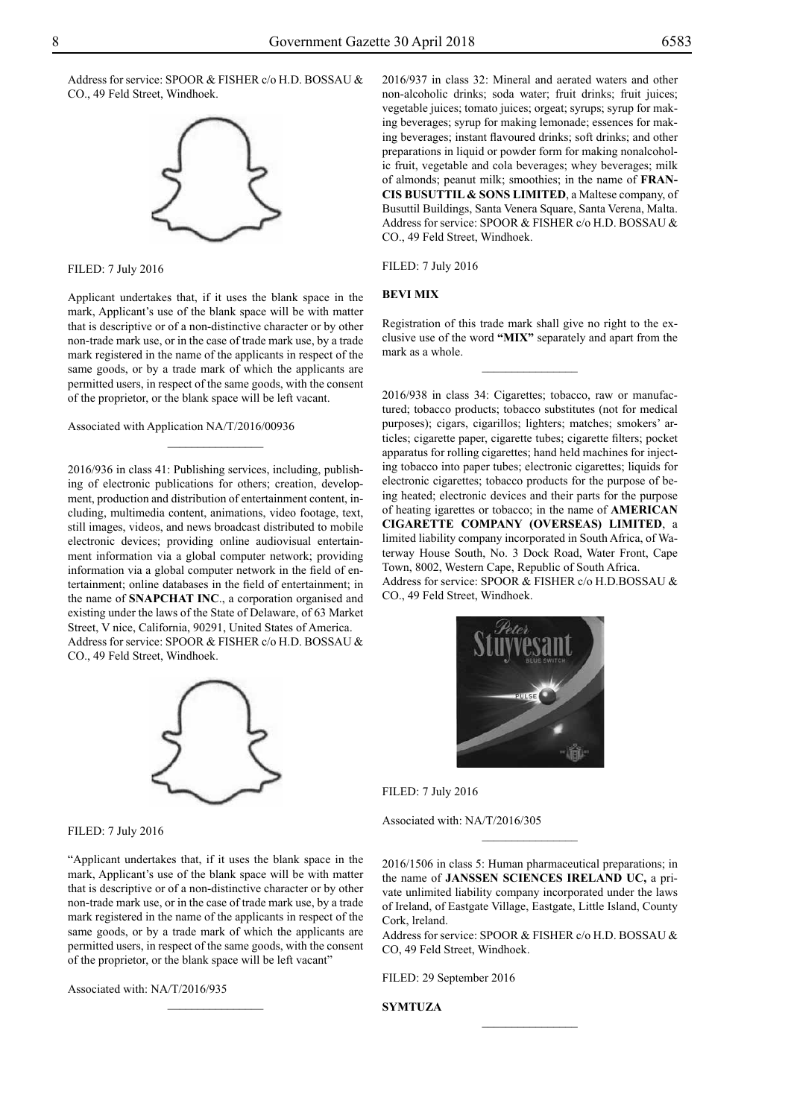Address for service: SPOOR & FISHER c/o H.D. BOSSAU & Co., 49 Feld Street, Windhoek.



Filed: 7 July 2016

Applicant undertakes that, if it uses the blank space in the mark, Applicant's use of the blank space will be with matter that is descriptive or of a non-distinctive character or by other non-trade mark use, or in the case of trade mark use, by a trade mark registered in the name of the applicants in respect of the same goods, or by a trade mark of which the applicants are permitted users, in respect of the same goods, with the consent of the proprietor, or the blank space will be left vacant.

 $\frac{1}{2}$ 

Associated with Application NA/T/2016/00936

2016/936 in class 41: Publishing services, including, publishing of electronic publications for others; creation, development, production and distribution of entertainment content, including, multimedia content, animations, video footage, text, still images, videos, and news broadcast distributed to mobile electronic devices; providing online audiovisual entertainment information via a global computer network; providing information via a global computer network in the field of entertainment; online databases in the field of entertainment; in the name of **SNAPCHAT INC**., a corporation organised and existing under the laws of the State of Delaware, of 63 Market Street, V nice, California, 90291, United States of America. Address for service: SPOOR & FISHER c/o H.D. BOSSAU & Co., 49 Feld Street, Windhoek.



Filed: 7 July 2016

"Applicant undertakes that, if it uses the blank space in the mark, Applicant's use of the blank space will be with matter that is descriptive or of a non-distinctive character or by other non-trade mark use, or in the case of trade mark use, by a trade mark registered in the name of the applicants in respect of the same goods, or by a trade mark of which the applicants are permitted users, in respect of the same goods, with the consent of the proprietor, or the blank space will be left vacant"

 $\frac{1}{2}$ 

Associated with: NA/T/2016/935

2016/937 in class 32: Mineral and aerated waters and other non-alcoholic drinks; soda water; fruit drinks; fruit juices; vegetable juices; tomato juices; orgeat; syrups; syrup for making beverages; syrup for making lemonade; essences for making beverages; instant flavoured drinks; soft drinks; and other preparations in liquid or powder form for making nonalcoholic fruit, vegetable and cola beverages; whey beverages; milk of almonds; peanut milk; smoothies; in the name of **FRAN-CIS BUSUTTIL & SONS LIMITED**, a Maltese company, of Busuttil Buildings, Santa Venera Square, Santa Verena, Malta. Address for service: SPOOR & FISHER c/o H.D. BOSSAU & Co., 49 Feld Street, Windhoek.

Filed: 7 July 2016

#### **BEVI MIX**

Registration of this trade mark shall give no right to the exclusive use of the word **"MIX"** separately and apart from the mark as a whole.

 $\frac{1}{2}$ 

2016/938 in class 34: Cigarettes; tobacco, raw or manufactured; tobacco products; tobacco substitutes (not for medical purposes); cigars, cigarillos; lighters; matches; smokers' articles; cigarette paper, cigarette tubes; cigarette filters; pocket apparatus for rolling cigarettes; hand held machines for injecting tobacco into paper tubes; electronic cigarettes; liquids for electronic cigarettes; tobacco products for the purpose of being heated; electronic devices and their parts for the purpose of heating igarettes or tobacco; in the name of **AMERICAN CIGARETTE COMPANY (OVERSEAS) LIMITED**, a limited liability company incorporated in South Africa, of Waterway House South, No. 3 Dock Road, Water Front, Cape Town, 8002, Western Cape, Republic of South Africa. Address for service: SPOOR & FISHER c/o H.D.BOSSAU & Co., 49 Feld Street, Windhoek.



Filed: 7 July 2016

Associated with: NA/T/2016/305

2016/1506 in class 5: Human pharmaceutical preparations; in the name of **JANSSEN SCIENCES IRELAND UC,** a private unlimited liability company incorporated under the laws of Ireland, of Eastgate Village, Eastgate, Little Island, County Cork, lreland.

Address for service: SPOOR & FISHER c/o H.D. BOSSAU & Co, 49 Feld Street, Windhoek.

 $\frac{1}{2}$ 

Filed: 29 September 2016

**SYMTUZA**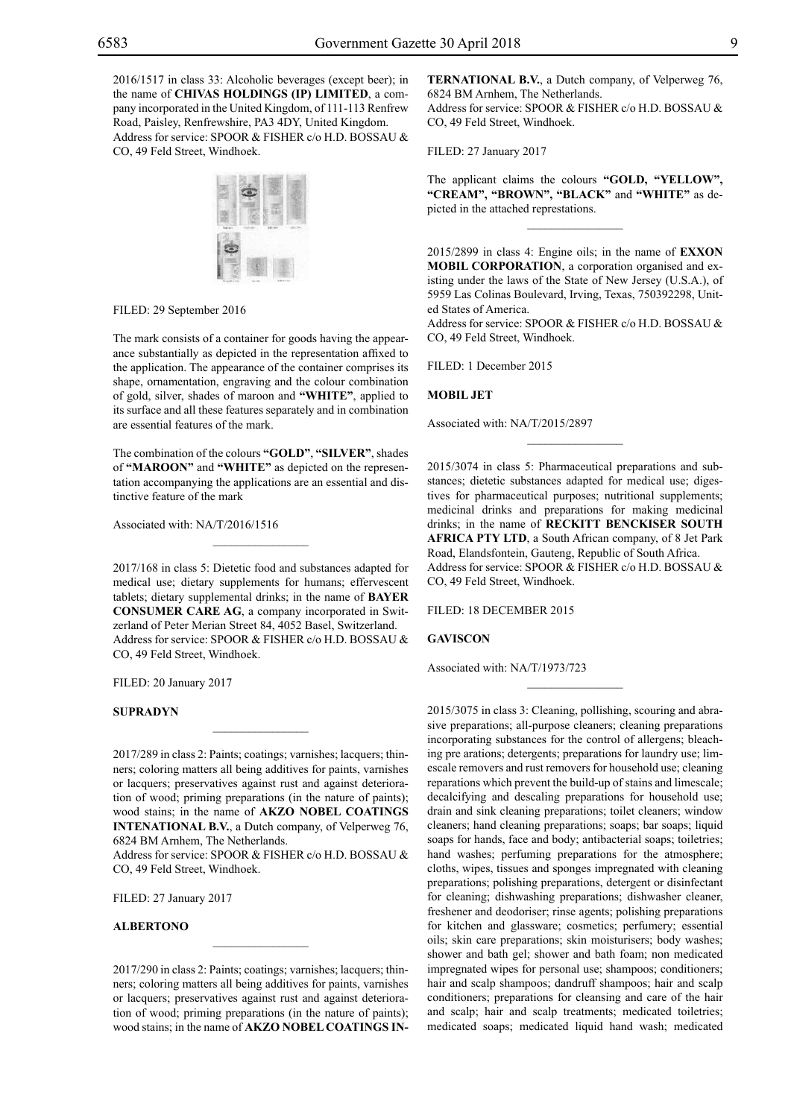2016/1517 in class 33: Alcoholic beverages (except beer); in the name of **CHIVAS HOLDINGS (IP) LIMITED**, a company incorporated in the United Kingdom, of 111-113 Renfrew Road, Paisley, Renfrewshire, PA3 4DY, United Kingdom. Address for service: SPOOR & FISHER c/o H.D. BOSSAU & Co, 49 Feld Street, Windhoek.



FILED: 29 September 2016

The mark consists of a container for goods having the appearance substantially as depicted in the representation affixed to the application. The appearance of the container comprises its shape, ornamentation, engraving and the colour combination of gold, silver, shades of maroon and **"white"**, applied to its surface and all these features separately and in combination are essential features of the mark.

The combination of the colours "GOLD", "SILVER", shades of "MAROON" and "WHITE" as depicted on the representation accompanying the applications are an essential and distinctive feature of the mark

 $\mathcal{L}=\mathcal{L}^{\mathcal{L}}$ 

Associated with: NA/T/2016/1516

2017/168 in class 5: Dietetic food and substances adapted for medical use; dietary supplements for humans; effervescent tablets; dietary supplemental drinks; in the name of **BAYER CONSUMER CARE AG**, a company incorporated in Switzerland of Peter Merian Street 84, 4052 Basel, Switzerland. Address for service: SPOOR & FISHER c/o H.D. BOSSAU & Co, 49 Feld Street, Windhoek.

FILED: 20 January 2017

#### **SUPRADYN**

2017/289 in class 2: Paints; coatings; varnishes; lacquers; thinners; coloring matters all being additives for paints, varnishes or lacquers; preservatives against rust and against deterioration of wood; priming preparations (in the nature of paints); wood stains; in the name of **AKZO NOBEL COATINGS INTENATIONAL B.V.**, a Dutch company, of Velperweg 76, 6824 BM Arnhem, The Netherlands.

 $\overline{\phantom{a}}$  , where  $\overline{\phantom{a}}$ 

Address for service: SPOOR & FISHER c/o H.D. BOSSAU & Co, 49 Feld Street, Windhoek.

Filed: 27 January 2017

#### **ALBERTONO**

2017/290 in class 2: Paints; coatings; varnishes; lacquers; thinners; coloring matters all being additives for paints, varnishes or lacquers; preservatives against rust and against deterioration of wood; priming preparations (in the nature of paints); wood stains; in the name of **AKZO NOBEL COATINGS IN-**

 $\mathcal{L}=\mathcal{L}^{\mathcal{L}}$ 

**TERNATIONAL B.V.**, a Dutch company, of Velperweg 76, 6824 BM Arnhem, The Netherlands. Address for service: SPOOR & FISHER c/o H.D. BOSSAU & CO, 49 Feld Street, Windhoek.

Filed: 27 January 2017

The applicant claims the colours **"GOLD, "YELLOW", "CREAM", "BROWN", "BLACK"** and **"WHITE"** as depicted in the attached represtations.

 $\frac{1}{2}$ 

2015/2899 in class 4: Engine oils; in the name of **EXXON MOBIL CORPORATION**, a corporation organised and existing under the laws of the State of New Jersey (U.S.A.), of 5959 Las Colinas Boulevard, Irving, Texas, 750392298, United States of America.

Address for service: SPOOR & FISHER c/o H.D. BOSSAU & Co, 49 Feld Street, Windhoek.

FILED: 1 December 2015

#### **MOBIL JET**

Associated with: NA/T/2015/2897

2015/3074 in class 5: Pharmaceutical preparations and substances; dietetic substances adapted for medical use; digestives for pharmaceutical purposes; nutritional supplements; medicinal drinks and preparations for making medicinal drinks; in the name of **RECKITT BENCKISER SOUTH AFRICA PTY LTD**, a South African company, of 8 Jet Park Road, Elandsfontein, Gauteng, Republic of South Africa. Address for service: SPOOR & FISHER c/o H.D. BOSSAU & CO, 49 Feld Street, Windhoek.

 $\frac{1}{2}$ 

 $\frac{1}{2}$ 

Filed: 18 December 2015

#### **GAVISCON**

Associated with: NA/T/1973/723

2015/3075 in class 3: Cleaning, pollishing, scouring and abrasive preparations; all-purpose cleaners; cleaning preparations incorporating substances for the control of allergens; bleaching pre arations; detergents; preparations for laundry use; limescale removers and rust removers for household use; cleaning reparations which prevent the build-up of stains and limescale; decalcifying and descaling preparations for household use; drain and sink cleaning preparations; toilet cleaners; window cleaners; hand cleaning preparations; soaps; bar soaps; liquid soaps for hands, face and body; antibacterial soaps; toiletries; hand washes; perfuming preparations for the atmosphere; cloths, wipes, tissues and sponges impregnated with cleaning preparations; polishing preparations, detergent or disinfectant for cleaning; dishwashing preparations; dishwasher cleaner, freshener and deodoriser; rinse agents; polishing preparations for kitchen and glassware; cosmetics; perfumery; essential oils; skin care preparations; skin moisturisers; body washes; shower and bath gel; shower and bath foam; non medicated impregnated wipes for personal use; shampoos; conditioners; hair and scalp shampoos; dandruff shampoos; hair and scalp conditioners; preparations for cleansing and care of the hair and scalp; hair and scalp treatments; medicated toiletries; medicated soaps; medicated liquid hand wash; medicated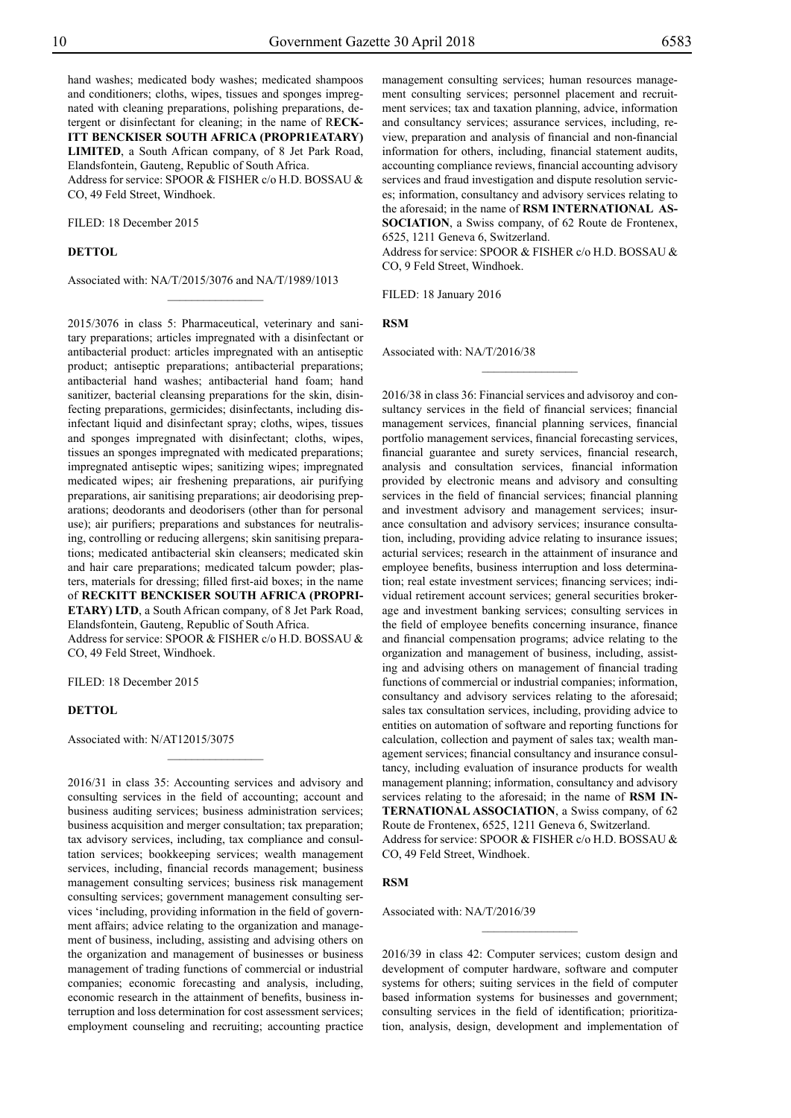hand washes; medicated body washes; medicated shampoos and conditioners; cloths, wipes, tissues and sponges impregnated with cleaning preparations, polishing preparations, detergent or disinfectant for cleaning; in the name of R**ECK-ITT BENCKISER SOUTH AFRICA (PROPR1EATARY) LIMITED**, a South African company, of 8 Jet Park Road,

Elandsfontein, Gauteng, Republic of South Africa. Address for service: SPOOR & FISHER c/o H.D. BOSSAU & Co, 49 Feld Street, Windhoek.

FILED: 18 December 2015

#### **DETTOL**

Associated with: NA/T/2015/3076 and NA/T/1989/1013

 $\frac{1}{2}$ 

2015/3076 in class 5: Pharmaceutical, veterinary and sanitary preparations; articles impregnated with a disinfectant or antibacterial product: articles impregnated with an antiseptic product; antiseptic preparations; antibacterial preparations; antibacterial hand washes; antibacterial hand foam; hand sanitizer, bacterial cleansing preparations for the skin, disinfecting preparations, germicides; disinfectants, including disinfectant liquid and disinfectant spray; cloths, wipes, tissues and sponges impregnated with disinfectant; cloths, wipes, tissues an sponges impregnated with medicated preparations; impregnated antiseptic wipes; sanitizing wipes; impregnated medicated wipes; air freshening preparations, air purifying preparations, air sanitising preparations; air deodorising preparations; deodorants and deodorisers (other than for personal use); air purifiers; preparations and substances for neutralising, controlling or reducing allergens; skin sanitising preparations; medicated antibacterial skin cleansers; medicated skin and hair care preparations; medicated talcum powder; plasters, materials for dressing; filled first-aid boxes; in the name of **RECKITT BENCKISER SOUTH AFRICA (PROPRI-ETARY) LTD**, a South African company, of 8 Jet Park Road, Elandsfontein, Gauteng, Republic of South Africa.

Address for service: SPOOR & FISHER c/o H.D. BOSSAU & Co, 49 Feld Street, Windhoek.

 $\frac{1}{2}$ 

FILED: 18 December 2015

#### **DETTOL**

Associated with: N/AT12015/3075

2016/31 in class 35: Accounting services and advisory and consulting services in the field of accounting; account and business auditing services; business administration services; business acquisition and merger consultation; tax preparation; tax advisory services, including, tax compliance and consultation services; bookkeeping services; wealth management services, including, financial records management; business management consulting services; business risk management consulting services; government management consulting services 'including, providing information in the field of government affairs; advice relating to the organization and management of business, including, assisting and advising others on the organization and management of businesses or business management of trading functions of commercial or industrial companies; economic forecasting and analysis, including, economic research in the attainment of benefits, business interruption and loss determination for cost assessment services; employment counseling and recruiting; accounting practice

management consulting services; human resources management consulting services; personnel placement and recruitment services; tax and taxation planning, advice, information and consultancy services; assurance services, including, review, preparation and analysis of financial and non-financial information for others, including, financial statement audits, accounting compliance reviews, financial accounting advisory services and fraud investigation and dispute resolution services; information, consultancy and advisory services relating to the aforesaid; in the name of **RSM INTERNATIONAL AS-SOCIATION**, a Swiss company, of 62 Route de Frontenex, 6525, 1211 Geneva 6, Switzerland.

Address for service: SPOOR & FISHER c/o H.D. BOSSAU & Co, 9 Feld Street, Windhoek.

 $\frac{1}{2}$ 

FILED: 18 January 2016

**RSM**

Associated with: NA/T/2016/38

2016/38 in class 36: Financial services and advisoroy and consultancy services in the field of financial services; financial management services, financial planning services, financial portfolio management services, financial forecasting services, financial guarantee and surety services, financial research, analysis and consultation services, financial information provided by electronic means and advisory and consulting services in the field of financial services; financial planning and investment advisory and management services; insurance consultation and advisory services; insurance consultation, including, providing advice relating to insurance issues; acturial services; research in the attainment of insurance and employee benefits, business interruption and loss determination; real estate investment services; financing services; individual retirement account services; general securities brokerage and investment banking services; consulting services in the field of employee benefits concerning insurance, finance and financial compensation programs; advice relating to the organization and management of business, including, assisting and advising others on management of financial trading functions of commercial or industrial companies; information, consultancy and advisory services relating to the aforesaid; sales tax consultation services, including, providing advice to entities on automation of software and reporting functions for calculation, collection and payment of sales tax; wealth management services; financial consultancy and insurance consultancy, including evaluation of insurance products for wealth management planning; information, consultancy and advisory services relating to the aforesaid; in the name of **RSM IN-TERNATIONAL ASSOCIATION**, a Swiss company, of 62 Route de Frontenex, 6525, 1211 Geneva 6, Switzerland. Address for service: SPOOR & FISHER c/o H.D. BOSSAU & CO, 49 Feld Street, Windhoek.

#### **RSM**

Associated with: NA/T/2016/39

2016/39 in class 42: Computer services; custom design and development of computer hardware, software and computer systems for others; suiting services in the field of computer based information systems for businesses and government; consulting services in the field of identification; prioritization, analysis, design, development and implementation of

 $\frac{1}{2}$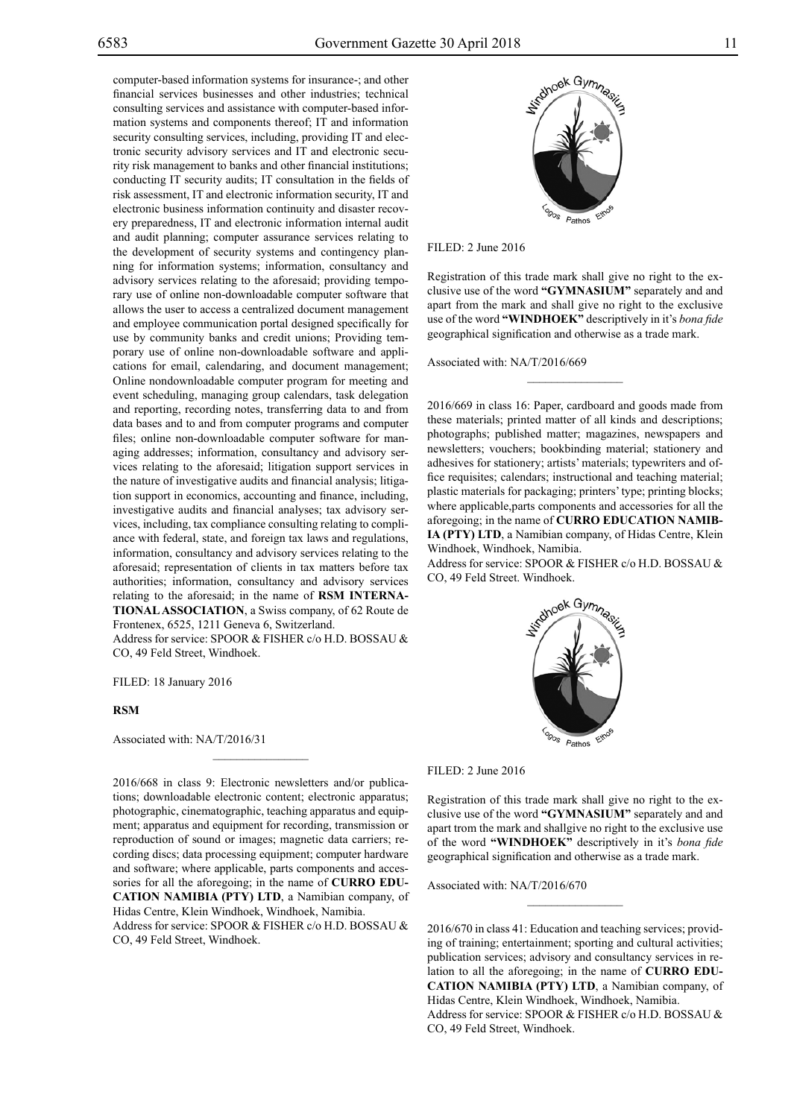computer-based information systems for insurance-; and other financial services businesses and other industries; technical consulting services and assistance with computer-based information systems and components thereof; IT and information security consulting services, including, providing IT and electronic security advisory services and IT and electronic security risk management to banks and other financial institutions; conducting IT security audits; IT consultation in the fields of risk assessment, IT and electronic information security, IT and electronic business information continuity and disaster recovery preparedness, IT and electronic information internal audit and audit planning; computer assurance services relating to the development of security systems and contingency planning for information systems; information, consultancy and advisory services relating to the aforesaid; providing temporary use of online non-downloadable computer software that allows the user to access a centralized document management and employee communication portal designed specifically for use by community banks and credit unions; Providing temporary use of online non-downloadable software and applications for email, calendaring, and document management; Online nondownloadable computer program for meeting and event scheduling, managing group calendars, task delegation and reporting, recording notes, transferring data to and from data bases and to and from computer programs and computer files; online non-downloadable computer software for managing addresses; information, consultancy and advisory services relating to the aforesaid; litigation support services in the nature of investigative audits and financial analysis; litigation support in economics, accounting and finance, including, investigative audits and financial analyses; tax advisory services, including, tax compliance consulting relating to compliance with federal, state, and foreign tax laws and regulations, information, consultancy and advisory services relating to the aforesaid; representation of clients in tax matters before tax authorities; information, consultancy and advisory services relating to the aforesaid; in the name of **RSM INTERNA-TIONAL ASSOCIATION**, a Swiss company, of 62 Route de Frontenex, 6525, 1211 Geneva 6, Switzerland. Address for service: SPOOR & FISHER c/o H.D. BOSSAU & Co, 49 Feld Street, Windhoek.

FILED: 18 January 2016

#### **RSM**

Associated with: NA/T/2016/31

2016/668 in class 9: Electronic newsletters and/or publications; downloadable electronic content; electronic apparatus; photographic, cinematographic, teaching apparatus and equipment; apparatus and equipment for recording, transmission or reproduction of sound or images; magnetic data carriers; recording discs; data processing equipment; computer hardware and software; where applicable, parts components and accessories for all the aforegoing; in the name of **CURRO EDU-CATION NAMIBIA (PTY) LTD**, a Namibian company, of Hidas Centre, Klein Windhoek, Windhoek, Namibia.

 $\frac{1}{2}$ 

Address for service: SPOOR & FISHER c/o H.D. BOSSAU & Co, 49 Feld Street, Windhoek.



Filed: 2 June 2016

Registration of this trade mark shall give no right to the exclusive use of the word **"GYMNASIUM"** separately and and apart from the mark and shall give no right to the exclusive use of the word **"WINDHOEK"** descriptively in it's *bona fide* geographical signification and otherwise as a trade mark.

Associated with: NA/T/2016/669

2016/669 in class 16: Paper, cardboard and goods made from these materials; printed matter of all kinds and descriptions; photographs; published matter; magazines, newspapers and newsletters; vouchers; bookbinding material; stationery and adhesives for stationery; artists' materials; typewriters and office requisites; calendars; instructional and teaching material; plastic materials for packaging; printers' type; printing blocks; where applicable,parts components and accessories for all the aforegoing; in the name of **CURRO EDUCATION NAMIB-IA (PTY) LTD**, a Namibian company, of Hidas Centre, Klein Windhoek, Windhoek, Namibia.

Address for service: SPOOR & FISHER c/o H.D. BOSSAU & Co, 49 Feld Street. Windhoek.



Filed: 2 June 2016

Registration of this trade mark shall give no right to the exclusive use of the word **"GYMNASIUM"** separately and and apart trom the mark and shallgive no right to the exclusive use of the word **"WINDHOEK"** descriptively in it's *bona fide* geographical signification and otherwise as a trade mark.

 $\frac{1}{2}$ 

Associated with: NA/T/2016/670

2016/670 in class 41: Education and teaching services; providing of training; entertainment; sporting and cultural activities; publication services; advisory and consultancy services in relation to all the aforegoing; in the name of **CURRO EDU-CATION NAMIBIA (PTY) LTD**, a Namibian company, of Hidas Centre, Klein Windhoek, Windhoek, Namibia. Address for service: SPOOR & FISHER c/o H.D. BOSSAU & Co, 49 Feld Street, Windhoek.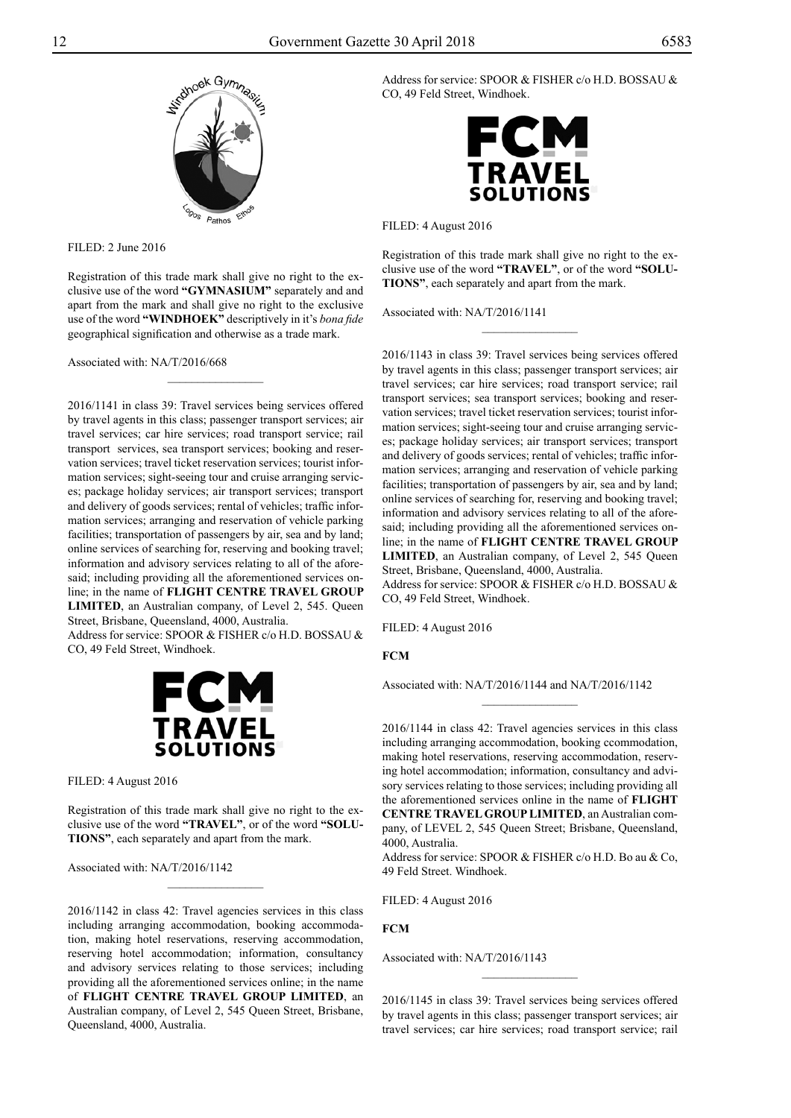

 $FILED: 2$  June 2016

Registration of this trade mark shall give no right to the exclusive use of the word **"GYMNASIUM"** separately and and apart from the mark and shall give no right to the exclusive use of the word **"WINDHOEK"** descriptively in it's *bona fide* geographical signification and otherwise as a trade mark.

Associated with: NA/T/2016/668

2016/1141 in class 39: Travel services being services offered by travel agents in this class; passenger transport services; air travel services; car hire services; road transport service; rail transport services, sea transport services; booking and reservation services; travel ticket reservation services; tourist information services; sight-seeing tour and cruise arranging services; package holiday services; air transport services; transport and delivery of goods services; rental of vehicles; traffic information services; arranging and reservation of vehicle parking facilities; transportation of passengers by air, sea and by land; online services of searching for, reserving and booking travel; information and advisory services relating to all of the aforesaid; including providing all the aforementioned services online; in the name of **FLIGHT CENTRE TRAVEL GROUP LIMITED**, an Australian company, of Level 2, 545. Queen Street, Brisbane, Queensland, 4000, Australia.

Address for service: SPOOR & FISHER c/o H.D. BOSSAU & Co, 49 Feld Street, Windhoek.



Filed: 4 August 2016

Registration of this trade mark shall give no right to the exclusive use of the word **"TRAVEL"**, or of the word **"SOLU-TIONS"**, each separately and apart from the mark.

 $\frac{1}{2}$ 

Associated with: NA/T/2016/1142

2016/1142 in class 42: Travel agencies services in this class including arranging accommodation, booking accommodation, making hotel reservations, reserving accommodation, reserving hotel accommodation; information, consultancy and advisory services relating to those services; including providing all the aforementioned services online; in the name of **FLIGHT CENTRE TRAVEL GROUP LIMITED**, an Australian company, of Level 2, 545 Queen Street, Brisbane, Queensland, 4000, Australia.

Address for service: SPOOR & FISHER c/o H.D. BOSSAU & Co, 49 Feld Street, Windhoek.



Filed: 4 August 2016

Registration of this trade mark shall give no right to the exclusive use of the word **"TRAVEL"**, or of the word **"SOLU-TIONS"**, each separately and apart from the mark.

 $\frac{1}{2}$ 

Associated with: NA/T/2016/1141

2016/1143 in class 39: Travel services being services offered by travel agents in this class; passenger transport services; air travel services; car hire services; road transport service; rail transport services; sea transport services; booking and reservation services; travel ticket reservation services; tourist information services; sight-seeing tour and cruise arranging services; package holiday services; air transport services; transport and delivery of goods services; rental of vehicles; traffic information services; arranging and reservation of vehicle parking facilities; transportation of passengers by air, sea and by land; online services of searching for, reserving and booking travel; information and advisory services relating to all of the aforesaid; including providing all the aforementioned services online; in the name of **FLIGHT CENTRE TRAVEL GROUP LIMITED**, an Australian company, of Level 2, 545 Queen Street, Brisbane, Queensland, 4000, Australia.

Address for service: SPOOR & FISHER c/o H.D. BOSSAU & Co, 49 Feld Street, Windhoek.

Filed: 4 August 2016

**FCM**

Associated with: NA/T/2016/1144 and NA/T/2016/1142

 $\frac{1}{2}$ 

2016/1144 in class 42: Travel agencies services in this class including arranging accommodation, booking ccommodation, making hotel reservations, reserving accommodation, reserving hotel accommodation; information, consultancy and advisory services relating to those services; including providing all the aforementioned services online in the name of **FLIGHT CENTRE TRAVEL GROUP LIMITED**, an Australian company, of LEVEL 2, 545 Queen Street; Brisbane, Queensland, 4000, Australia.

Address for service: SPOOR & FISHER c/o H.D. Bo au & Co, 49 Feld Street. Windhoek.

Filed: 4 August 2016

**FCM**

Associated with: NA/T/2016/1143

2016/1145 in class 39: Travel services being services offered by travel agents in this class; passenger transport services; air travel services; car hire services; road transport service; rail

 $\overline{\phantom{a}}$  , where  $\overline{\phantom{a}}$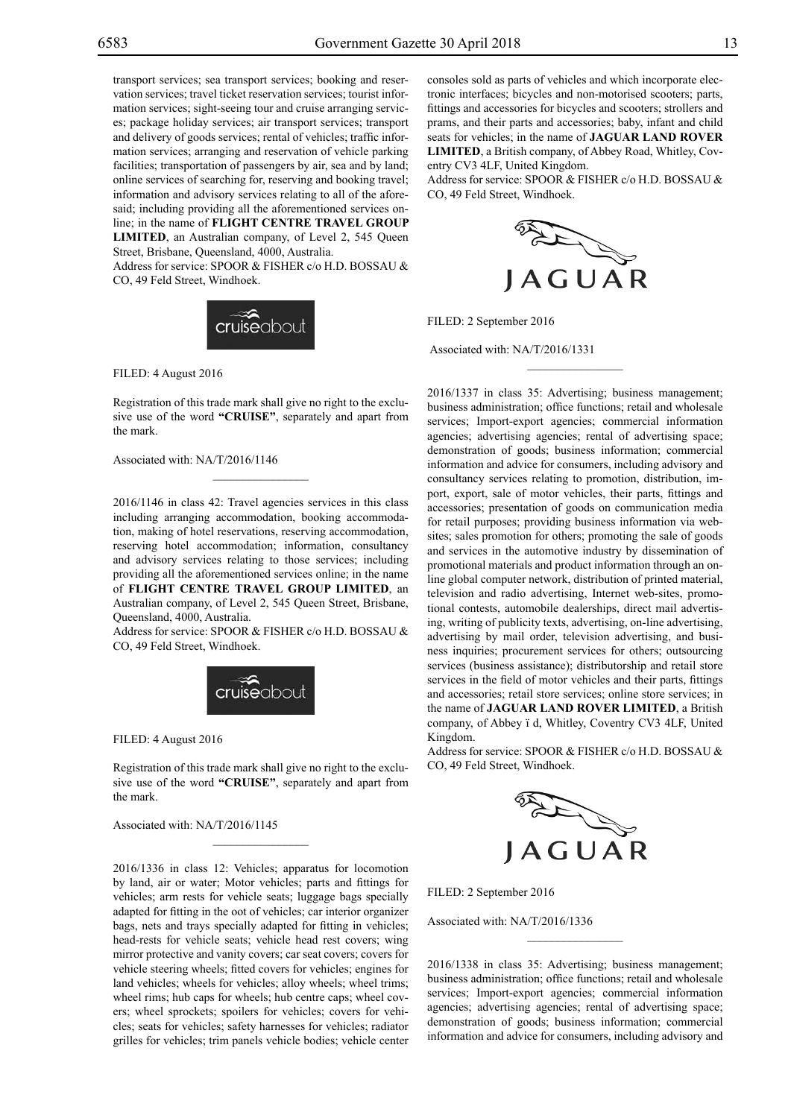transport services; sea transport services; booking and reservation services; travel ticket reservation services; tourist information services; sight-seeing tour and cruise arranging services; package holiday services; air transport services; transport and delivery of goods services; rental of vehicles; traffic information services; arranging and reservation of vehicle parking facilities; transportation of passengers by air, sea and by land; online services of searching for, reserving and booking travel; information and advisory services relating to all of the aforesaid; including providing all the aforementioned services online; in the name of **FLIGHT CENTRE TRAVEL GROUP LIMITED**, an Australian company, of Level 2, 545 Queen Street, Brisbane, Queensland, 4000, Australia. Address for service: SPOOR & FISHER c/o H.D. BOSSAU & Co, 49 Feld Street, Windhoek.



Filed: 4 August 2016

Registration of this trade mark shall give no right to the exclusive use of the word **"CRUISE"**, separately and apart from the mark.

 $\overline{\phantom{a}}$  , where  $\overline{\phantom{a}}$ 

Associated with: NA/T/2016/1146

2016/1146 in class 42: Travel agencies services in this class including arranging accommodation, booking accommodation, making of hotel reservations, reserving accommodation, reserving hotel accommodation; information, consultancy and advisory services relating to those services; including providing all the aforementioned services online; in the name of **FLIGHT CENTRE TRAVEL GROUP LIMITED**, an Australian company, of Level 2, 545 Queen Street, Brisbane, Queensland, 4000, Australia.

Address for service: SPOOR & FISHER c/o H.D. BOSSAU & CO, 49 Feld Street, Windhoek.



FILED: 4 August 2016

Registration of this trade mark shall give no right to the exclusive use of the word **"CRUISE"**, separately and apart from the mark.

 $\mathcal{L}=\mathcal{L}^{\mathcal{L}}$ 

Associated with: NA/T/2016/1145

2016/1336 in class 12: Vehicles; apparatus for locomotion by land, air or water; Motor vehicles; parts and fittings for vehicles; arm rests for vehicle seats; luggage bags specially adapted for fitting in the oot of vehicles; car interior organizer bags, nets and trays specially adapted for fitting in vehicles; head-rests for vehicle seats; vehicle head rest covers; wing mirror protective and vanity covers; car seat covers; covers for vehicle steering wheels; fitted covers for vehicles; engines for land vehicles; wheels for vehicles; alloy wheels; wheel trims; wheel rims; hub caps for wheels; hub centre caps; wheel covers; wheel sprockets; spoilers for vehicles; covers for vehicles; seats for vehicles; safety harnesses for vehicles; radiator grilles for vehicles; trim panels vehicle bodies; vehicle center consoles sold as parts of vehicles and which incorporate electronic interfaces; bicycles and non-motorised scooters; parts, fittings and accessories for bicycles and scooters; strollers and prams, and their parts and accessories; baby, infant and child seats for vehicles; in the name of **JAGUAR LAND ROVER LIMITED**, a British company, of Abbey Road, Whitley, Coventry CV3 4LF, United Kingdom.

Address for service: SPOOR & FISHER c/o H.D. BOSSAU & CO, 49 Feld Street, Windhoek.



 $\frac{1}{2}$ 

FILED: 2 September 2016

Associated with: NA/T/2016/1331

2016/1337 in class 35: Advertising; business management; business administration; office functions; retail and wholesale services; Import-export agencies; commercial information agencies; advertising agencies; rental of advertising space; demonstration of goods; business information; commercial information and advice for consumers, including advisory and consultancy services relating to promotion, distribution, import, export, sale of motor vehicles, their parts, fittings and accessories; presentation of goods on communication media for retail purposes; providing business information via websites; sales promotion for others; promoting the sale of goods and services in the automotive industry by dissemination of promotional materials and product information through an online global computer network, distribution of printed material, television and radio advertising, Internet web-sites, promotional contests, automobile dealerships, direct mail advertising, writing of publicity texts, advertising, on-line advertising, advertising by mail order, television advertising, and business inquiries; procurement services for others; outsourcing services (business assistance); distributorship and retail store services in the field of motor vehicles and their parts, fittings and accessories; retail store services; online store services; in the name of **JAGUAR LAND ROVER LIMITED**, a British company, of Abbey ï d, Whitley, Coventry CV3 4LF, United Kingdom.

Address for service: SPOOR & FISHER c/o H.D. BOSSAU & Co, 49 Feld Street, Windhoek.



FILED: 2 September 2016

Associated with: NA/T/2016/1336

2016/1338 in class 35: Advertising; business management; business administration; office functions; retail and wholesale services; Import-export agencies; commercial information agencies; advertising agencies; rental of advertising space; demonstration of goods; business information; commercial information and advice for consumers, including advisory and

 $\frac{1}{2}$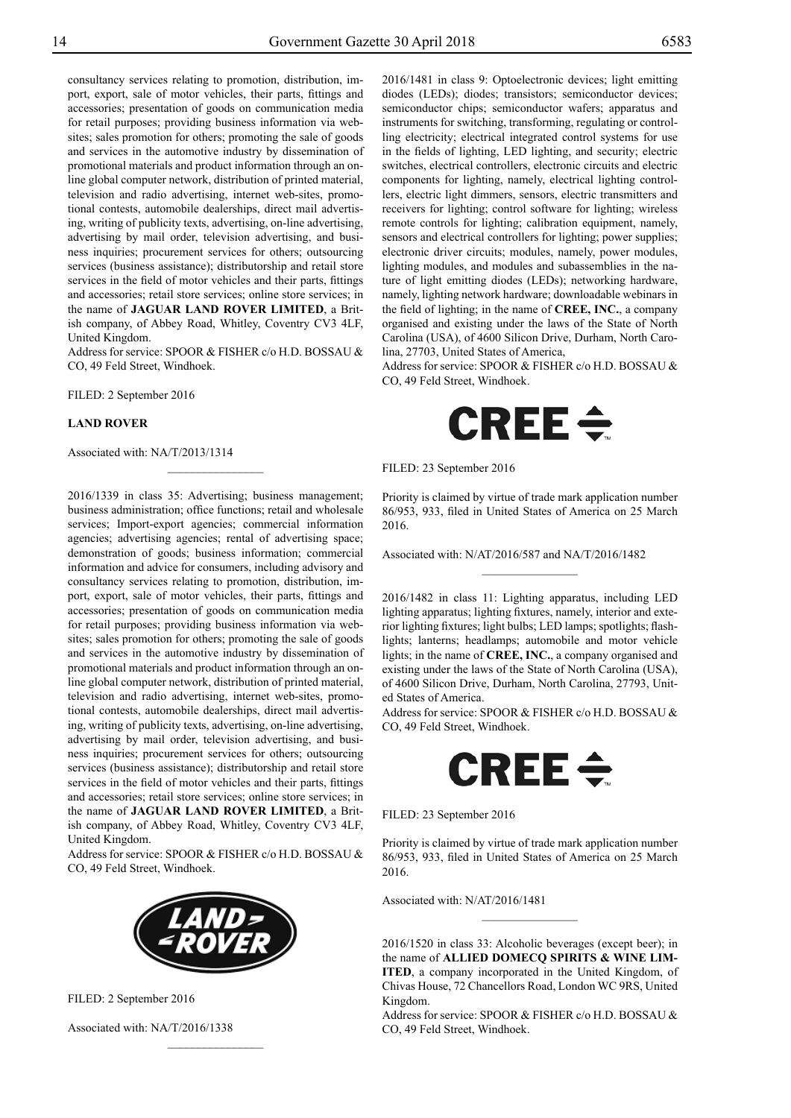consultancy services relating to promotion, distribution, import, export, sale of motor vehicles, their parts, fittings and accessories; presentation of goods on communication media for retail purposes; providing business information via websites; sales promotion for others; promoting the sale of goods and services in the automotive industry by dissemination of promotional materials and product information through an online global computer network, distribution of printed material, television and radio advertising, internet web-sites, promotional contests, automobile dealerships, direct mail advertising, writing of publicity texts, advertising, on-line advertising, advertising by mail order, television advertising, and business inquiries; procurement services for others; outsourcing services (business assistance); distributorship and retail store services in the field of motor vehicles and their parts, fittings and accessories; retail store services; online store services; in the name of **JAGUAR LAND ROVER LIMITED**, a British company, of Abbey Road, Whitley, Coventry CV3 4LF, United Kingdom.

Address for service: SPOOR & FISHER c/o H.D. BOSSAU & Co, 49 Feld Street, Windhoek.

 $\frac{1}{2}$ 

FILED: 2 September 2016

#### **LAND ROVER**

Associated with: NA/T/2013/1314

2016/1339 in class 35: Advertising; business management; business administration; office functions; retail and wholesale services; Import-export agencies; commercial information agencies; advertising agencies; rental of advertising space; demonstration of goods; business information; commercial information and advice for consumers, including advisory and consultancy services relating to promotion, distribution, import, export, sale of motor vehicles, their parts, fittings and accessories; presentation of goods on communication media for retail purposes; providing business information via websites; sales promotion for others; promoting the sale of goods and services in the automotive industry by dissemination of promotional materials and product information through an online global computer network, distribution of printed material, television and radio advertising, internet web-sites, promotional contests, automobile dealerships, direct mail advertising, writing of publicity texts, advertising, on-line advertising, advertising by mail order, television advertising, and business inquiries; procurement services for others; outsourcing services (business assistance); distributorship and retail store services in the field of motor vehicles and their parts, fittings and accessories; retail store services; online store services; in the name of **JAGUAR LAND ROVER LIMITED**, a British company, of Abbey Road, Whitley, Coventry CV3 4LF, United Kingdom.

Address for service: SPOOR & FISHER c/o H.D. BOSSAU & Co, 49 Feld Street, Windhoek.



 $\frac{1}{2}$ 

FILED: 2 September 2016

Associated with: NA/T/2016/1338

2016/1481 in class 9: Optoelectronic devices; light emitting diodes (LEDs); diodes; transistors; semiconductor devices; semiconductor chips; semiconductor wafers; apparatus and instruments for switching, transforming, regulating or controlling electricity; electrical integrated control systems for use in the fields of lighting, LED lighting, and security; electric switches, electrical controllers, electronic circuits and electric components for lighting, namely, electrical lighting controllers, electric light dimmers, sensors, electric transmitters and receivers for lighting; control software for lighting; wireless remote controls for lighting; calibration equipment, namely, sensors and electrical controllers for lighting; power supplies; electronic driver circuits; modules, namely, power modules, lighting modules, and modules and subassemblies in the nature of light emitting diodes (LEDs); networking hardware, namely, lighting network hardware; downloadable webinars in the field of lighting; in the name of **CREE, INC.**, a company organised and existing under the laws of the State of North Carolina (USA), of 4600 Silicon Drive, Durham, North Carolina, 27703, United States of America,

Address for service: SPOOR & FISHER c/o H.D. BOSSAU & Co, 49 Feld Street, Windhoek.



FILED: 23 September 2016

Priority is claimed by virtue of trade mark application number 86/953, 933, filed in United States of America on 25 March 2016.

 $\frac{1}{2}$ 

Associated with: N/AT/2016/587 and NA/T/2016/1482

2016/1482 in class 11: Lighting apparatus, including LED lighting apparatus; lighting fixtures, namely, interior and exterior lighting fixtures; light bulbs; LED lamps; spotlights; flashlights; lanterns; headlamps; automobile and motor vehicle lights; in the name of **CREE, INC.**, a company organised and existing under the laws of the State of North Carolina (USA), of 4600 Silicon Drive, Durham, North Carolina, 27793, United States of America.

Address for service: SPOOR & FISHER c/o H.D. BOSSAU & Co, 49 Feld Street, Windhoek.



FILED: 23 September 2016

Priority is claimed by virtue of trade mark application number 86/953, 933, filed in United States of America on 25 March 2016.

 $\frac{1}{2}$ 

Associated with: N/AT/2016/1481

2016/1520 in class 33: Alcoholic beverages (except beer); in the name of **ALLIED DOMECQ SPIRITS & WINE LIM-ITED**, a company incorporated in the United Kingdom, of Chivas House, 72 Chancellors Road, London WC 9RS, United Kingdom.

Address for service: SPOOR & FISHER c/o H.D. BOSSAU & Co, 49 Feld Street, Windhoek.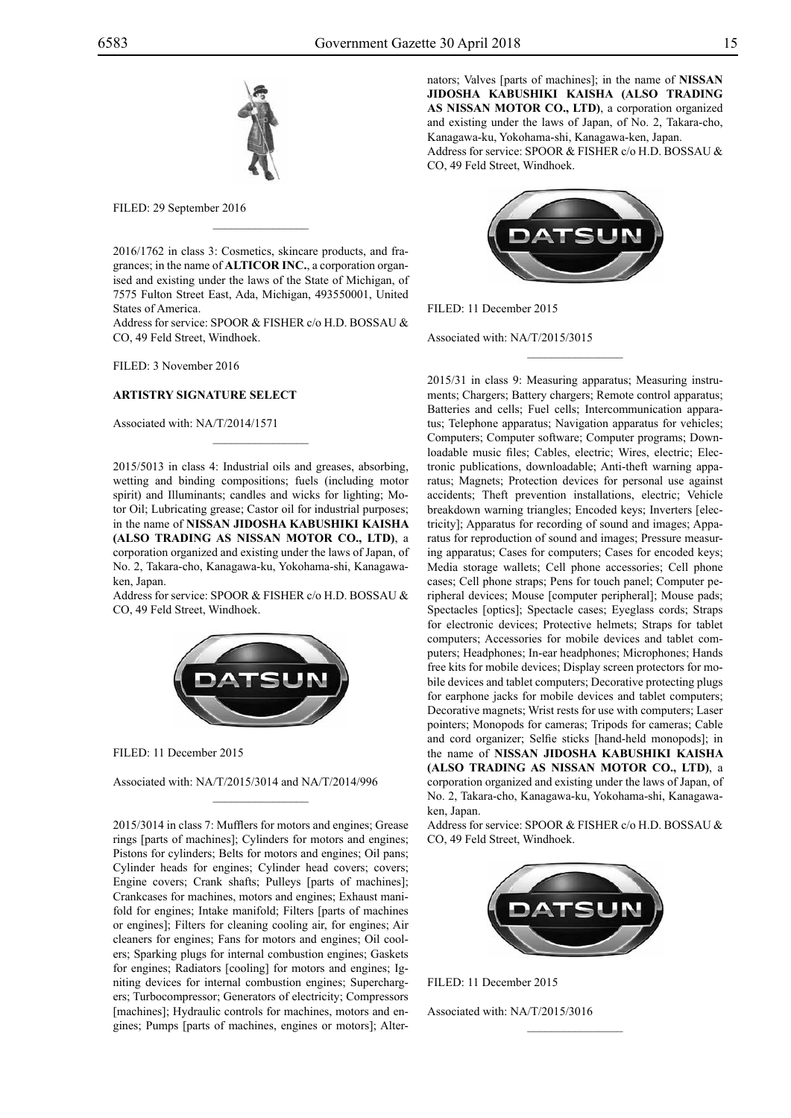

FILED: 29 September 2016

2016/1762 in class 3: Cosmetics, skincare products, and fragrances; in the name of **ALTICOR INC.**, a corporation organised and existing under the laws of the State of Michigan, of 7575 Fulton Street East, Ada, Michigan, 493550001, United States of America.

 $\overline{\phantom{a}}$  , where  $\overline{\phantom{a}}$ 

Address for service: SPOOR & FISHER c/o H.D. BOSSAU & Co, 49 Feld Street, Windhoek.

FILED: 3 November 2016

#### **ARTISTRY SIGNATURE SELECT**

Associated with: NA/T/2014/1571

2015/5013 in class 4: Industrial oils and greases, absorbing, wetting and binding compositions; fuels (including motor spirit) and Illuminants; candles and wicks for lighting; Motor Oil; Lubricating grease; Castor oil for industrial purposes; in the name of **NISSAN JIDOSHA KABUSHIKI KAISHA (ALSO TRADING AS NISSAN MOTOR CO., LTD)**, a corporation organized and existing under the laws of Japan, of No. 2, Takara-cho, Kanagawa-ku, Yokohama-shi, Kanagawaken, Japan.

 $\mathcal{L}=\mathcal{L}^{\mathcal{L}}$ 

Address for service: SPOOR & FISHER c/o H.D. BOSSAU & Co, 49 Feld Street, Windhoek.



Filed: 11 December 2015

Associated with: NA/T/2015/3014 and NA/T/2014/996

 $\overline{\phantom{a}}$  , where  $\overline{\phantom{a}}$ 

2015/3014 in class 7: Mufflers for motors and engines; Grease rings [parts of machines]; Cylinders for motors and engines; Pistons for cylinders; Belts for motors and engines; Oil pans; Cylinder heads for engines; Cylinder head covers; covers; Engine covers; Crank shafts; Pulleys [parts of machines]; Crankcases for machines, motors and engines; Exhaust manifold for engines; Intake manifold; Filters [parts of machines or engines]; Filters for cleaning cooling air, for engines; Air cleaners for engines; Fans for motors and engines; Oil coolers; Sparking plugs for internal combustion engines; Gaskets for engines; Radiators [cooling] for motors and engines; Igniting devices for internal combustion engines; Superchargers; Turbocompressor; Generators of electricity; Compressors [machines]; Hydraulic controls for machines, motors and engines; Pumps [parts of machines, engines or motors]; Alternators; Valves [parts of machines]; in the name of **NISSAN JIDOSHA KABUSHIKI KAISHA (ALSO TRADING AS NISSAN MOTOR CO., LTD)**, a corporation organized and existing under the laws of Japan, of No. 2, Takara-cho, Kanagawa-ku, Yokohama-shi, Kanagawa-ken, Japan. Address for service: SPOOR & FISHER c/o H.D. BOSSAU & Co, 49 Feld Street, Windhoek.



 $\frac{1}{2}$ 

FILED: 11 December 2015

Associated with: NA/T/2015/3015

2015/31 in class 9: Measuring apparatus; Measuring instruments; Chargers; Battery chargers; Remote control apparatus; Batteries and cells; Fuel cells; Intercommunication apparatus; Telephone apparatus; Navigation apparatus for vehicles; Computers; Computer software; Computer programs; Downloadable music files; Cables, electric; Wires, electric; Electronic publications, downloadable; Anti-theft warning apparatus; Magnets; Protection devices for personal use against accidents; Theft prevention installations, electric; Vehicle breakdown warning triangles; Encoded keys; Inverters [electricity]; Apparatus for recording of sound and images; Apparatus for reproduction of sound and images; Pressure measuring apparatus; Cases for computers; Cases for encoded keys; Media storage wallets; Cell phone accessories; Cell phone cases; Cell phone straps; Pens for touch panel; Computer peripheral devices; Mouse [computer peripheral]; Mouse pads; Spectacles [optics]; Spectacle cases; Eyeglass cords; Straps for electronic devices; Protective helmets; Straps for tablet computers; Accessories for mobile devices and tablet computers; Headphones; In-ear headphones; Microphones; Hands free kits for mobile devices; Display screen protectors for mobile devices and tablet computers; Decorative protecting plugs for earphone jacks for mobile devices and tablet computers; Decorative magnets; Wrist rests for use with computers; Laser pointers; Monopods for cameras; Tripods for cameras; Cable and cord organizer; Selfie sticks [hand-held monopods]; in the name of **NISSAN JIDOSHA KABUSHIKI KAISHA (ALSO TRADING AS NISSAN MOTOR CO., LTD)**, a corporation organized and existing under the laws of Japan, of No. 2, Takara-cho, Kanagawa-ku, Yokohama-shi, Kanagawaken, Japan.

Address for service: SPOOR & FISHER c/o H.D. BOSSAU & Co, 49 Feld Street, Windhoek.



 $\frac{1}{2}$ 

FILED: 11 December 2015

Associated with: NA/T/2015/3016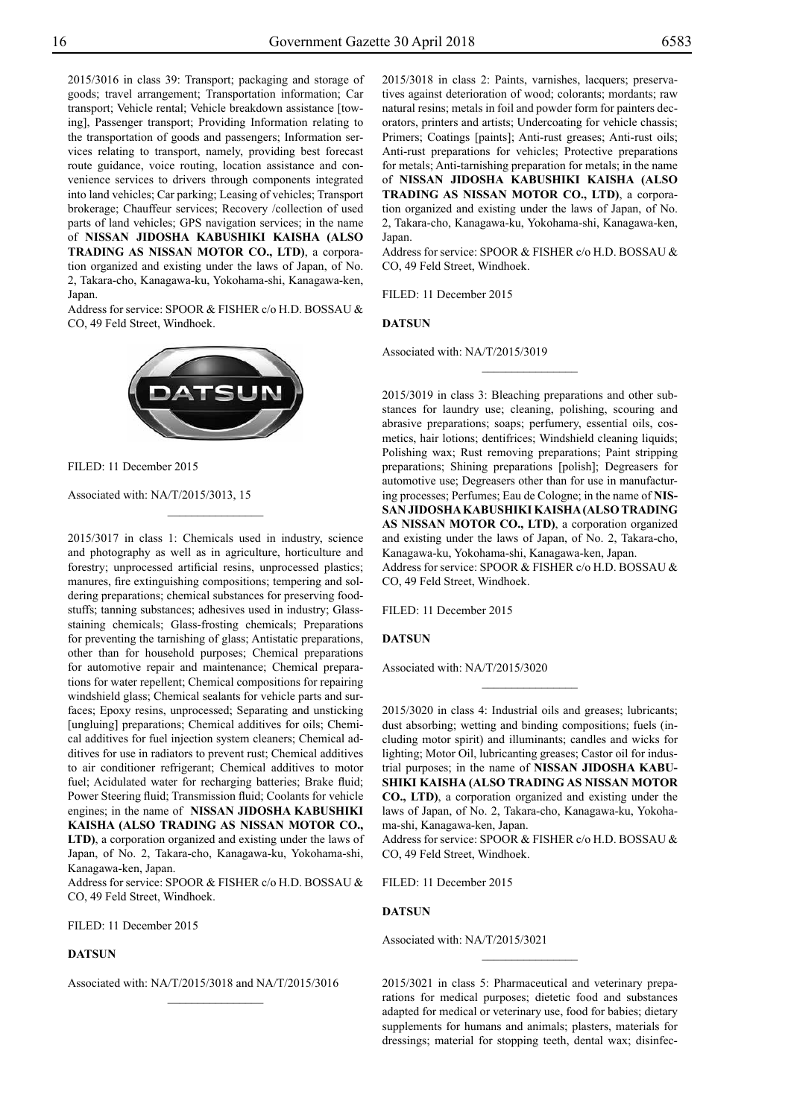2015/3016 in class 39: Transport; packaging and storage of goods; travel arrangement; Transportation information; Car transport; Vehicle rental; Vehicle breakdown assistance [towing], Passenger transport; Providing Information relating to the transportation of goods and passengers; Information services relating to transport, namely, providing best forecast route guidance, voice routing, location assistance and convenience services to drivers through components integrated into land vehicles; Car parking; Leasing of vehicles; Transport brokerage; Chauffeur services; Recovery /collection of used parts of land vehicles; GPS navigation services; in the name of **NISSAN JIDOSHA KABUSHIKI KAISHA (ALSO TRADING AS NISSAN MOTOR CO., LTD)**, a corporation organized and existing under the laws of Japan, of No. 2, Takara-cho, Kanagawa-ku, Yokohama-shi, Kanagawa-ken, Japan.

Address for service: SPOOR & FISHER c/o H.D. BOSSAU & Co, 49 Feld Street, Windhoek.



 $\frac{1}{2}$ 

FILED: 11 December 2015

Associated with: NA/T/2015/3013, 15

2015/3017 in class 1: Chemicals used in industry, science and photography as well as in agriculture, horticulture and forestry; unprocessed artificial resins, unprocessed plastics; manures, fire extinguishing compositions; tempering and soldering preparations; chemical substances for preserving foodstuffs; tanning substances; adhesives used in industry; Glassstaining chemicals; Glass-frosting chemicals; Preparations for preventing the tarnishing of glass; Antistatic preparations, other than for household purposes; Chemical preparations for automotive repair and maintenance; Chemical preparations for water repellent; Chemical compositions for repairing windshield glass; Chemical sealants for vehicle parts and surfaces; Epoxy resins, unprocessed; Separating and unsticking [ungluing] preparations; Chemical additives for oils; Chemical additives for fuel injection system cleaners; Chemical additives for use in radiators to prevent rust; Chemical additives to air conditioner refrigerant; Chemical additives to motor fuel; Acidulated water for recharging batteries; Brake fluid; Power Steering fluid; Transmission fluid; Coolants for vehicle engines; in the name of **NISSAN JIDOSHA KABUSHIKI KAISHA (ALSO TRADING AS NISSAN MOTOR CO., LTD)**, a corporation organized and existing under the laws of Japan, of No. 2, Takara-cho, Kanagawa-ku, Yokohama-shi,

Kanagawa-ken, Japan. Address for service: SPOOR & FISHER c/o H.D. BOSSAU & Co, 49 Feld Street, Windhoek.

Filed: 11 December 2015

#### **DATSUN**

Associated with: NA/T/2015/3018 and NA/T/2015/3016

 $\overline{\phantom{a}}$  , where  $\overline{\phantom{a}}$ 

2015/3018 in class 2: Paints, varnishes, lacquers; preservatives against deterioration of wood; colorants; mordants; raw natural resins; metals in foil and powder form for painters decorators, printers and artists; Undercoating for vehicle chassis; Primers; Coatings [paints]; Anti-rust greases; Anti-rust oils; Anti-rust preparations for vehicles; Protective preparations for metals; Anti-tarnishing preparation for metals; in the name of **NISSAN JIDOSHA KABUSHIKI KAISHA (ALSO TRADING AS NISSAN MOTOR CO., LTD)**, a corporation organized and existing under the laws of Japan, of No. 2, Takara-cho, Kanagawa-ku, Yokohama-shi, Kanagawa-ken, Japan.

Address for service: SPOOR & FISHER c/o H.D. BOSSAU & Co, 49 Feld Street, Windhoek.

 $\frac{1}{2}$ 

FILED: 11 December 2015

#### **DATSUN**

Associated with: NA/T/2015/3019

2015/3019 in class 3: Bleaching preparations and other substances for laundry use; cleaning, polishing, scouring and abrasive preparations; soaps; perfumery, essential oils, cosmetics, hair lotions; dentifrices; Windshield cleaning liquids; Polishing wax; Rust removing preparations; Paint stripping preparations; Shining preparations [polish]; Degreasers for automotive use; Degreasers other than for use in manufacturing processes; Perfumes; Eau de Cologne; in the name of **NIS-SAN JIDOSHA KABUSHIKI KAISHA (ALSO TRADING AS NISSAN MOTOR CO., LTD)**, a corporation organized and existing under the laws of Japan, of No. 2, Takara-cho, Kanagawa-ku, Yokohama-shi, Kanagawa-ken, Japan. Address for service: SPOOR & FISHER c/o H.D. BOSSAU & CO, 49 Feld Street, Windhoek.

FILED: 11 December 2015

#### **DATSUN**

Associated with: NA/T/2015/3020

2015/3020 in class 4: Industrial oils and greases; lubricants; dust absorbing; wetting and binding compositions; fuels (including motor spirit) and illuminants; candles and wicks for lighting; Motor Oil, lubricanting greases; Castor oil for industrial purposes; in the name of **NISSAN JIDOSHA KABU-SHIKI KAISHA (ALSO TRADING AS NISSAN MOTOR CO., LTD)**, a corporation organized and existing under the laws of Japan, of No. 2, Takara-cho, Kanagawa-ku, Yokohama-shi, Kanagawa-ken, Japan.

 $\frac{1}{2}$ 

Address for service: SPOOR & FISHER c/o H.D. BOSSAU & Co, 49 Feld Street, Windhoek.

FILED: 11 December 2015

#### **DATSUN**

Associated with: NA/T/2015/3021

2015/3021 in class 5: Pharmaceutical and veterinary preparations for medical purposes; dietetic food and substances adapted for medical or veterinary use, food for babies; dietary supplements for humans and animals; plasters, materials for dressings; material for stopping teeth, dental wax; disinfec-

 $\overline{\phantom{a}}$  , where  $\overline{\phantom{a}}$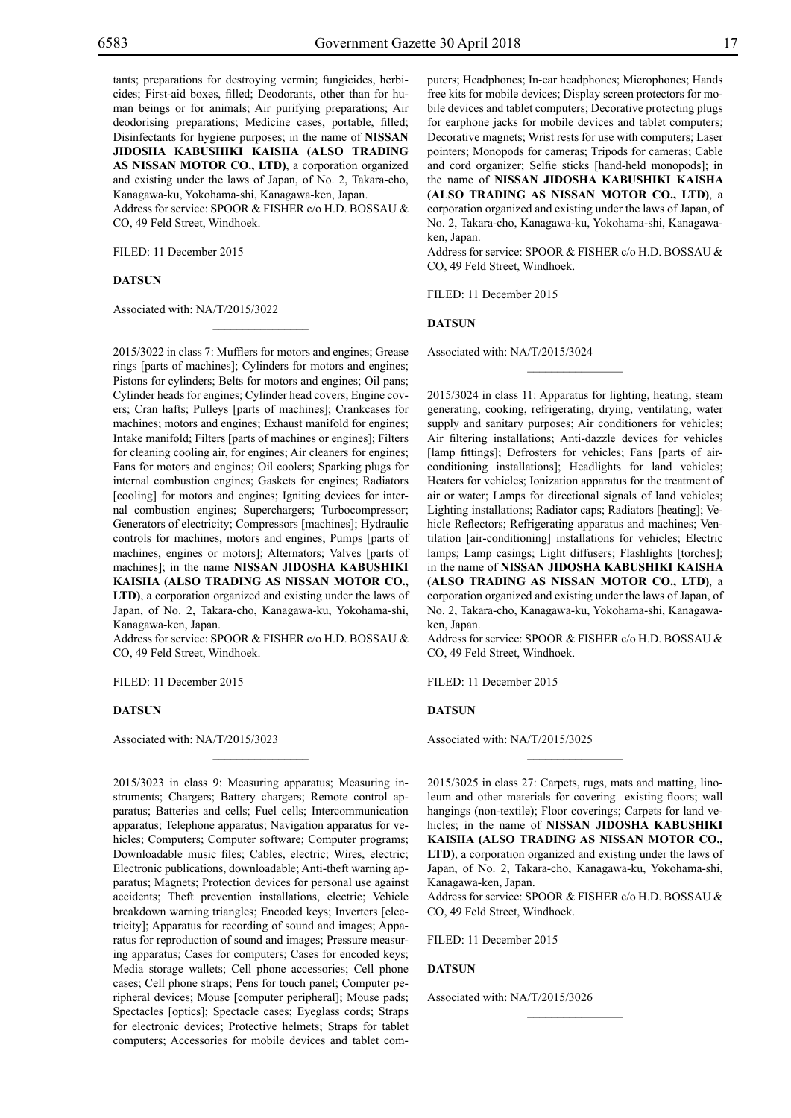tants; preparations for destroying vermin; fungicides, herbicides; First-aid boxes, filled; Deodorants, other than for human beings or for animals; Air purifying preparations; Air deodorising preparations; Medicine cases, portable, filled; Disinfectants for hygiene purposes; in the name of **NISSAN JIDOSHA KABUSHIKI KAISHA (ALSO TRADING AS NISSAN MOTOR CO., LTD)**, a corporation organized and existing under the laws of Japan, of No. 2, Takara-cho, Kanagawa-ku, Yokohama-shi, Kanagawa-ken, Japan. Address for service: SPOOR & FISHER c/o H.D. BOSSAU &

CO, 49 Feld Street, Windhoek.

 $\mathcal{L}=\mathcal{L}^{\text{max}}$ 

FILED: 11 December 2015

#### **DATSUN**

Associated with: NA/T/2015/3022

2015/3022 in class 7: Mufflers for motors and engines; Grease rings [parts of machines]; Cylinders for motors and engines; Pistons for cylinders; Belts for motors and engines; Oil pans; Cylinder heads for engines; Cylinder head covers; Engine covers; Cran hafts; Pulleys [parts of machines]; Crankcases for machines; motors and engines; Exhaust manifold for engines; Intake manifold; Filters [parts of machines or engines]; Filters for cleaning cooling air, for engines; Air cleaners for engines; Fans for motors and engines; Oil coolers; Sparking plugs for internal combustion engines; Gaskets for engines; Radiators [cooling] for motors and engines; Igniting devices for internal combustion engines; Superchargers; Turbocompressor; Generators of electricity; Compressors [machines]; Hydraulic controls for machines, motors and engines; Pumps [parts of machines, engines or motors]; Alternators; Valves [parts of machines]; in the name **NISSAN JIDOSHA KABUSHIKI KAISHA (ALSO TRADING AS NISSAN MOTOR CO., LTD)**, a corporation organized and existing under the laws of Japan, of No. 2, Takara-cho, Kanagawa-ku, Yokohama-shi, Kanagawa-ken, Japan.

Address for service: SPOOR & FISHER c/o H.D. BOSSAU & Co, 49 Feld Street, Windhoek.

 $\mathcal{L}=\mathcal{L}^{\text{max}}$ 

FILED: 11 December 2015

#### **DATSUN**

Associated with: NA/T/2015/3023

2015/3023 in class 9: Measuring apparatus; Measuring instruments; Chargers; Battery chargers; Remote control apparatus; Batteries and cells; Fuel cells; Intercommunication apparatus; Telephone apparatus; Navigation apparatus for vehicles; Computers; Computer software; Computer programs; Downloadable music files; Cables, electric; Wires, electric; Electronic publications, downloadable; Anti-theft warning apparatus; Magnets; Protection devices for personal use against accidents; Theft prevention installations, electric; Vehicle breakdown warning triangles; Encoded keys; Inverters [electricity]; Apparatus for recording of sound and images; Apparatus for reproduction of sound and images; Pressure measuring apparatus; Cases for computers; Cases for encoded keys; Media storage wallets; Cell phone accessories; Cell phone cases; Cell phone straps; Pens for touch panel; Computer peripheral devices; Mouse [computer peripheral]; Mouse pads; Spectacles [optics]; Spectacle cases; Eyeglass cords; Straps for electronic devices; Protective helmets; Straps for tablet computers; Accessories for mobile devices and tablet computers; Headphones; In-ear headphones; Microphones; Hands free kits for mobile devices; Display screen protectors for mobile devices and tablet computers; Decorative protecting plugs for earphone jacks for mobile devices and tablet computers; Decorative magnets; Wrist rests for use with computers; Laser pointers; Monopods for cameras; Tripods for cameras; Cable and cord organizer; Selfie sticks [hand-held monopods]; in the name of **NISSAN JIDOSHA KABUSHIKI KAISHA (ALSO TRADING AS NISSAN MOTOR CO., LTD)**, a corporation organized and existing under the laws of Japan, of No. 2, Takara-cho, Kanagawa-ku, Yokohama-shi, Kanagawaken, Japan.

Address for service: SPOOR & FISHER c/o H.D. BOSSAU & Co, 49 Feld Street, Windhoek.

 $\frac{1}{2}$ 

FILED: 11 December 2015

#### **DATSUN**

Associated with: NA/T/2015/3024

2015/3024 in class 11: Apparatus for lighting, heating, steam generating, cooking, refrigerating, drying, ventilating, water supply and sanitary purposes; Air conditioners for vehicles; Air filtering installations; Anti-dazzle devices for vehicles [lamp fittings]; Defrosters for vehicles; Fans [parts of airconditioning installations]; Headlights for land vehicles; Heaters for vehicles; Ionization apparatus for the treatment of air or water; Lamps for directional signals of land vehicles; Lighting installations; Radiator caps; Radiators [heating]; Vehicle Reflectors; Refrigerating apparatus and machines; Ventilation [air-conditioning] installations for vehicles; Electric lamps; Lamp casings; Light diffusers; Flashlights [torches]; in the name of **NISSAN JIDOSHA KABUSHIKI KAISHA (ALSO TRADING AS NISSAN MOTOR CO., LTD)**, a corporation organized and existing under the laws of Japan, of No. 2, Takara-cho, Kanagawa-ku, Yokohama-shi, Kanagawaken, Japan.

Address for service: SPOOR & FISHER c/o H.D. BOSSAU & CO, 49 Feld Street, Windhoek.

FILED: 11 December 2015

#### **DATSUN**

Associated with: NA/T/2015/3025

2015/3025 in class 27: Carpets, rugs, mats and matting, linoleum and other materials for covering existing floors; wall hangings (non-textile); Floor coverings; Carpets for land vehicles; in the name of **NISSAN JIDOSHA KABUSHIKI KAISHA (ALSO TRADING AS NISSAN MOTOR CO., LTD)**, a corporation organized and existing under the laws of Japan, of No. 2, Takara-cho, Kanagawa-ku, Yokohama-shi, Kanagawa-ken, Japan.

 $\frac{1}{2}$ 

Address for service: SPOOR & FISHER c/o H.D. BOSSAU & Co, 49 Feld Street, Windhoek.

 $\frac{1}{2}$ 

Filed: 11 December 2015

#### **DATSUN**

Associated with: NA/T/2015/3026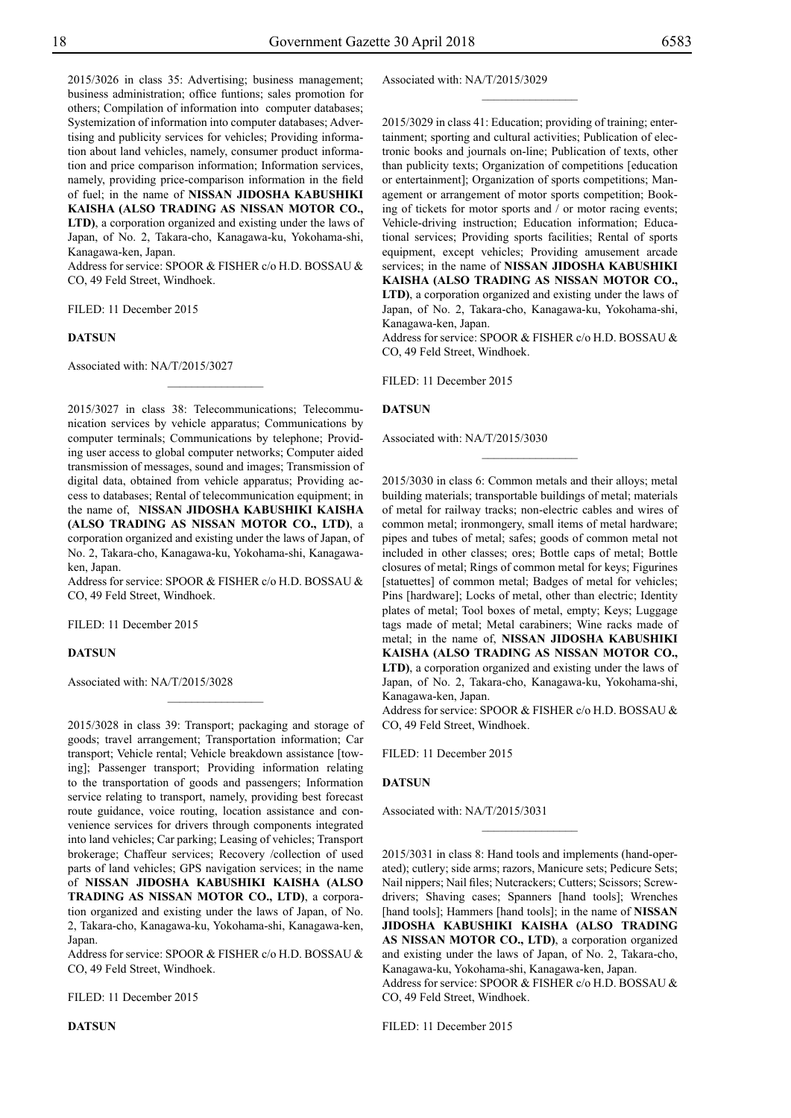2015/3026 in class 35: Advertising; business management; business administration; office funtions; sales promotion for others; Compilation of information into computer databases; Systemization of information into computer databases; Advertising and publicity services for vehicles; Providing information about land vehicles, namely, consumer product information and price comparison information; Information services, namely, providing price-comparison information in the field of fuel; in the name of **NISSAN JIDOSHA KABUSHIKI KAISHA (ALSO TRADING AS NISSAN MOTOR CO., LTD)**, a corporation organized and existing under the laws of Japan, of No. 2, Takara-cho, Kanagawa-ku, Yokohama-shi, Kanagawa-ken, Japan.

Address for service: SPOOR & FISHER c/o H.D. BOSSAU & Co, 49 Feld Street, Windhoek.

Filed: 11 December 2015

#### **DATSUN**

Associated with: NA/T/2015/3027

2015/3027 in class 38: Telecommunications; Telecommunication services by vehicle apparatus; Communications by computer terminals; Communications by telephone; Providing user access to global computer networks; Computer aided transmission of messages, sound and images; Transmission of digital data, obtained from vehicle apparatus; Providing access to databases; Rental of telecommunication equipment; in the name of, **NISSAN JIDOSHA KABUSHIKI KAISHA (ALSO TRADING AS NISSAN MOTOR CO., LTD)**, a corporation organized and existing under the laws of Japan, of No. 2, Takara-cho, Kanagawa-ku, Yokohama-shi, Kanagawaken, Japan.

 $\frac{1}{2}$ 

Address for service: SPOOR & FISHER c/o H.D. BOSSAU & Co, 49 Feld Street, Windhoek.

 $\frac{1}{2}$ 

Filed: 11 December 2015

#### **DATSUN**

Associated with: NA/T/2015/3028

2015/3028 in class 39: Transport; packaging and storage of goods; travel arrangement; Transportation information; Car transport; Vehicle rental; Vehicle breakdown assistance [towing]; Passenger transport; Providing information relating to the transportation of goods and passengers; Information service relating to transport, namely, providing best forecast route guidance, voice routing, location assistance and convenience services for drivers through components integrated into land vehicles; Car parking; Leasing of vehicles; Transport brokerage; Chaffeur services; Recovery /collection of used parts of land vehicles; GPS navigation services; in the name of **NISSAN JIDOSHA KABUSHIKI KAISHA (ALSO TRADING AS NISSAN MOTOR CO., LTD)**, a corporation organized and existing under the laws of Japan, of No. 2, Takara-cho, Kanagawa-ku, Yokohama-shi, Kanagawa-ken, **Japan** 

Address for service: SPOOR & FISHER c/o H.D. BOSSAU & Co, 49 Feld Street, Windhoek.

FILED: 11 December 2015

Associated with: NA/T/2015/3029  $\frac{1}{2}$ 

2015/3029 in class 41: Education; providing of training; entertainment; sporting and cultural activities; Publication of electronic books and journals on-line; Publication of texts, other than publicity texts; Organization of competitions [education or entertainment]; Organization of sports competitions; Management or arrangement of motor sports competition; Booking of tickets for motor sports and / or motor racing events; Vehicle-driving instruction; Education information; Educational services; Providing sports facilities; Rental of sports equipment, except vehicles; Providing amusement arcade services; in the name of **NISSAN JIDOSHA KABUSHIKI KAISHA (ALSO TRADING AS NISSAN MOTOR CO., LTD)**, a corporation organized and existing under the laws of Japan, of No. 2, Takara-cho, Kanagawa-ku, Yokohama-shi, Kanagawa-ken, Japan.

Address for service: SPOOR & FISHER c/o H.D. BOSSAU & Co, 49 Feld Street, Windhoek.

Filed: 11 December 2015

#### **DATSUN**

Associated with: NA/T/2015/3030

2015/3030 in class 6: Common metals and their alloys; metal building materials; transportable buildings of metal; materials of metal for railway tracks; non-electric cables and wires of common metal; ironmongery, small items of metal hardware; pipes and tubes of metal; safes; goods of common metal not included in other classes; ores; Bottle caps of metal; Bottle closures of metal; Rings of common metal for keys; Figurines [statuettes] of common metal; Badges of metal for vehicles; Pins [hardware]; Locks of metal, other than electric; Identity plates of metal; Tool boxes of metal, empty; Keys; Luggage tags made of metal; Metal carabiners; Wine racks made of metal; in the name of, **NISSAN JIDOSHA KABUSHIKI KAISHA (ALSO TRADING AS NISSAN MOTOR CO., LTD)**, a corporation organized and existing under the laws of Japan, of No. 2, Takara-cho, Kanagawa-ku, Yokohama-shi, Kanagawa-ken, Japan.

Address for service: SPOOR & FISHER c/o H.D. BOSSAU & Co, 49 Feld Street, Windhoek.

Filed: 11 December 2015

#### **DATSUN**

Associated with: NA/T/2015/3031

2015/3031 in class 8: Hand tools and implements (hand-operated); cutlery; side arms; razors, Manicure sets; Pedicure Sets; Nail nippers; Nail files; Nutcrackers; Cutters; Scissors; Screwdrivers; Shaving cases; Spanners [hand tools]; Wrenches [hand tools]; Hammers [hand tools]; in the name of **NISSAN JIDOSHA KABUSHIKI KAISHA (ALSO TRADING AS NISSAN MOTOR CO., LTD)**, a corporation organized and existing under the laws of Japan, of No. 2, Takara-cho, Kanagawa-ku, Yokohama-shi, Kanagawa-ken, Japan. Address for service: SPOOR & FISHER c/o H.D. BOSSAU &

 $\frac{1}{2}$ 

Co, 49 Feld Street, Windhoek.

Filed: 11 December 2015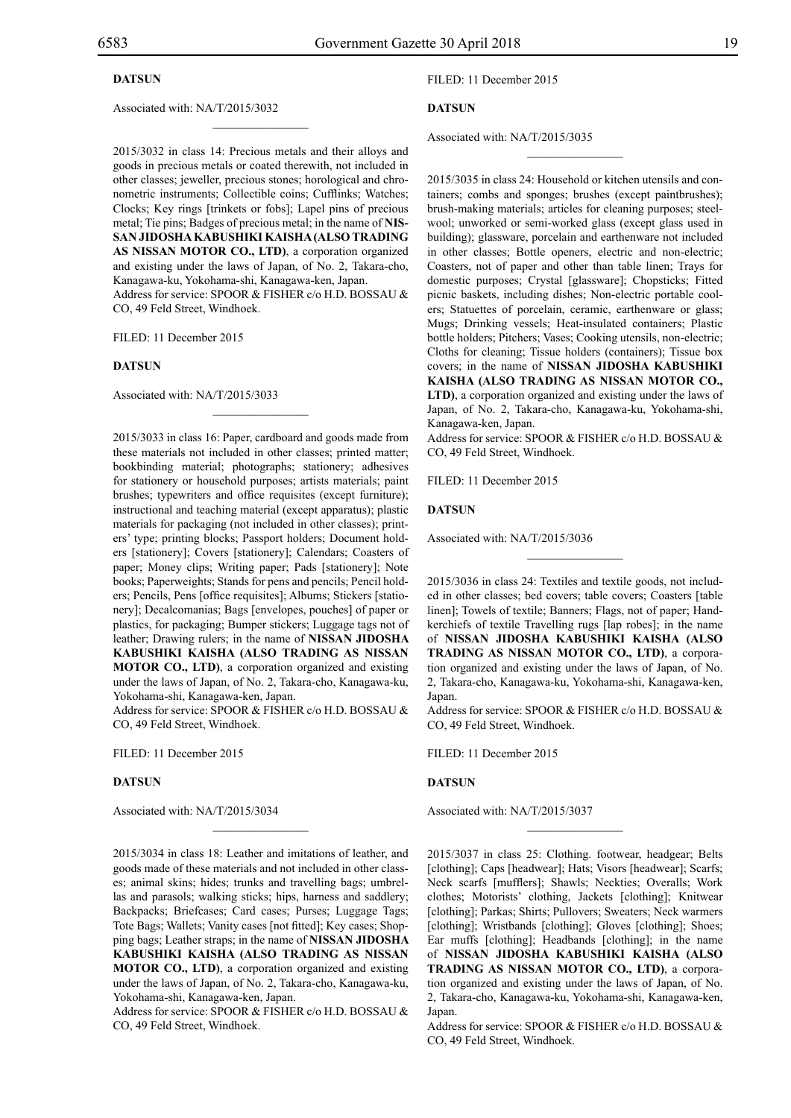#### **DATSUN**

#### Associated with: NA/T/2015/3032

2015/3032 in class 14: Precious metals and their alloys and goods in precious metals or coated therewith, not included in other classes; jeweller, precious stones; horological and chronometric instruments; Collectible coins; Cufflinks; Watches; Clocks; Key rings [trinkets or fobs]; Lapel pins of precious metal; Tie pins; Badges of precious metal; in the name of **NIS-SAN JIDOSHA KABUSHIKI KAISHA (ALSO TRADING AS NISSAN MOTOR CO., LTD)**, a corporation organized and existing under the laws of Japan, of No. 2, Takara-cho, Kanagawa-ku, Yokohama-shi, Kanagawa-ken, Japan.

 $\mathcal{L}=\mathcal{L}^{\text{max}}$ 

Address for service: SPOOR & FISHER c/o H.D. BOSSAU & Co, 49 Feld Street, Windhoek.

 $\mathcal{L}=\mathcal{L}^{\text{max}}$ 

FILED: 11 December 2015

#### **DATSUN**

Associated with: NA/T/2015/3033

2015/3033 in class 16: Paper, cardboard and goods made from these materials not included in other classes; printed matter; bookbinding material; photographs; stationery; adhesives for stationery or household purposes; artists materials; paint brushes; typewriters and office requisites (except furniture); instructional and teaching material (except apparatus); plastic materials for packaging (not included in other classes); printers' type; printing blocks; Passport holders; Document holders [stationery]; Covers [stationery]; Calendars; Coasters of paper; Money clips; Writing paper; Pads [stationery]; Note books; Paperweights; Stands for pens and pencils; Pencil holders; Pencils, Pens [office requisites]; Albums; Stickers [stationery]; Decalcomanias; Bags [envelopes, pouches] of paper or plastics, for packaging; Bumper stickers; Luggage tags not of leather; Drawing rulers; in the name of **NISSAN JIDOSHA KABUSHIKI KAISHA (ALSO TRADING AS NISSAN MOTOR CO., LTD)**, a corporation organized and existing under the laws of Japan, of No. 2, Takara-cho, Kanagawa-ku, Yokohama-shi, Kanagawa-ken, Japan.

Address for service: SPOOR & FISHER c/o H.D. BOSSAU & Co, 49 Feld Street, Windhoek.

Filed: 11 December 2015

#### **DATSUN**

Associated with: NA/T/2015/3034

Filed: 11 December 2015

#### **DATSUN**

Associated with: NA/T/2015/3035

2015/3035 in class 24: Household or kitchen utensils and containers; combs and sponges; brushes (except paintbrushes); brush-making materials; articles for cleaning purposes; steelwool; unworked or semi-worked glass (except glass used in building); glassware, porcelain and earthenware not included in other classes; Bottle openers, electric and non-electric; Coasters, not of paper and other than table linen; Trays for domestic purposes; Crystal [glassware]; Chopsticks; Fitted picnic baskets, including dishes; Non-electric portable coolers; Statuettes of porcelain, ceramic, earthenware or glass; Mugs; Drinking vessels; Heat-insulated containers; Plastic bottle holders; Pitchers; Vases; Cooking utensils, non-electric; Cloths for cleaning; Tissue holders (containers); Tissue box covers; in the name of **NISSAN JIDOSHA KABUSHIKI KAISHA (ALSO TRADING AS NISSAN MOTOR CO., LTD)**, a corporation organized and existing under the laws of Japan, of No. 2, Takara-cho, Kanagawa-ku, Yokohama-shi, Kanagawa-ken, Japan.

 $\frac{1}{2}$ 

Address for service: SPOOR & FISHER c/o H.D. BOSSAU & Co, 49 Feld Street, Windhoek.

FILED: 11 December 2015

#### **DATSUN**

Associated with: NA/T/2015/3036

2015/3036 in class 24: Textiles and textile goods, not included in other classes; bed covers; table covers; Coasters [table linen]; Towels of textile; Banners; Flags, not of paper; Handkerchiefs of textile Travelling rugs [lap robes]; in the name of **NISSAN JIDOSHA KABUSHIKI KAISHA (ALSO TRADING AS NISSAN MOTOR CO., LTD)**, a corporation organized and existing under the laws of Japan, of No. 2, Takara-cho, Kanagawa-ku, Yokohama-shi, Kanagawa-ken, Japan.

 $\frac{1}{2}$ 

Address for service: SPOOR & FISHER c/o H.D. BOSSAU & Co, 49 Feld Street, Windhoek.

Filed: 11 December 2015

#### **DATSUN**

Associated with: NA/T/2015/3037

2015/3034 in class 18: Leather and imitations of leather, and goods made of these materials and not included in other classes; animal skins; hides; trunks and travelling bags; umbrellas and parasols; walking sticks; hips, harness and saddlery; Backpacks; Briefcases; Card cases; Purses; Luggage Tags; Tote Bags; Wallets; Vanity cases [not fitted]; Key cases; Shopping bags; Leather straps; in the name of **NISSAN JIDOSHA KABUSHIKI KAISHA (ALSO TRADING AS NISSAN MOTOR CO., LTD)**, a corporation organized and existing under the laws of Japan, of No. 2, Takara-cho, Kanagawa-ku, Yokohama-shi, Kanagawa-ken, Japan.

 $\mathcal{L}=\mathcal{L}^{\text{max}}$ 

Address for service: SPOOR & FISHER c/o H.D. BOSSAU & Co, 49 Feld Street, Windhoek.

2015/3037 in class 25: Clothing. footwear, headgear; Belts [clothing]; Caps [headwear]; Hats; Visors [headwear]; Scarfs; Neck scarfs [mufflers]; Shawls; Neckties; Overalls; Work clothes; Motorists' clothing, Jackets [clothing]; Knitwear [clothing]; Parkas; Shirts; Pullovers; Sweaters; Neck warmers [clothing]; Wristbands [clothing]; Gloves [clothing]; Shoes; Ear muffs [clothing]; Headbands [clothing]; in the name of **NISSAN JIDOSHA KABUSHIKI KAISHA (ALSO TRADING AS NISSAN MOTOR CO., LTD)**, a corporation organized and existing under the laws of Japan, of No. 2, Takara-cho, Kanagawa-ku, Yokohama-shi, Kanagawa-ken, Japan.

 $\frac{1}{2}$ 

Address for service: SPOOR & FISHER c/o H.D. BOSSAU & CO, 49 Feld Street, Windhoek.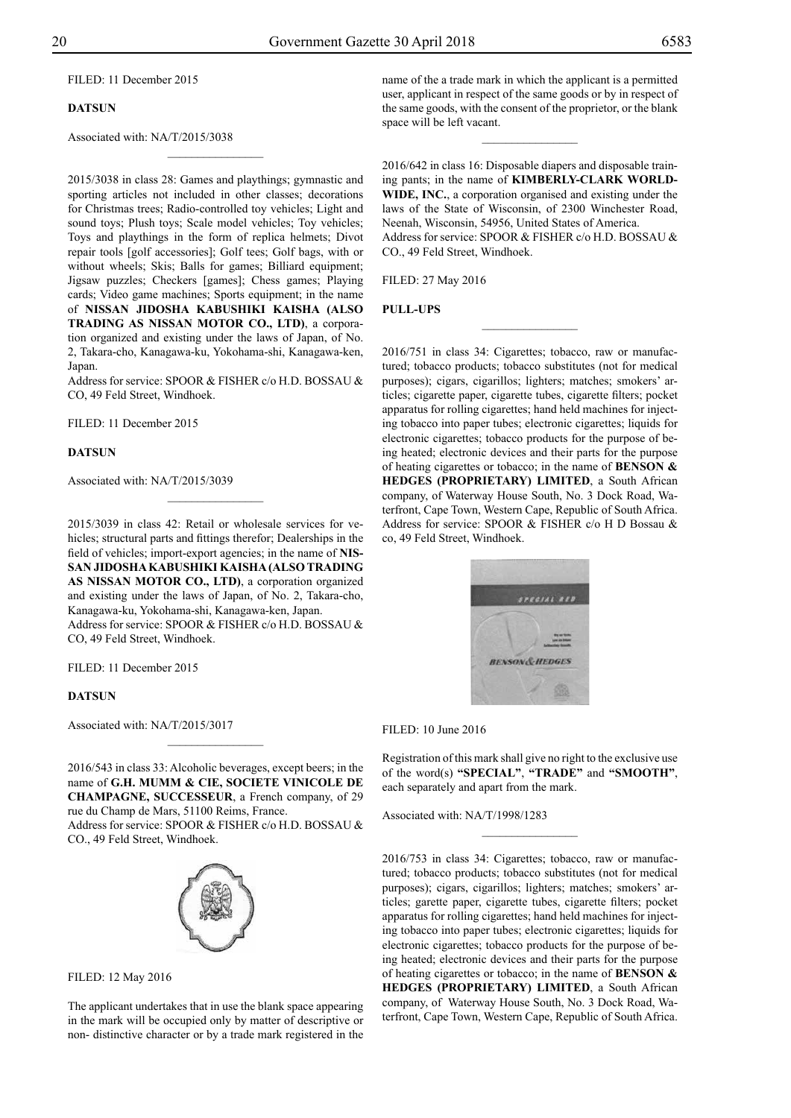FILED: 11 December 2015

#### **DATSUN**

Associated with: NA/T/2015/3038

2015/3038 in class 28: Games and playthings; gymnastic and sporting articles not included in other classes; decorations for Christmas trees; Radio-controlled toy vehicles; Light and sound toys; Plush toys; Scale model vehicles; Toy vehicles; Toys and playthings in the form of replica helmets; Divot repair tools [golf accessories]; Golf tees; Golf bags, with or without wheels; Skis; Balls for games; Billiard equipment; Jigsaw puzzles; Checkers [games]; Chess games; Playing cards; Video game machines; Sports equipment; in the name of **NISSAN JIDOSHA KABUSHIKI KAISHA (ALSO TRADING AS NISSAN MOTOR CO., LTD)**, a corporation organized and existing under the laws of Japan, of No. 2, Takara-cho, Kanagawa-ku, Yokohama-shi, Kanagawa-ken, Japan.

 $\frac{1}{2}$ 

Address for service: SPOOR & FISHER c/o H.D. BOSSAU & Co, 49 Feld Street, Windhoek.

Filed: 11 December 2015

#### **DATSUN**

Associated with: NA/T/2015/3039

2015/3039 in class 42: Retail or wholesale services for vehicles; structural parts and fittings therefor; Dealerships in the field of vehicles; import-export agencies; in the name of **NIS-SAN JIDOSHA KABUSHIKI KAISHA (ALSO TRADING AS NISSAN MOTOR CO., LTD)**, a corporation organized and existing under the laws of Japan, of No. 2, Takara-cho, Kanagawa-ku, Yokohama-shi, Kanagawa-ken, Japan. Address for service: SPOOR & FISHER c/o H.D. BOSSAU & Co, 49 Feld Street, Windhoek.

 $\overline{\phantom{a}}$  , where  $\overline{\phantom{a}}$ 

Filed: 11 December 2015

#### **DATSUN**

Associated with: NA/T/2015/3017

2016/543 in class 33: Alcoholic beverages, except beers; in the name of **G.H. MUMM & CIE, SOCIETE VINICOLE DE CHAMPAGNE, SUCCESSEUR**, a French company, of 29 rue du Champ de Mars, 51100 Reims, France.

Address for service: SPOOR & FISHER c/o H.D. BOSSAU & Co., 49 Feld Street, Windhoek.



Filed: 12 May 2016

The applicant undertakes that in use the blank space appearing in the mark will be occupied only by matter of descriptive or non- distinctive character or by a trade mark registered in the

name of the a trade mark in which the applicant is a permitted user, applicant in respect of the same goods or by in respect of the same goods, with the consent of the proprietor, or the blank space will be left vacant.

 $\overline{\phantom{a}}$  , where  $\overline{\phantom{a}}$ 

2016/642 in class 16: Disposable diapers and disposable training pants; in the name of **KIMBERLY-CLARK WORLD-WIDE, INC.**, a corporation organised and existing under the laws of the State of Wisconsin, of 2300 Winchester Road, Neenah, Wisconsin, 54956, United States of America. Address for service: SPOOR & FISHER c/o H.D. BOSSAU & CO., 49 Feld Street, Windhoek.

 $\frac{1}{2}$ 

Filed: 27 May 2016

#### **PULL-UPS**

2016/751 in class 34: Cigarettes; tobacco, raw or manufactured; tobacco products; tobacco substitutes (not for medical purposes); cigars, cigarillos; lighters; matches; smokers' articles; cigarette paper, cigarette tubes, cigarette filters; pocket apparatus for rolling cigarettes; hand held machines for injecting tobacco into paper tubes; electronic cigarettes; liquids for electronic cigarettes; tobacco products for the purpose of being heated; electronic devices and their parts for the purpose of heating cigarettes or tobacco; in the name of **BENSON & HEDGES (PROPRIETARY) LIMITED**, a South African company, of Waterway House South, No. 3 Dock Road, Waterfront, Cape Town, Western Cape, Republic of South Africa. Address for service: SPOOR & FISHER c/o H D Bossau & co, 49 Feld Street, Windhoek.



Filed: 10 June 2016

Registration of this mark shall give no right to the exclusive use of the word(s) **"SPECIAL"**, **"TRADE"** and **"SMOOTH"**, each separately and apart from the mark.

 $\frac{1}{2}$ 

Associated with: NA/T/1998/1283

2016/753 in class 34: Cigarettes; tobacco, raw or manufactured; tobacco products; tobacco substitutes (not for medical purposes); cigars, cigarillos; lighters; matches; smokers' articles; garette paper, cigarette tubes, cigarette filters; pocket apparatus for rolling cigarettes; hand held machines for injecting tobacco into paper tubes; electronic cigarettes; liquids for electronic cigarettes; tobacco products for the purpose of being heated; electronic devices and their parts for the purpose of heating cigarettes or tobacco; in the name of **BENSON & HEDGES (PROPRIETARY) LIMITED**, a South African company, of Waterway House South, No. 3 Dock Road, Waterfront, Cape Town, Western Cape, Republic of South Africa.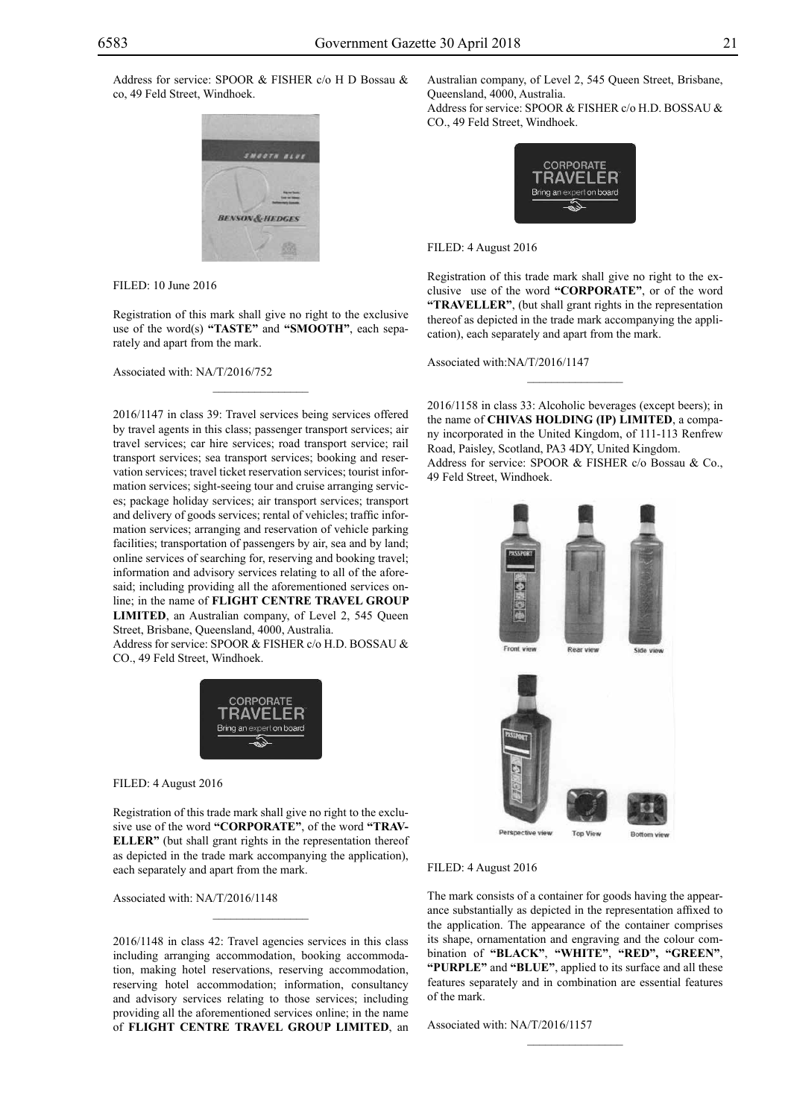Address for service: SPOOR & FISHER c/o H D Bossau & co, 49 Feld Street, Windhoek.



Filed: 10 June 2016

Registration of this mark shall give no right to the exclusive use of the word(s) **"TASTE"** and **"SMOOTH"**, each separately and apart from the mark.

 $\mathcal{L}=\mathcal{L}^{\text{max}}$ 

Associated with: NA/T/2016/752

2016/1147 in class 39: Travel services being services offered by travel agents in this class; passenger transport services; air travel services; car hire services; road transport service; rail transport services; sea transport services; booking and reservation services; travel ticket reservation services; tourist information services; sight-seeing tour and cruise arranging services; package holiday services; air transport services; transport and delivery of goods services; rental of vehicles; traffic information services; arranging and reservation of vehicle parking facilities; transportation of passengers by air, sea and by land; online services of searching for, reserving and booking travel; information and advisory services relating to all of the aforesaid; including providing all the aforementioned services online; in the name of **FLIGHT CENTRE TRAVEL GROUP LIMITED**, an Australian company, of Level 2, 545 Queen Street, Brisbane, Queensland, 4000, Australia.

Address for service: SPOOR & FISHER c/o H.D. BOSSAU & Co., 49 Feld Street, Windhoek.



Filed: 4 August 2016

Registration of this trade mark shall give no right to the exclusive use of the word **"CORPORATE"**, of the word **"TRAV-ELLER"** (but shall grant rights in the representation thereof as depicted in the trade mark accompanying the application), each separately and apart from the mark.

 $\mathcal{L}=\mathcal{L}^{\text{max}}$ 

Associated with: NA/T/2016/1148

2016/1148 in class 42: Travel agencies services in this class including arranging accommodation, booking accommodation, making hotel reservations, reserving accommodation, reserving hotel accommodation; information, consultancy and advisory services relating to those services; including providing all the aforementioned services online; in the name of **FLIGHT CENTRE TRAVEL GROUP LIMITED**, an Australian company, of Level 2, 545 Queen Street, Brisbane, Queensland, 4000, Australia. Address for service: SPOOR & FISHER c/o H.D. BOSSAU & Co., 49 Feld Street, Windhoek.



Filed: 4 August 2016

Registration of this trade mark shall give no right to the exclusive use of the word **"CORPORATE"**, or of the word **"TRAVELLER"**, (but shall grant rights in the representation thereof as depicted in the trade mark accompanying the application), each separately and apart from the mark.

Associated with:NA/T/2016/1147

2016/1158 in class 33: Alcoholic beverages (except beers); in the name of **CHIVAS HOLDING (IP) LIMITED**, a company incorporated in the United Kingdom, of 111-113 Renfrew Road, Paisley, Scotland, PA3 4DY, United Kingdom. Address for service: SPOOR & FISHER c/o Bossau & Co., 49 Feld Street, Windhoek.



#### Filed: 4 August 2016

The mark consists of a container for goods having the appearance substantially as depicted in the representation affixed to the application. The appearance of the container comprises its shape, ornamentation and engraving and the colour combination of "BLACK", "WHITE", "RED", "GREEN", **"purple"** and **"blue"**, applied to its surface and all these features separately and in combination are essential features of the mark.

 $\frac{1}{2}$ 

Associated with: NA/T/2016/1157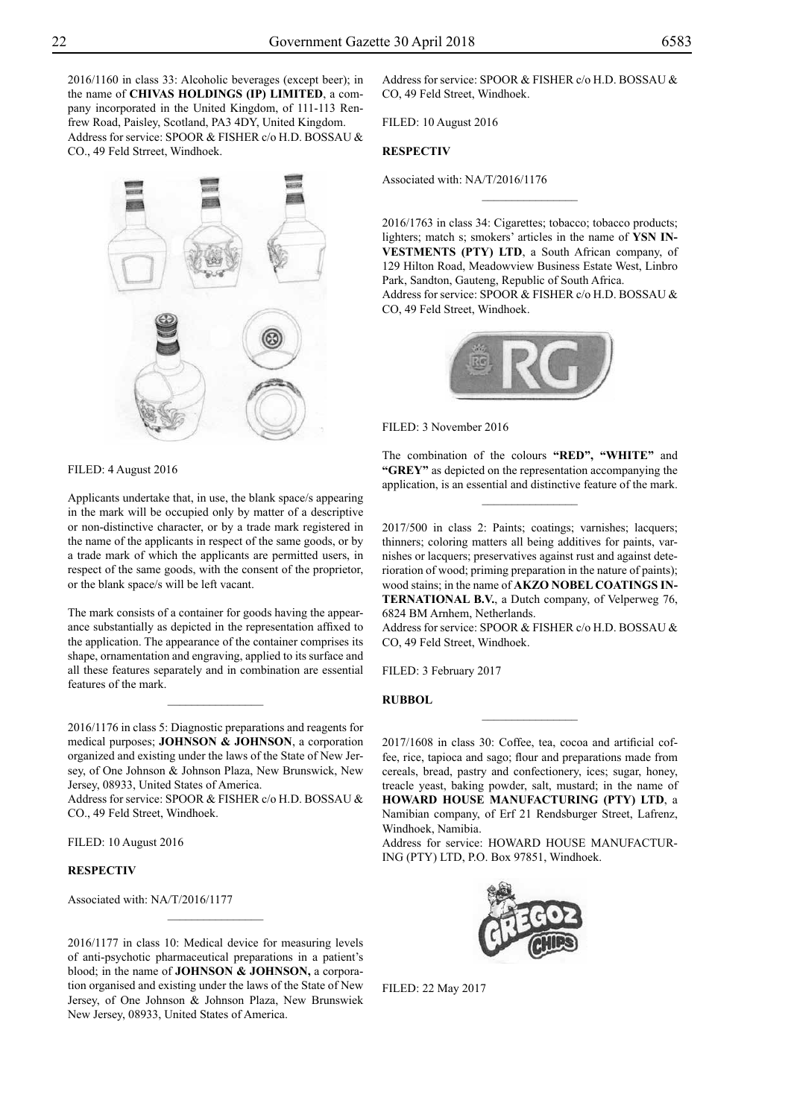2016/1160 in class 33: Alcoholic beverages (except beer); in the name of **CHIVAS HOLDINGS (IP) LIMITED**, a company incorporated in the United Kingdom, of 111-113 Renfrew Road, Paisley, Scotland, PA3 4DY, United Kingdom. Address for service: SPOOR & FISHER c/o H.D. BOSSAU & Co., 49 Feld Strreet, Windhoek.



Filed: 4 August 2016

Applicants undertake that, in use, the blank space/s appearing in the mark will be occupied only by matter of a descriptive or non-distinctive character, or by a trade mark registered in the name of the applicants in respect of the same goods, or by a trade mark of which the applicants are permitted users, in respect of the same goods, with the consent of the proprietor, or the blank space/s will be left vacant.

The mark consists of a container for goods having the appearance substantially as depicted in the representation affixed to the application. The appearance of the container comprises its shape, ornamentation and engraving, applied to its surface and all these features separately and in combination are essential features of the mark.

 $\frac{1}{2}$ 

2016/1176 in class 5: Diagnostic preparations and reagents for medical purposes; **JOHNSON & JOHNSON**, a corporation organized and existing under the laws of the State of New Jersey, of One Johnson & Johnson Plaza, New Brunswick, New Jersey, 08933, United States of America.

Address for service: SPOOR & FISHER c/o H.D. BOSSAU & Co., 49 Feld Street, Windhoek.

Filed: 10 August 2016

#### **RESPECTIV**

Associated with: NA/T/2016/1177

2016/1177 in class 10: Medical device for measuring levels of anti-psychotic pharmaceutical preparations in a patient's blood; in the name of **JOHNSON & JOHNSON,** a corporation organised and existing under the laws of the State of New Jersey, of One Johnson & Johnson Plaza, New Brunswiek New Jersey, 08933, United States of America.

 $\frac{1}{2}$ 

Address for service: SPOOR & FISHER c/o H.D. BOSSAU & CO, 49 Feld Street, Windhoek.

Filed: 10 August 2016

# **RESPECTIV**

Associated with: NA/T/2016/1176

2016/1763 in class 34: Cigarettes; tobacco; tobacco products; lighters; match s; smokers' articles in the name of **YSN IN-VESTMENTS (PTY) LTD**, a South African company, of 129 Hilton Road, Meadowview Business Estate West, Linbro Park, Sandton, Gauteng, Republic of South Africa. Address for service: SPOOR & FISHER c/o H.D. BOSSAU & Co, 49 Feld Street, Windhoek.

 $\overline{\phantom{a}}$  , where  $\overline{\phantom{a}}$ 



Filed: 3 November 2016

The combination of the colours **"RED", "WHITE"** and **"GREY"** as depicted on the representation accompanying the application, is an essential and distinctive feature of the mark.

 $\frac{1}{2}$ 

2017/500 in class 2: Paints; coatings; varnishes; lacquers; thinners; coloring matters all being additives for paints, varnishes or lacquers; preservatives against rust and against deterioration of wood; priming preparation in the nature of paints); wood stains; in the name of **AKZO NOBEL COATINGS IN-TERNATIONAL B.V.**, a Dutch company, of Velperweg 76, 6824 BM Arnhem, Netherlands.

Address for service: SPOOR & FISHER c/o H.D. BOSSAU & Co, 49 Feld Street, Windhoek.

FILED: 3 February 2017

#### **RUBBOL**

2017/1608 in class 30: Coffee, tea, cocoa and artificial coffee, rice, tapioca and sago; flour and preparations made from cereals, bread, pastry and confectionery, ices; sugar, honey, treacle yeast, baking powder, salt, mustard; in the name of **HOWARD HOUSE MANUFACTURING (PTY) LTD**, a Namibian company, of Erf 21 Rendsburger Street, Lafrenz, Windhoek, Namibia.

 $\overline{\phantom{a}}$  , where  $\overline{\phantom{a}}$ 

Address for service: HOWARD HOUSE MANUFACTUR-ING (PTY) LTD, P.O. Box 97851, Windhoek.



Filed: 22 May 2017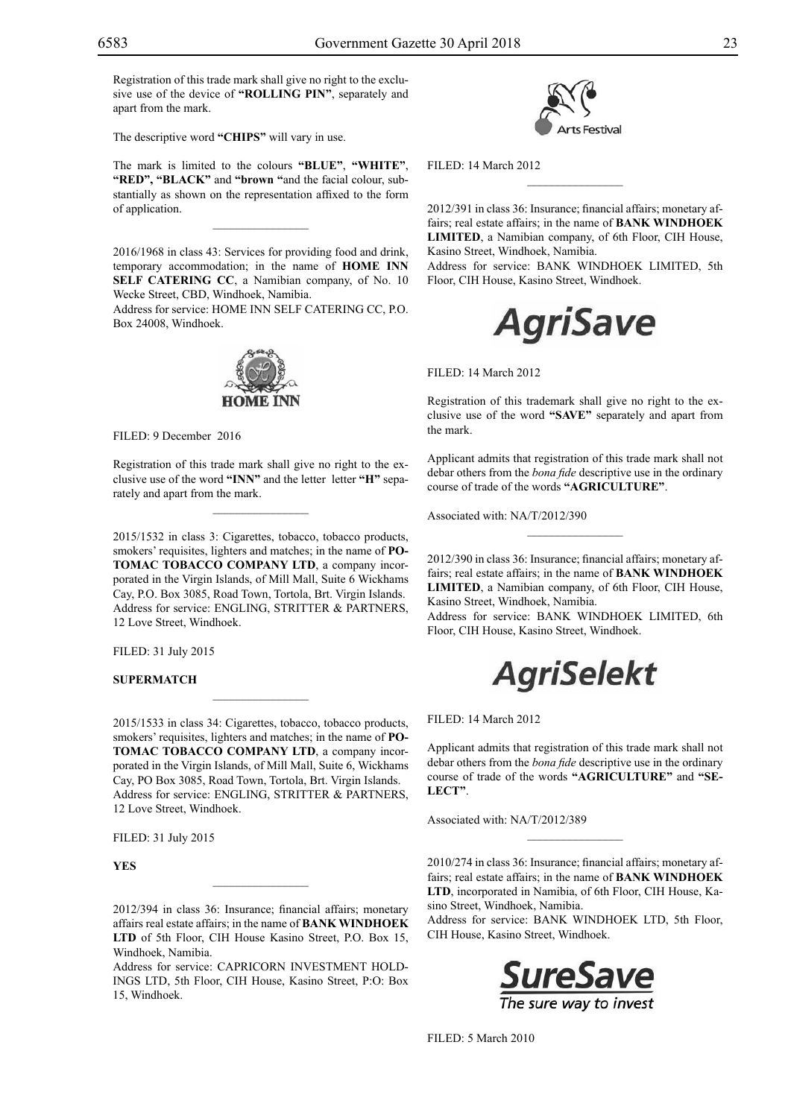Registration of this trade mark shall give no right to the exclusive use of the device of **"ROLLING PIN"**, separately and apart from the mark.

The descriptive word **"CHIPS"** will vary in use.

The mark is limited to the colours **"blue"**, **"white"**, "RED", "BLACK" and "brown "and the facial colour, substantially as shown on the representation affixed to the form of application.

 $\frac{1}{2}$ 

2016/1968 in class 43: Services for providing food and drink, temporary accommodation; in the name of **HOME INN SELF CATERING CC**, a Namibian company, of No. 10 Wecke Street, CBD, Windhoek, Namibia.

Address for service: Home Inn Self Catering CC, P.O. Box 24008, Windhoek.



FILED: 9 December 2016

Registration of this trade mark shall give no right to the exclusive use of the word **"INN"** and the letter letter **"H"** separately and apart from the mark.

 $\mathcal{L}=\mathcal{L}^{\text{max}}$ 

2015/1532 in class 3: Cigarettes, tobacco, tobacco products, smokers' requisites, lighters and matches; in the name of **PO-TOMAC TOBACCO COMPANY LTD**, a company incorporated in the Virgin Islands, of Mill Mall, Suite 6 Wickhams Cay, P.O. Box 3085, Road Town, Tortola, Brt. Virgin Islands. Address for service: ENGLING, STRITTER & PARTNERS, 12 Love Street, Windhoek.

Filed: 31 July 2015

# **SUPERMATCH**

2015/1533 in class 34: Cigarettes, tobacco, tobacco products, smokers' requisites, lighters and matches; in the name of **PO-TOMAC TOBACCO COMPANY LTD**, a company incorporated in the Virgin Islands, of Mill Mall, Suite 6, Wickhams Cay, PO Box 3085, Road Town, Tortola, Brt. Virgin Islands. Address for service: ENGLING, STRITTER & PARTNERS, 12 Love Street, Windhoek.

 $\mathcal{L}=\mathcal{L}^{\text{max}}$ 

Filed: 31 July 2015

**YES**

2012/394 in class 36: Insurance; financial affairs; monetary affairs real estate affairs; in the name of **BANK WINDHOEK LTD** of 5th Floor, CIH House Kasino Street, P.O. Box 15, Windhoek, Namibia.

Address for service: CAPRICORN INVESTMENT HOLD-INGS LTD, 5th Floor, CIH House, Kasino Street, P:O: Box 15, Windhoek.



Filed: 14 March 2012

2012/391 in class 36: Insurance; financial affairs; monetary affairs; real estate affairs; in the name of **BANK WINDHOEK LIMITED**, a Namibian company, of 6th Floor, CIH House, Kasino Street, Windhoek, Namibia.

 $\overline{\phantom{a}}$  , we can also the set of  $\overline{\phantom{a}}$ 

Address for service: BANK WINDHOEK LIMITED, 5th Floor, CIH House, Kasino Street, Windhoek.



Filed: 14 March 2012

Registration of this trademark shall give no right to the exclusive use of the word **"SAVE"** separately and apart from the mark.

Applicant admits that registration of this trade mark shall not debar others from the *bona fide* descriptive use in the ordinary course of trade of the words **"AGRICULTURE"**.

Associated with: NA/T/2012/390

2012/390 in class 36: Insurance; financial affairs; monetary affairs; real estate affairs; in the name of **BANK WINDHOEK LIMITED**, a Namibian company, of 6th Floor, CIH House, Kasino Street, Windhoek, Namibia.

Address for service: BANK WINDHOEK LIMITED, 6th Floor, CIH House, Kasino Street, Windhoek.

# **AgriSelekt**

Filed: 14 March 2012

Applicant admits that registration of this trade mark shall not debar others from the *bona fide* descriptive use in the ordinary course of trade of the words **"AGRICULTURE"** and **"SE-LECT"**.

Associated with: NA/T/2012/389

2010/274 in class 36: Insurance; financial affairs; monetary affairs; real estate affairs; in the name of **BANK WINDHOEK LTD**, incorporated in Namibia, of 6th Floor, CIH House, Kasino Street, Windhoek, Namibia.

 $\frac{1}{2}$ 

Address for service: BANK WINDHOEK LTD, 5th Floor, CIH House, Kasino Street, Windhoek.



FILED: 5 March 2010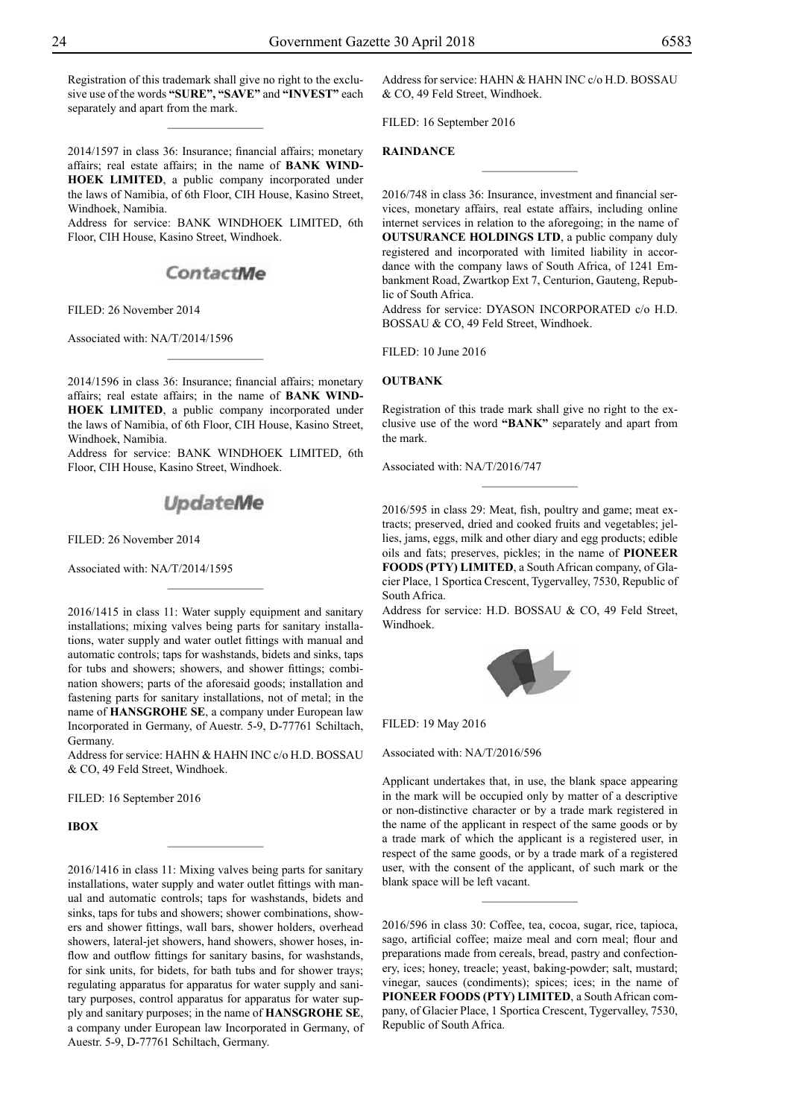Registration of this trademark shall give no right to the exclusive use of the words **"SURE", "SAVE"** and **"INVEST"** each separately and apart from the mark.

 $\overline{\phantom{a}}$  , where  $\overline{\phantom{a}}$ 

2014/1597 in class 36: Insurance; financial affairs; monetary affairs; real estate affairs; in the name of **BANK WIND-HOEK LIMITED**, a public company incorporated under the laws of Namibia, of 6th Floor, CIH House, Kasino Street, Windhoek, Namibia.

Address for service: BANK WINDHOEK LIMITED, 6th Floor, CIH House, Kasino Street, Windhoek.

# ContactMe

Filed: 26 November 2014

Associated with: NA/T/2014/1596

2014/1596 in class 36: Insurance; financial affairs; monetary affairs; real estate affairs; in the name of **BANK WIND-HOEK LIMITED**, a public company incorporated under the laws of Namibia, of 6th Floor, CIH House, Kasino Street, Windhoek, Namibia.

 $\overline{\phantom{a}}$  , where  $\overline{\phantom{a}}$ 

Address for service: BANK WINDHOEK LIMITED, 6th Floor, CIH House, Kasino Street, Windhoek.

# **UpdateMe**

Filed: 26 November 2014

Associated with: NA/T/2014/1595

2016/1415 in class 11: Water supply equipment and sanitary installations; mixing valves being parts for sanitary installations, water supply and water outlet fittings with manual and automatic controls; taps for washstands, bidets and sinks, taps for tubs and showers; showers, and shower fittings; combination showers; parts of the aforesaid goods; installation and fastening parts for sanitary installations, not of metal; in the name of **HANSGROHE SE**, a company under European law Incorporated in Germany, of Auestr. 5-9, D-77761 Schiltach, Germany.

Address for service: HAHN & HAHN INC c/o H.D. BOSSAU & Co, 49 Feld Street, Windhoek.

 $\frac{1}{2}$ 

FILED: 16 September 2016

**IBOX**

2016/1416 in class 11: Mixing valves being parts for sanitary installations, water supply and water outlet fittings with manual and automatic controls; taps for washstands, bidets and sinks, taps for tubs and showers; shower combinations, showers and shower fittings, wall bars, shower holders, overhead showers, lateral-jet showers, hand showers, shower hoses, inflow and outflow fittings for sanitary basins, for washstands, for sink units, for bidets, for bath tubs and for shower trays; regulating apparatus for apparatus for water supply and sanitary purposes, control apparatus for apparatus for water supply and sanitary purposes; in the name of **HANSGROHE SE**, a company under European law Incorporated in Germany, of Auestr. 5-9, D-77761 Schiltach, Germany.

Address for service: HAHN & HAHN INC c/o H.D. BOSSAU & Co, 49 Feld Street, Windhoek.

Filed: 16 September 2016

# **RAINDANCE**

2016/748 in class 36: Insurance, investment and financial services, monetary affairs, real estate affairs, including online internet services in relation to the aforegoing; in the name of **OUTSURANCE HOLDINGS LTD**, a public company duly registered and incorporated with limited liability in accordance with the company laws of South Africa, of 1241 Embankment Road, Zwartkop Ext 7, Centurion, Gauteng, Republic of South Africa.

 $\frac{1}{2}$ 

Address for service: DYASON INCORPORATED c/o H.D. BOSSAU & CO, 49 Feld Street, Windhoek.

Filed: 10 June 2016

#### **OUTBANK**

Registration of this trade mark shall give no right to the exclusive use of the word **"BANK"** separately and apart from the mark.

 $\frac{1}{2}$ 

Associated with: NA/T/2016/747

2016/595 in class 29: Meat, fish, poultry and game; meat extracts; preserved, dried and cooked fruits and vegetables; jellies, jams, eggs, milk and other diary and egg products; edible oils and fats; preserves, pickles; in the name of **PIONEER FOODS (PTY) LIMITED**, a South African company, of Glacier Place, 1 Sportica Crescent, Tygervalley, 7530, Republic of South Africa.

Address for service: H.D. BOSSAU & CO, 49 Feld Street, Windhoek.



Filed: 19 May 2016

Associated with: NA/T/2016/596

Applicant undertakes that, in use, the blank space appearing in the mark will be occupied only by matter of a descriptive or non-distinctive character or by a trade mark registered in the name of the applicant in respect of the same goods or by a trade mark of which the applicant is a registered user, in respect of the same goods, or by a trade mark of a registered user, with the consent of the applicant, of such mark or the blank space will be left vacant.

 $\overline{\phantom{a}}$  , where  $\overline{\phantom{a}}$ 

2016/596 in class 30: Coffee, tea, cocoa, sugar, rice, tapioca, sago, artificial coffee; maize meal and corn meal; flour and preparations made from cereals, bread, pastry and confectionery, ices; honey, treacle; yeast, baking-powder; salt, mustard; vinegar, sauces (condiments); spices; ices; in the name of **PIONEER FOODS (PTY) LIMITED**, a South African company, of Glacier Place, 1 Sportica Crescent, Tygervalley, 7530, Republic of South Africa.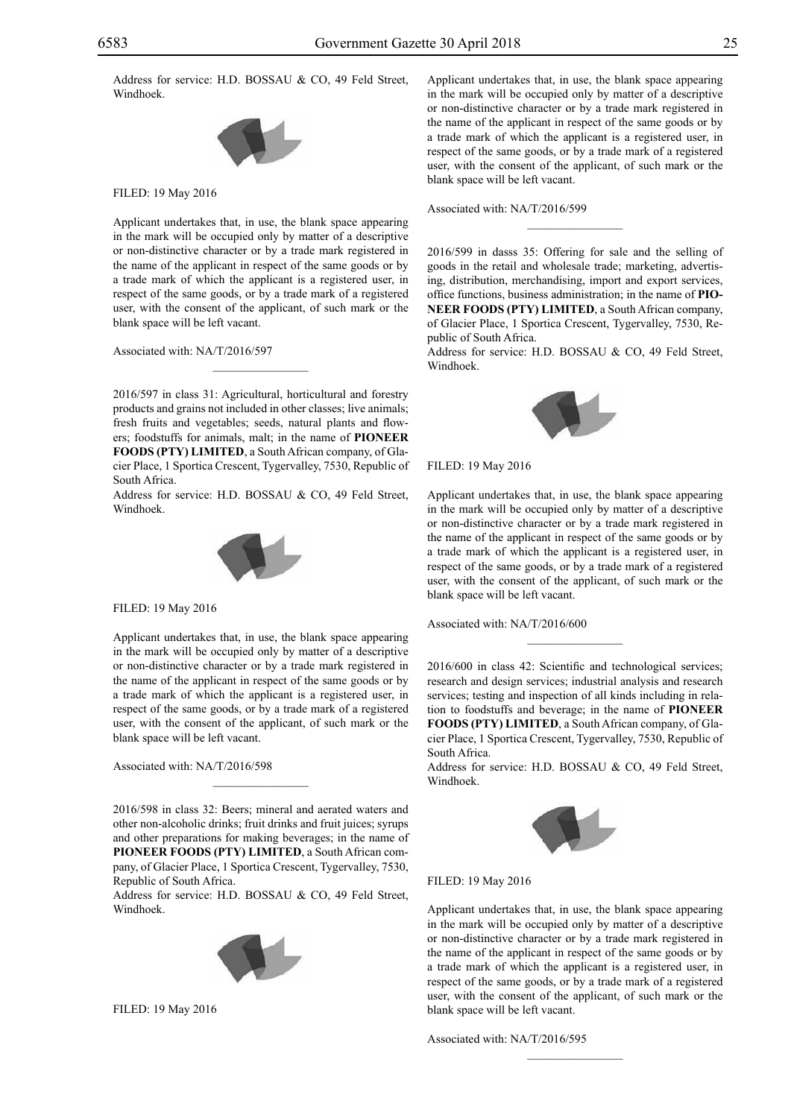Address for service: H.D. BOSSAU & CO, 49 Feld Street, Windhoek.



Filed: 19 May 2016

Applicant undertakes that, in use, the blank space appearing in the mark will be occupied only by matter of a descriptive or non-distinctive character or by a trade mark registered in the name of the applicant in respect of the same goods or by a trade mark of which the applicant is a registered user, in respect of the same goods, or by a trade mark of a registered user, with the consent of the applicant, of such mark or the blank space will be left vacant.

Associated with: NA/T/2016/597

2016/597 in class 31: Agricultural, horticultural and forestry products and grains not included in other classes; live animals; fresh fruits and vegetables; seeds, natural plants and flowers; foodstuffs for animals, malt; in the name of **PIONEER FOODS (PTY) LIMITED**, a South African company, of Glacier Place, 1 Sportica Crescent, Tygervalley, 7530, Republic of South Africa.

 $\overline{\phantom{a}}$  , where  $\overline{\phantom{a}}$ 

Address for service: H.D. BOSSAU & CO, 49 Feld Street, Windhoek.



Filed: 19 May 2016

Applicant undertakes that, in use, the blank space appearing in the mark will be occupied only by matter of a descriptive or non-distinctive character or by a trade mark registered in the name of the applicant in respect of the same goods or by a trade mark of which the applicant is a registered user, in respect of the same goods, or by a trade mark of a registered user, with the consent of the applicant, of such mark or the blank space will be left vacant.

Associated with: NA/T/2016/598

2016/598 in class 32: Beers; mineral and aerated waters and other non-alcoholic drinks; fruit drinks and fruit juices; syrups and other preparations for making beverages; in the name of **PIONEER FOODS (PTY) LIMITED**, a South African company, of Glacier Place, 1 Sportica Crescent, Tygervalley, 7530, Republic of South Africa.

 $\overline{\phantom{a}}$  , where  $\overline{\phantom{a}}$ 

Address for service: H.D. BOSSAU & CO, 49 Feld Street, Windhoek.



Filed: 19 May 2016

Applicant undertakes that, in use, the blank space appearing in the mark will be occupied only by matter of a descriptive or non-distinctive character or by a trade mark registered in the name of the applicant in respect of the same goods or by a trade mark of which the applicant is a registered user, in respect of the same goods, or by a trade mark of a registered user, with the consent of the applicant, of such mark or the blank space will be left vacant.

#### Associated with: NA/T/2016/599

2016/599 in dasss 35: Offering for sale and the selling of goods in the retail and wholesale trade; marketing, advertising, distribution, merchandising, import and export services, office functions, business administration; in the name of **PIO-NEER FOODS (PTY) LIMITED**, a South African company, of Glacier Place, 1 Sportica Crescent, Tygervalley, 7530, Republic of South Africa.

 $\frac{1}{2}$ 

Address for service: H.D. BOSSAU & CO, 49 Feld Street, Windhoek.



Filed: 19 May 2016

Applicant undertakes that, in use, the blank space appearing in the mark will be occupied only by matter of a descriptive or non-distinctive character or by a trade mark registered in the name of the applicant in respect of the same goods or by a trade mark of which the applicant is a registered user, in respect of the same goods, or by a trade mark of a registered user, with the consent of the applicant, of such mark or the blank space will be left vacant.

Associated with: NA/T/2016/600

2016/600 in class 42: Scientific and technological services; research and design services; industrial analysis and research services; testing and inspection of all kinds including in relation to foodstuffs and beverage; in the name of **PIONEER FOODS (PTY) LIMITED**, a South African company, of Glacier Place, 1 Sportica Crescent, Tygervalley, 7530, Republic of South Africa.

 $\frac{1}{2}$ 

Address for service: H.D. BOSSAU & CO, 49 Feld Street, Windhoek.



Filed: 19 May 2016

Applicant undertakes that, in use, the blank space appearing in the mark will be occupied only by matter of a descriptive or non-distinctive character or by a trade mark registered in the name of the applicant in respect of the same goods or by a trade mark of which the applicant is a registered user, in respect of the same goods, or by a trade mark of a registered user, with the consent of the applicant, of such mark or the blank space will be left vacant.

 $\frac{1}{2}$ 

Associated with: NA/T/2016/595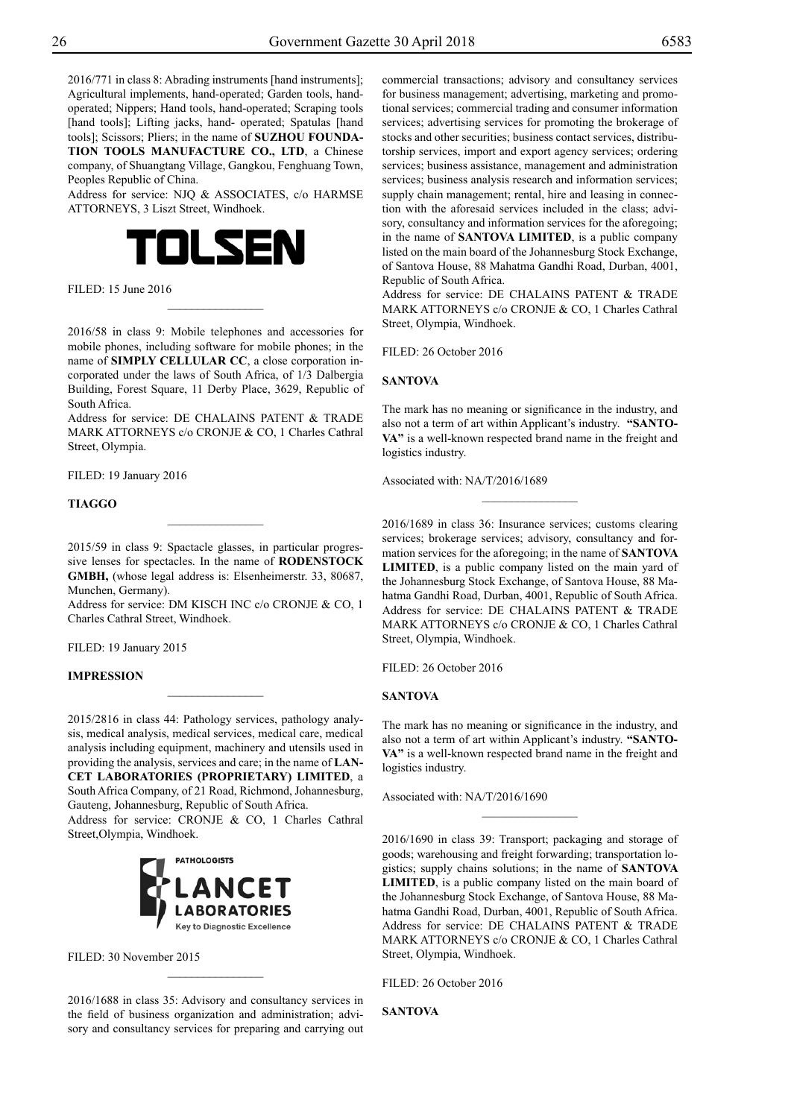2016/771 in class 8: Abrading instruments [hand instruments]; Agricultural implements, hand-operated; Garden tools, handoperated; Nippers; Hand tools, hand-operated; Scraping tools [hand tools]; Lifting jacks, hand- operated; Spatulas [hand tools]; Scissors; Pliers; in the name of **SUZHOU FOUNDA-TION TOOLS MANUFACTURE CO., LTD**, a Chinese company, of Shuangtang Village, Gangkou, Fenghuang Town, Peoples Republic of China.

Address for service: NJQ & ASSOCIATES, c/o HARMSE ATTORNEYS, 3 Liszt Street, Windhoek.



 $FII$   $FD: 15$  June 2016

2016/58 in class 9: Mobile telephones and accessories for mobile phones, including software for mobile phones; in the name of **SIMPLY CELLULAR CC**, a close corporation incorporated under the laws of South Africa, of 1/3 Dalbergia Building, Forest Square, 11 Derby Place, 3629, Republic of South Africa.

 $\frac{1}{2}$ 

Address for service: DE CHALAINS PATENT & TRADE MARK ATTORNEYS c/o CRONJE & CO, 1 Charles Cathral Street, Olympia.

FILED: 19 January 2016

### **TIAGGO**

2015/59 in class 9: Spactacle glasses, in particular progressive lenses for spectacles. In the name of **RODENSTOCK GMBH,** (whose legal address is: Elsenheimerstr. 33, 80687, Munchen, Germany).

 $\frac{1}{2}$ 

Address for service: DM KISCH INC c/o CRONJE & CO, 1 Charles Cathral Street, Windhoek.

Filed: 19 January 2015

#### **Impression**

2015/2816 in class 44: Pathology services, pathology analysis, medical analysis, medical services, medical care, medical analysis including equipment, machinery and utensils used in providing the analysis, services and care; in the name of **LAN-CET LABORATORIES (PROPRIETARY) LIMITED**, a South Africa Company, of 21 Road, Richmond, Johannesburg,

 $\overline{\phantom{a}}$  , where  $\overline{\phantom{a}}$ 

Gauteng, Johannesburg, Republic of South Africa. Address for service: CRONJE & CO, 1 Charles Cathral

Street,Olympia, Windhoek.



FILED: 30 November 2015

2016/1688 in class 35: Advisory and consultancy services in the field of business organization and administration; advisory and consultancy services for preparing and carrying out

 $\frac{1}{2}$ 

commercial transactions; advisory and consultancy services for business management; advertising, marketing and promotional services; commercial trading and consumer information services; advertising services for promoting the brokerage of stocks and other securities; business contact services, distributorship services, import and export agency services; ordering services; business assistance, management and administration services; business analysis research and information services; supply chain management; rental, hire and leasing in connection with the aforesaid services included in the class; advisory, consultancy and information services for the aforegoing; in the name of **SANTOVA LIMITED**, is a public company listed on the main board of the Johannesburg Stock Exchange, of Santova House, 88 Mahatma Gandhi Road, Durban, 4001, Republic of South Africa.

Address for service: DE CHALAINS PATENT & TRADE MARK ATTORNEYS c/o CRONJE & CO, 1 Charles Cathral Street, Olympia, Windhoek.

FILED: 26 October 2016

#### **SANTOVA**

The mark has no meaning or significance in the industry, and also not a term of art within Applicant's industry. **"SANTO-VA"** is a well-known respected brand name in the freight and logistics industry.

 $\overline{\phantom{a}}$  , where  $\overline{\phantom{a}}$ 

Associated with: NA/T/2016/1689

2016/1689 in class 36: Insurance services; customs clearing services; brokerage services; advisory, consultancy and formation services for the aforegoing; in the name of **SANTOVA LIMITED**, is a public company listed on the main yard of the Johannesburg Stock Exchange, of Santova House, 88 Mahatma Gandhi Road, Durban, 4001, Republic of South Africa. Address for service: DE CHALAINS PATENT & TRADE MARK ATTORNEYS c/o CRONJE & CO, 1 Charles Cathral Street, Olympia, Windhoek.

FILED: 26 October 2016

#### **SANTOVA**

The mark has no meaning or significance in the industry, and also not a term of art within Applicant's industry. **"SANTO-VA"** is a well-known respected brand name in the freight and logistics industry.

 $\overline{\phantom{a}}$  , where  $\overline{\phantom{a}}$ 

Associated with: NA/T/2016/1690

2016/1690 in class 39: Transport; packaging and storage of goods; warehousing and freight forwarding; transportation logistics; supply chains solutions; in the name of **SANTOVA LIMITED**, is a public company listed on the main board of the Johannesburg Stock Exchange, of Santova House, 88 Mahatma Gandhi Road, Durban, 4001, Republic of South Africa. Address for service: DE CHALAINS PATENT & TRADE MARK ATTORNEYS c/o CRONJE & CO, 1 Charles Cathral Street, Olympia, Windhoek.

FILED: 26 October 2016

**SANTOVA**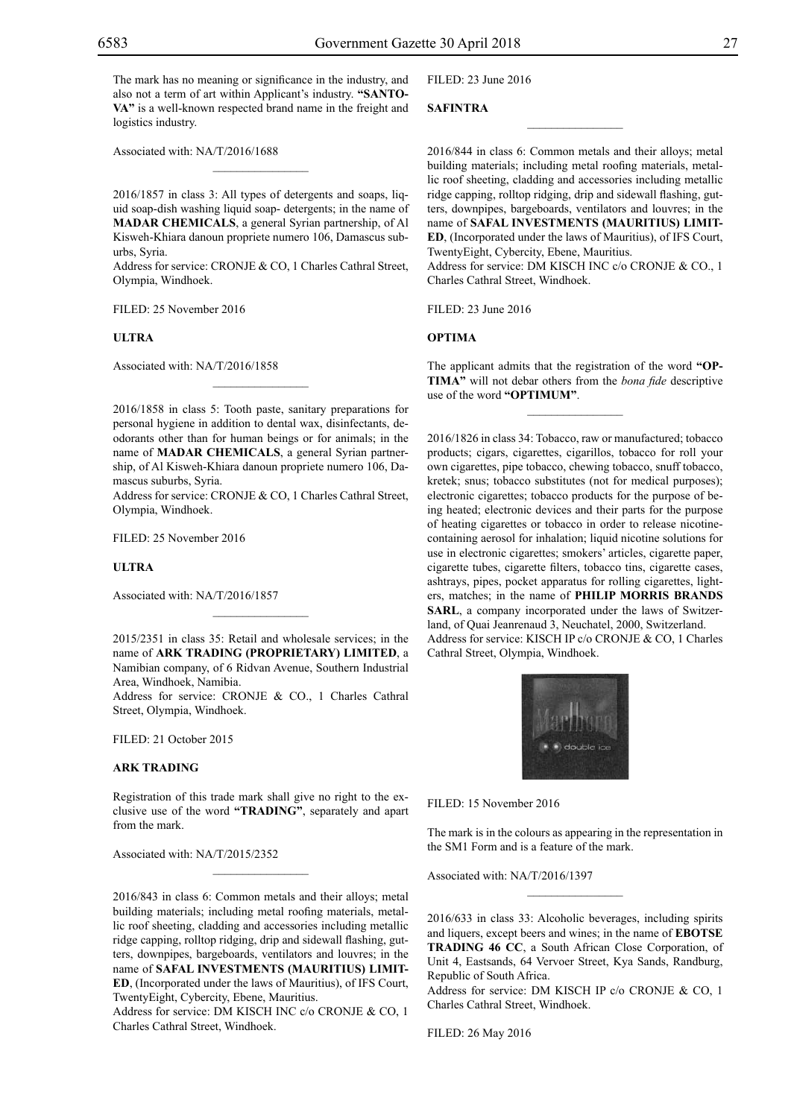The mark has no meaning or significance in the industry, and also not a term of art within Applicant's industry. **"SANTO-VA"** is a well-known respected brand name in the freight and logistics industry.

Associated with: NA/T/2016/1688

2016/1857 in class 3: All types of detergents and soaps, liquid soap-dish washing liquid soap- detergents; in the name of **MADAR CHEMICALS**, a general Syrian partnership, of Al Kisweh-Khiara danoun propriete numero 106, Damascus suburbs, Syria.

 $\mathcal{L}=\mathcal{L}^{\text{max}}$ 

Address for service: CRONJE & CO, 1 Charles Cathral Street, Olympia, Windhoek.

Filed: 25 November 2016

#### **ULTRA**

Associated with: NA/T/2016/1858

2016/1858 in class 5: Tooth paste, sanitary preparations for personal hygiene in addition to dental wax, disinfectants, deodorants other than for human beings or for animals; in the name of **MADAR CHEMICALS**, a general Syrian partnership, of Al Kisweh-Khiara danoun propriete numero 106, Damascus suburbs, Syria.

 $\mathcal{L}=\mathcal{L}^{\text{max}}$ 

Address for service: CRONJE & CO, 1 Charles Cathral Street, Olympia, Windhoek.

Filed: 25 November 2016

#### **ULTRA**

Associated with: NA/T/2016/1857

2015/2351 in class 35: Retail and wholesale services; in the name of **ARK TRADING (PROPRIETARY) LIMITED**, a Namibian company, of 6 Ridvan Avenue, Southern Industrial Area, Windhoek, Namibia.

 $\frac{1}{2}$ 

Address for service: CRONJE & CO., 1 Charles Cathral Street, Olympia, Windhoek.

Filed: 21 October 2015

#### **ARK TRADING**

Registration of this trade mark shall give no right to the exclusive use of the word **"TRADING"**, separately and apart from the mark.

 $\frac{1}{2}$ 

Associated with: NA/T/2015/2352

2016/843 in class 6: Common metals and their alloys; metal building materials; including metal roofing materials, metallic roof sheeting, cladding and accessories including metallic ridge capping, rolltop ridging, drip and sidewall flashing, gutters, downpipes, bargeboards, ventilators and louvres; in the name of **SAFAL INVESTMENTS (MAURITIUS) LIMIT-ED**, (Incorporated under the laws of Mauritius), of IFS Court, TwentyEight, Cybercity, Ebene, Mauritius.

Address for service: DM KISCH INC c/o CRONJE & CO, 1 Charles Cathral Street, Windhoek.

Filed: 23 June 2016

#### **SAFINTRA**

2016/844 in class 6: Common metals and their alloys; metal building materials; including metal roofing materials, metallic roof sheeting, cladding and accessories including metallic ridge capping, rolltop ridging, drip and sidewall flashing, gutters, downpipes, bargeboards, ventilators and louvres; in the name of **SAFAL INVESTMENTS (MAURITIUS) LIMIT-ED**, (Incorporated under the laws of Mauritius), of IFS Court, TwentyEight, Cybercity, Ebene, Mauritius.

 $\overline{\phantom{a}}$  , where  $\overline{\phantom{a}}$ 

Address for service: DM KISCH INC c/o CRONJE & CO., 1 Charles Cathral Street, Windhoek.

Filed: 23 June 2016

#### **OPTIMA**

The applicant admits that the registration of the word **"OP-TIMA"** will not debar others from the *bona fide* descriptive use of the word **"OPTIMUM"**.

 $\frac{1}{2}$ 

2016/1826 in class 34: Tobacco, raw or manufactured; tobacco products; cigars, cigarettes, cigarillos, tobacco for roll your own cigarettes, pipe tobacco, chewing tobacco, snuff tobacco, kretek; snus; tobacco substitutes (not for medical purposes); electronic cigarettes; tobacco products for the purpose of being heated; electronic devices and their parts for the purpose of heating cigarettes or tobacco in order to release nicotinecontaining aerosol for inhalation; liquid nicotine solutions for use in electronic cigarettes; smokers' articles, cigarette paper, cigarette tubes, cigarette filters, tobacco tins, cigarette cases, ashtrays, pipes, pocket apparatus for rolling cigarettes, lighters, matches; in the name of **PHILIP MORRIS BRANDS SARL**, a company incorporated under the laws of Switzerland, of Quai Jeanrenaud 3, Neuchatel, 2000, Switzerland. Address for service: KISCH IP c/o CRONJE & CO, 1 Charles Cathral Street, Olympia, Windhoek.



Filed: 15 November 2016

The mark is in the colours as appearing in the representation in the SM1 Form and is a feature of the mark.

 $\frac{1}{2}$ 

Associated with: NA/T/2016/1397

2016/633 in class 33: Alcoholic beverages, including spirits and liquers, except beers and wines; in the name of **EBOTSE TRADING 46 CC**, a South African Close Corporation, of Unit 4, Eastsands, 64 Vervoer Street, Kya Sands, Randburg, Republic of South Africa.

Address for service: DM KISCH IP c/o CRONJE & CO, 1 Charles Cathral Street, Windhoek.

Filed: 26 May 2016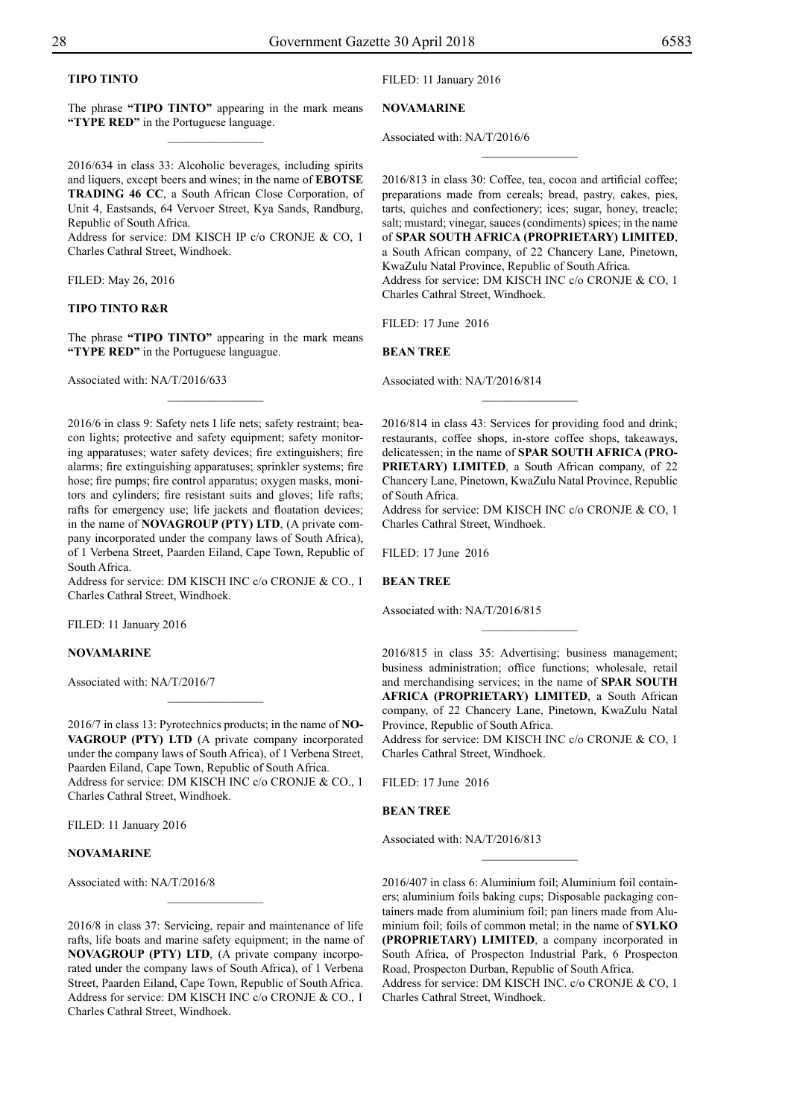# **TIPO TINTO**

The phrase **"TIPO TINTO"** appearing in the mark means **"TYPE RED"** in the Portuguese language.  $\frac{1}{2}$ 

2016/634 in class 33: Alcoholic beverages, including spirits and liquers, except beers and wines; in the name of **EBOTSE TRADING 46 CC**, a South African Close Corporation, of Unit 4, Eastsands, 64 Vervoer Street, Kya Sands, Randburg, Republic of South Africa.

Address for service: DM KISCH IP c/o CRONJE & CO, 1 Charles Cathral Street, Windhoek.

Filed: May 26, 2016

#### **TIPO TINTO R&R**

The phrase **"TIPO TINTO"** appearing in the mark means "TYPE RED" in the Portuguese languague.

 $\overline{\phantom{a}}$  , where  $\overline{\phantom{a}}$ 

Associated with: NA/T/2016/633

2016/6 in class 9: Safety nets I life nets; safety restraint; beacon lights; protective and safety equipment; safety monitoring apparatuses; water safety devices; fire extinguishers; fire alarms; fire extinguishing apparatuses; sprinkler systems; fire hose; fire pumps; fire control apparatus; oxygen masks, monitors and cylinders; fire resistant suits and gloves; life rafts; rafts for emergency use; life jackets and floatation devices; in the name of **NOVAGROUP (PTY) LTD**, (A private company incorporated under the company laws of South Africa), of 1 Verbena Street, Paarden Eiland, Cape Town, Republic of South Africa.

Address for service: DM KISCH INC c/o CRONJE & CO., 1 Charles Cathral Street, Windhoek.

FILED: 11 January 2016

## **NOVAMARINE**

Associated with: NA/T/2016/7

2016/7 in class 13: Pyrotechnics products; in the name of **NO-VAGROUP (PTY) LTD** (A private company incorporated under the company laws of South Africa), of 1 Verbena Street, Paarden Eiland, Cape Town, Republic of South Africa. Address for service: DM KISCH INC c/o CRONJE & CO., 1 Charles Cathral Street, Windhoek.

 $\overline{\phantom{a}}$  , where  $\overline{\phantom{a}}$ 

FILED: 11 January 2016

#### **NOVAMARINE**

Associated with: NA/T/2016/8

2016/8 in class 37: Servicing, repair and maintenance of life rafts, life boats and marine safety equipment; in the name of **NOVAGROUP (PTY) LTD**, (A private company incorporated under the company laws of South Africa), of 1 Verbena Street, Paarden Eiland, Cape Town, Republic of South Africa. Address for service: DM KISCH INC c/o CRONJE & CO., 1 Charles Cathral Street, Windhoek.

 $\frac{1}{2}$ 

FILED: 11 January 2016

**NOVAMARINE**

Associated with: NA/T/2016/6

2016/813 in class 30: Coffee, tea, cocoa and artificial coffee; preparations made from cereals; bread, pastry, cakes, pies, tarts, quiches and confectionery; ices; sugar, honey, treacle; salt; mustard; vinegar, sauces (condiments) spices; in the name of **SPAR SOUTH AFRICA (PROPRIETARY) LIMITED**, a South African company, of 22 Chancery Lane, Pinetown, KwaZulu Natal Province, Republic of South Africa. Address for service: DM KISCH INC c/o CRONJE & CO, 1 Charles Cathral Street, Windhoek.

 $\frac{1}{2}$ 

Filed: 17 June 2016

#### **BEAN TREE**

Associated with: NA/T/2016/814

2016/814 in class 43: Services for providing food and drink; restaurants, coffee shops, in-store coffee shops, takeaways, delicatessen; in the name of **SPAR SOUTH AFRICA (PRO-PRIETARY) LIMITED**, a South African company, of 22 Chancery Lane, Pinetown, KwaZulu Natal Province, Republic of South Africa.

 $\frac{1}{2}$ 

Address for service: DM KISCH INC c/o CRONJE & CO, 1 Charles Cathral Street, Windhoek.

Filed: 17 June 2016

**BEAN TREE**

Associated with: NA/T/2016/815

2016/815 in class 35: Advertising; business management; business administration; office functions; wholesale, retail and merchandising services; in the name of **SPAR SOUTH AFRICA (PROPRIETARY) LIMITED**, a South African company, of 22 Chancery Lane, Pinetown, KwaZulu Natal Province, Republic of South Africa.

 $\frac{1}{2}$ 

Address for service: DM KISCH INC c/o CRONJE & CO, 1 Charles Cathral Street, Windhoek.

Filed: 17 June 2016

#### **BEAN TREE**

Associated with: NA/T/2016/813

2016/407 in class 6: Aluminium foil; Aluminium foil containers; aluminium foils baking cups; Disposable packaging containers made from aluminium foil; pan liners made from Aluminium foil; foils of common metal; in the name of **SYLKO (PROPRIETARY) LIMITED**, a company incorporated in South Africa, of Prospecton Industrial Park, 6 Prospecton Road, Prospecton Durban, Republic of South Africa. Address for service: DM KISCH INC. c/o CRONJE & CO, 1 Charles Cathral Street, Windhoek.

 $\frac{1}{2}$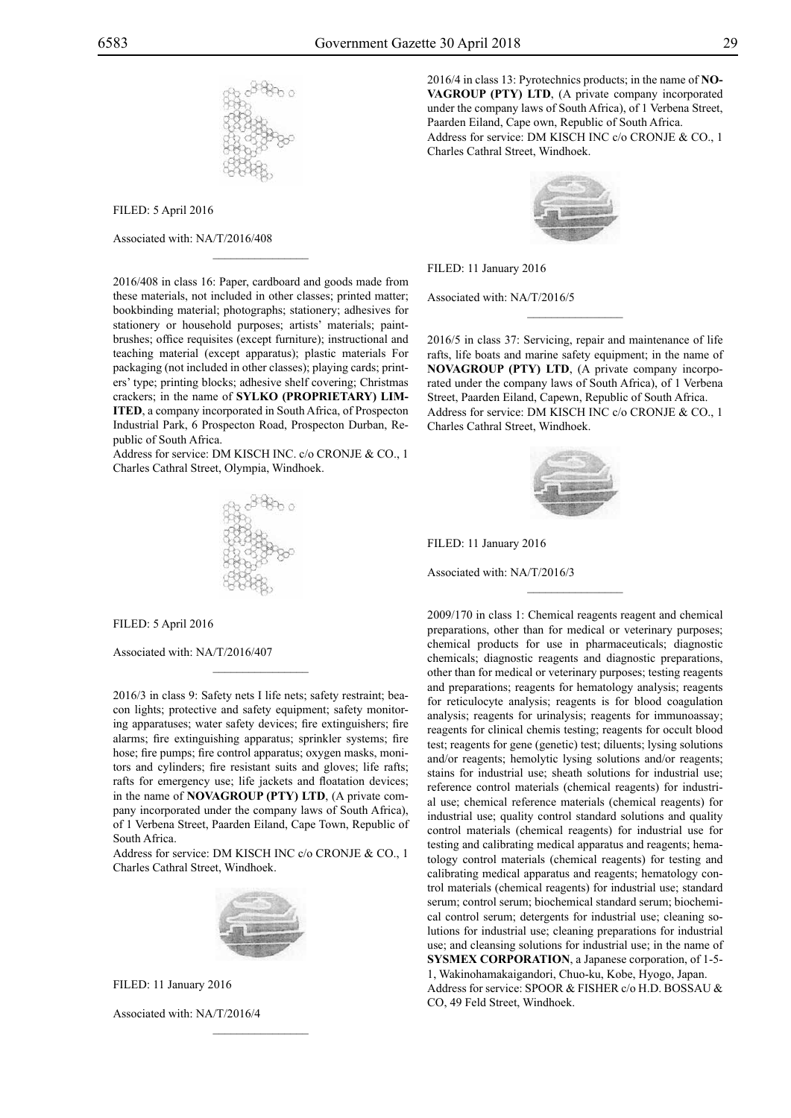

Filed: 5 April 2016

Associated with: NA/T/2016/408

2016/408 in class 16: Paper, cardboard and goods made from these materials, not included in other classes; printed matter; bookbinding material; photographs; stationery; adhesives for stationery or household purposes; artists' materials; paintbrushes; office requisites (except furniture); instructional and teaching material (except apparatus); plastic materials For packaging (not included in other classes); playing cards; printers' type; printing blocks; adhesive shelf covering; Christmas crackers; in the name of **SYLKO (PROPRIETARY) LIM-ITED**, a company incorporated in South Africa, of Prospecton Industrial Park, 6 Prospecton Road, Prospecton Durban, Republic of South Africa.

 $\mathcal{L}=\mathcal{L}^{\text{max}}$ 

Address for service: DM KISCH INC. c/o CRONJE & CO., 1 Charles Cathral Street, Olympia, Windhoek.



Filed: 5 April 2016

Associated with: NA/T/2016/407

2016/3 in class 9: Safety nets I life nets; safety restraint; beacon lights; protective and safety equipment; safety monitoring apparatuses; water safety devices; fire extinguishers; fire alarms; fire extinguishing apparatus; sprinkler systems; fire hose; fire pumps; fire control apparatus; oxygen masks, monitors and cylinders; fire resistant suits and gloves; life rafts; rafts for emergency use; life jackets and floatation devices; in the name of **NOVAGROUP (PTY) LTD**, (A private company incorporated under the company laws of South Africa), of 1 Verbena Street, Paarden Eiland, Cape Town, Republic of South Africa.

 $\mathcal{L}=\mathcal{L}^{\text{max}}$ 

Address for service: DM KISCH INC c/o CRONJE & CO., 1 Charles Cathral Street, Windhoek.



Filed: 11 January 2016

Associated with: NA/T/2016/4

2016/4 in class 13: Pyrotechnics products; in the name of **NO-VAGROUP (PTY) LTD**, (A private company incorporated under the company laws of South Africa), of 1 Verbena Street, Paarden Eiland, Cape own, Republic of South Africa. Address for service: DM KISCH INC c/o CRONJE & CO., 1 Charles Cathral Street, Windhoek.



Filed: 11 January 2016

Associated with: NA/T/2016/5

2016/5 in class 37: Servicing, repair and maintenance of life rafts, life boats and marine safety equipment; in the name of **NOVAGROUP (PTY) LTD**, (A private company incorporated under the company laws of South Africa), of 1 Verbena Street, Paarden Eiland, Capewn, Republic of South Africa. Address for service: DM KISCH INC c/o CRONJE & CO., 1 Charles Cathral Street, Windhoek.

 $\frac{1}{2}$ 



 $\frac{1}{2}$ 

Filed: 11 January 2016

Associated with: NA/T/2016/3

Co, 49 Feld Street, Windhoek.

2009/170 in class 1: Chemical reagents reagent and chemical preparations, other than for medical or veterinary purposes; chemical products for use in pharmaceuticals; diagnostic chemicals; diagnostic reagents and diagnostic preparations, other than for medical or veterinary purposes; testing reagents and preparations; reagents for hematology analysis; reagents for reticulocyte analysis; reagents is for blood coagulation analysis; reagents for urinalysis; reagents for immunoassay; reagents for clinical chemis testing; reagents for occult blood test; reagents for gene (genetic) test; diluents; lysing solutions and/or reagents; hemolytic lysing solutions and/or reagents; stains for industrial use; sheath solutions for industrial use; reference control materials (chemical reagents) for industrial use; chemical reference materials (chemical reagents) for industrial use; quality control standard solutions and quality control materials (chemical reagents) for industrial use for testing and calibrating medical apparatus and reagents; hematology control materials (chemical reagents) for testing and calibrating medical apparatus and reagents; hematology control materials (chemical reagents) for industrial use; standard serum; control serum; biochemical standard serum; biochemical control serum; detergents for industrial use; cleaning solutions for industrial use; cleaning preparations for industrial use; and cleansing solutions for industrial use; in the name of **SYSMEX CORPORATION**, a Japanese corporation, of 1-5- 1, Wakinohamakaigandori, Chuo-ku, Kobe, Hyogo, Japan. Address for service: SPOOR & FISHER c/o H.D. BOSSAU &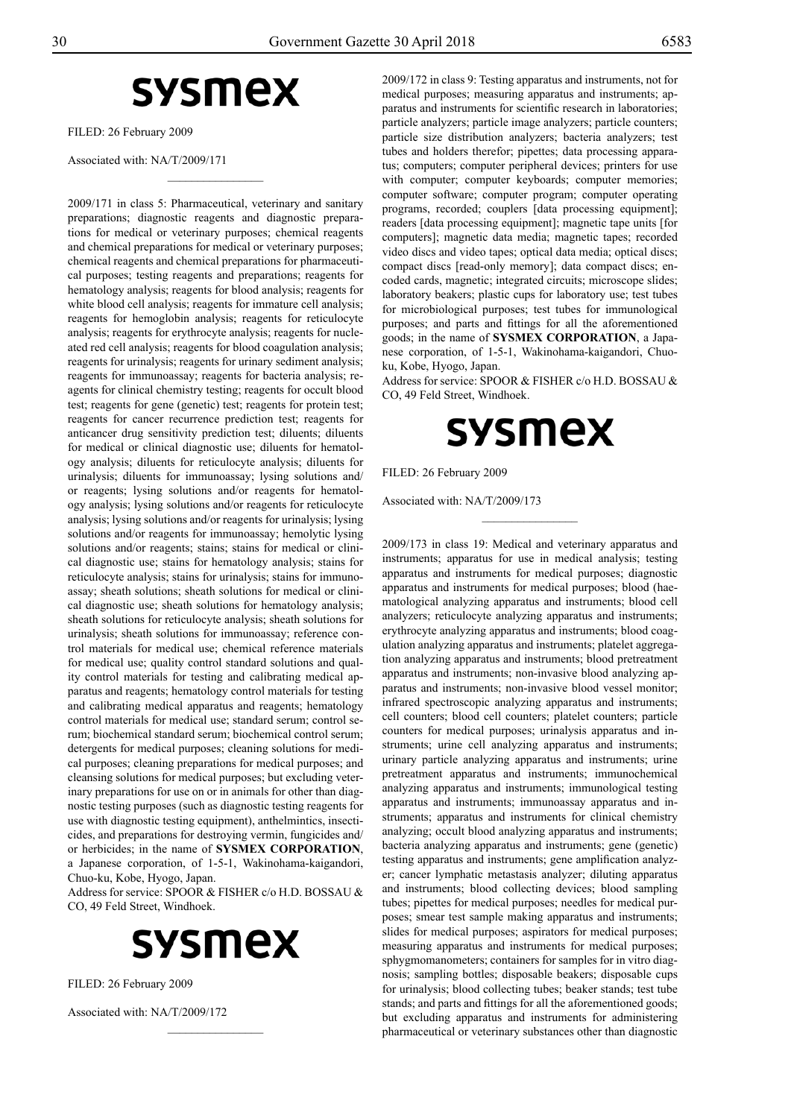# **sysmex**

 $\frac{1}{2}$ 

FILED: 26 February 2009

Associated with: NA/T/2009/171

2009/171 in class 5: Pharmaceutical, veterinary and sanitary preparations; diagnostic reagents and diagnostic preparations for medical or veterinary purposes; chemical reagents and chemical preparations for medical or veterinary purposes; chemical reagents and chemical preparations for pharmaceutical purposes; testing reagents and preparations; reagents for hematology analysis; reagents for blood analysis; reagents for white blood cell analysis; reagents for immature cell analysis; reagents for hemoglobin analysis; reagents for reticulocyte analysis; reagents for erythrocyte analysis; reagents for nucleated red cell analysis; reagents for blood coagulation analysis; reagents for urinalysis; reagents for urinary sediment analysis; reagents for immunoassay; reagents for bacteria analysis; reagents for clinical chemistry testing; reagents for occult blood test; reagents for gene (genetic) test; reagents for protein test; reagents for cancer recurrence prediction test; reagents for anticancer drug sensitivity prediction test; diluents; diluents for medical or clinical diagnostic use; diluents for hematology analysis; diluents for reticulocyte analysis; diluents for urinalysis; diluents for immunoassay; lysing solutions and/ or reagents; lysing solutions and/or reagents for hematology analysis; lysing solutions and/or reagents for reticulocyte analysis; lysing solutions and/or reagents for urinalysis; lysing solutions and/or reagents for immunoassay; hemolytic lysing solutions and/or reagents; stains; stains for medical or clinical diagnostic use; stains for hematology analysis; stains for reticulocyte analysis; stains for urinalysis; stains for immunoassay; sheath solutions; sheath solutions for medical or clinical diagnostic use; sheath solutions for hematology analysis; sheath solutions for reticulocyte analysis; sheath solutions for urinalysis; sheath solutions for immunoassay; reference control materials for medical use; chemical reference materials for medical use; quality control standard solutions and quality control materials for testing and calibrating medical apparatus and reagents; hematology control materials for testing and calibrating medical apparatus and reagents; hematology control materials for medical use; standard serum; control serum; biochemical standard serum; biochemical control serum; detergents for medical purposes; cleaning solutions for medical purposes; cleaning preparations for medical purposes; and cleansing solutions for medical purposes; but excluding veterinary preparations for use on or in animals for other than diagnostic testing purposes (such as diagnostic testing reagents for use with diagnostic testing equipment), anthelmintics, insecticides, and preparations for destroying vermin, fungicides and/ or herbicides; in the name of **SYSMEX CORPORATION**, a Japanese corporation, of 1-5-1, Wakinohama-kaigandori, Chuo-ku, Kobe, Hyogo, Japan.

Address for service: SPOOR & FISHER c/o H.D. BOSSAU & CO, 49 Feld Street, Windhoek.



Filed: 26 February 2009

Associated with: NA/T/2009/172

2009/172 in class 9: Testing apparatus and instruments, not for medical purposes; measuring apparatus and instruments; apparatus and instruments for scientific research in laboratories; particle analyzers; particle image analyzers; particle counters; particle size distribution analyzers; bacteria analyzers; test tubes and holders therefor; pipettes; data processing apparatus; computers; computer peripheral devices; printers for use with computer; computer keyboards; computer memories; computer software; computer program; computer operating programs, recorded; couplers [data processing equipment]; readers [data processing equipment]; magnetic tape units [for computers]; magnetic data media; magnetic tapes; recorded video discs and video tapes; optical data media; optical discs; compact discs [read-only memory]; data compact discs; encoded cards, magnetic; integrated circuits; microscope slides; laboratory beakers; plastic cups for laboratory use; test tubes for microbiological purposes; test tubes for immunological purposes; and parts and fittings for all the aforementioned goods; in the name of **SYSMEX CORPORATION**, a Japanese corporation, of 1-5-1, Wakinohama-kaigandori, Chuoku, Kobe, Hyogo, Japan.

Address for service: SPOOR & FISHER c/o H.D. BOSSAU & CO, 49 Feld Street, Windhoek.



 $\frac{1}{2}$ 

Filed: 26 February 2009

Associated with: NA/T/2009/173

2009/173 in class 19: Medical and veterinary apparatus and instruments; apparatus for use in medical analysis; testing apparatus and instruments for medical purposes; diagnostic apparatus and instruments for medical purposes; blood (haematological analyzing apparatus and instruments; blood cell analyzers; reticulocyte analyzing apparatus and instruments; erythrocyte analyzing apparatus and instruments; blood coagulation analyzing apparatus and instruments; platelet aggregation analyzing apparatus and instruments; blood pretreatment apparatus and instruments; non-invasive blood analyzing apparatus and instruments; non-invasive blood vessel monitor; infrared spectroscopic analyzing apparatus and instruments; cell counters; blood cell counters; platelet counters; particle counters for medical purposes; urinalysis apparatus and instruments; urine cell analyzing apparatus and instruments; urinary particle analyzing apparatus and instruments; urine pretreatment apparatus and instruments; immunochemical analyzing apparatus and instruments; immunological testing apparatus and instruments; immunoassay apparatus and instruments; apparatus and instruments for clinical chemistry analyzing; occult blood analyzing apparatus and instruments; bacteria analyzing apparatus and instruments; gene (genetic) testing apparatus and instruments; gene amplification analyzer; cancer lymphatic metastasis analyzer; diluting apparatus and instruments; blood collecting devices; blood sampling tubes; pipettes for medical purposes; needles for medical purposes; smear test sample making apparatus and instruments; slides for medical purposes; aspirators for medical purposes; measuring apparatus and instruments for medical purposes; sphygmomanometers; containers for samples for in vitro diagnosis; sampling bottles; disposable beakers; disposable cups for urinalysis; blood collecting tubes; beaker stands; test tube stands; and parts and fittings for all the aforementioned goods; but excluding apparatus and instruments for administering pharmaceutical or veterinary substances other than diagnostic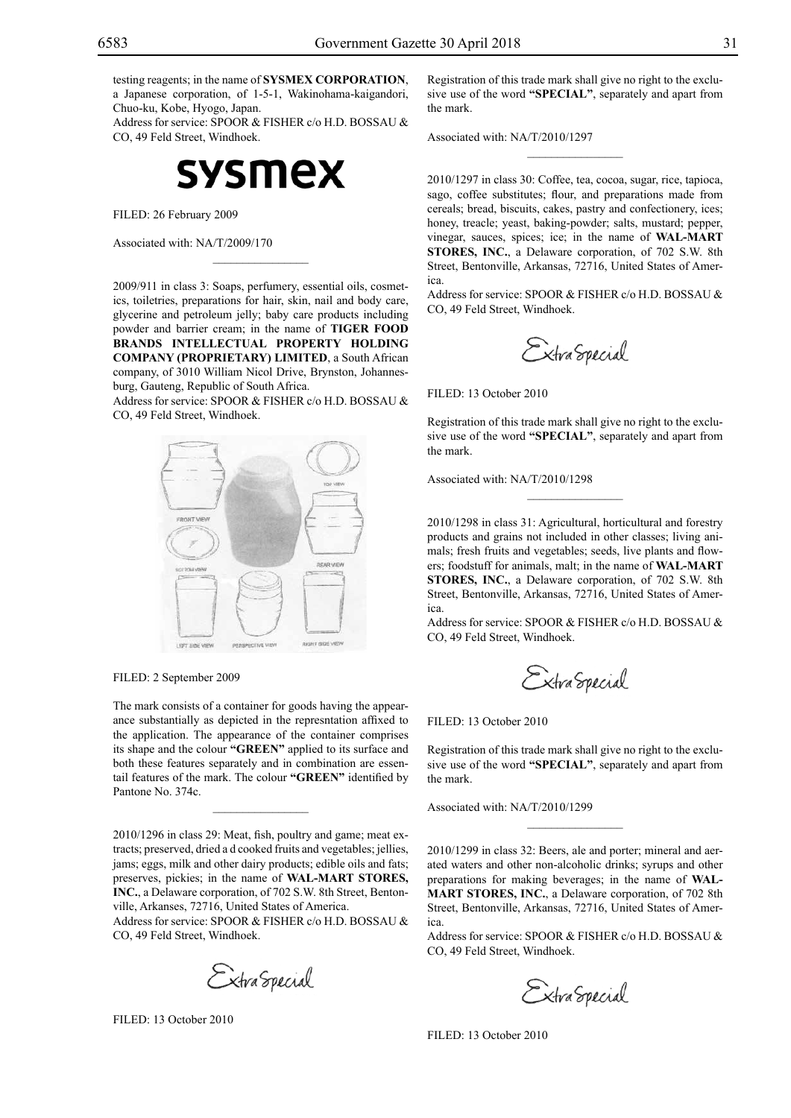testing reagents; in the name of **SYSMEX CORPORATION**, a Japanese corporation, of 1-5-1, Wakinohama-kaigandori, Chuo-ku, Kobe, Hyogo, Japan.

Address for service: SPOOR & FISHER c/o H.D. BOSSAU & Co, 49 Feld Street, Windhoek.



Filed: 26 February 2009

Associated with: NA/T/2009/170

2009/911 in class 3: Soaps, perfumery, essential oils, cosmetics, toiletries, preparations for hair, skin, nail and body care, glycerine and petroleum jelly; baby care products including powder and barrier cream; in the name of **TIGER FOOD BRANDS INTELLECTUAL PROPERTY HOLDING COMPANY (PROPRIETARY) LIMITED**, a South African company, of 3010 William Nicol Drive, Brynston, Johannesburg, Gauteng, Republic of South Africa.

 $\overline{\phantom{a}}$  , where  $\overline{\phantom{a}}$ 

Address for service: SPOOR & FISHER c/o H.D. BOSSAU & Co, 49 Feld Street, Windhoek.



Filed: 2 September 2009

The mark consists of a container for goods having the appearance substantially as depicted in the represntation affixed to the application. The appearance of the container comprises its shape and the colour "GREEN" applied to its surface and both these features separately and in combination are essentail features of the mark. The colour "GREEN" identified by Pantone No. 374c.

 $\mathcal{L}=\mathcal{L}^{\text{max}}$ 

2010/1296 in class 29: Meat, fish, poultry and game; meat extracts; preserved, dried a d cooked fruits and vegetables; jellies, jams; eggs, milk and other dairy products; edible oils and fats; preserves, pickies; in the name of **WAL-MART STORES, INC.**, a Delaware corporation, of 702 S.W. 8th Street, Bentonville, Arkanses, 72716, United States of America.

Address for service: SPOOR & FISHER c/o H.D. BOSSAU & Co, 49 Feld Street, Windhoek.

Extra Special

Filed: 13 October 2010

Registration of this trade mark shall give no right to the exclusive use of the word **"SPECIAL"**, separately and apart from the mark.

 $\frac{1}{2}$ 

Associated with: NA/T/2010/1297

2010/1297 in class 30: Coffee, tea, cocoa, sugar, rice, tapioca, sago, coffee substitutes; flour, and preparations made from cereals; bread, biscuits, cakes, pastry and confectionery, ices; honey, treacle; yeast, baking-powder; salts, mustard; pepper, vinegar, sauces, spices; ice; in the name of **WAL-MART STORES, INC.**, a Delaware corporation, of 702 S.W. 8th Street, Bentonville, Arkansas, 72716, United States of America.

Address for service: SPOOR & FISHER c/o H.D. BOSSAU & Co, 49 Feld Street, Windhoek.

Extra Special

FILED: 13 October 2010

Registration of this trade mark shall give no right to the exclusive use of the word **"SPECIAL"**, separately and apart from the mark.

 $\frac{1}{2}$ 

Associated with: NA/T/2010/1298

2010/1298 in class 31: Agricultural, horticultural and forestry products and grains not included in other classes; living animals; fresh fruits and vegetables; seeds, live plants and flowers; foodstuff for animals, malt; in the name of **WAL-MART STORES, INC.**, a Delaware corporation, of 702 S.W. 8th Street, Bentonville, Arkansas, 72716, United States of America.

Address for service: SPOOR & FISHER c/o H.D. BOSSAU & Co, 49 Feld Street, Windhoek.

Extra Special

#### FILED: 13 October 2010

Registration of this trade mark shall give no right to the exclusive use of the word **"SPECIAL"**, separately and apart from the mark.

Associated with: NA/T/2010/1299

2010/1299 in class 32: Beers, ale and porter; mineral and aerated waters and other non-alcoholic drinks; syrups and other preparations for making beverages; in the name of **WAL-MART STORES, INC.**, a Delaware corporation, of 702 8th Street, Bentonville, Arkansas, 72716, United States of America.

Address for service: SPOOR & FISHER c/o H.D. BOSSAU & Co, 49 Feld Street, Windhoek.

Extra Special

FILED: 13 October 2010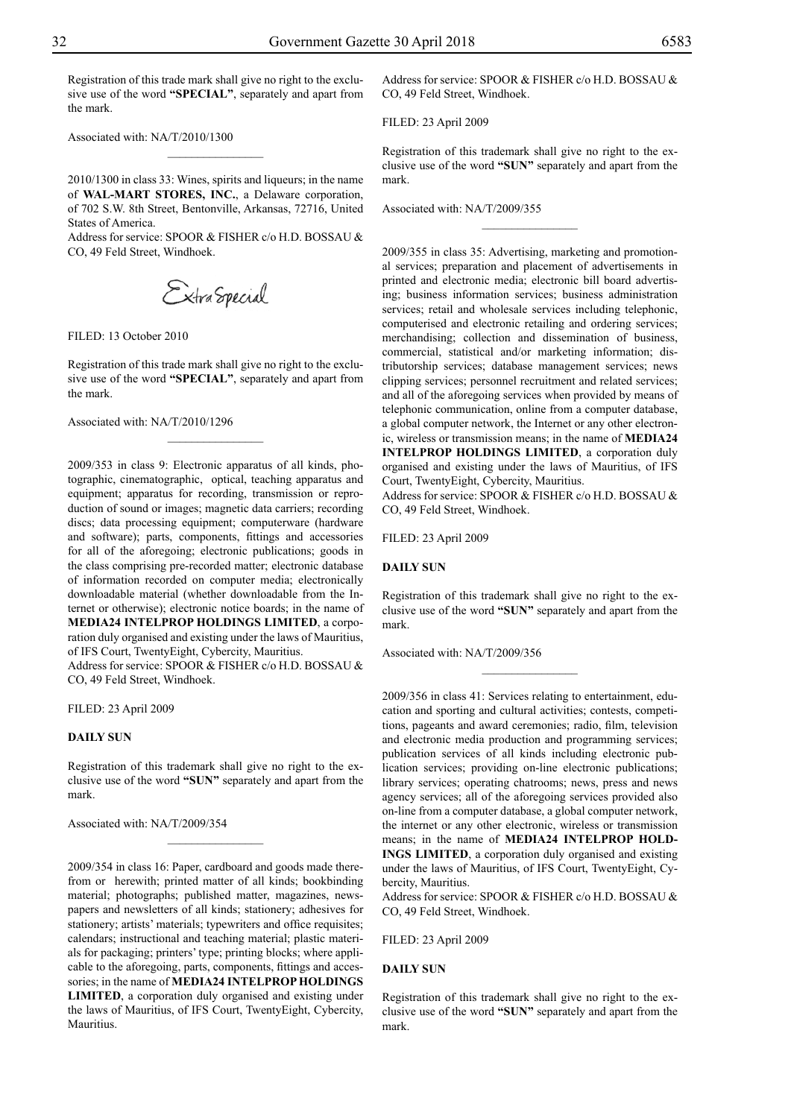Registration of this trade mark shall give no right to the exclusive use of the word **"SPECIAL"**, separately and apart from the mark.

Associated with: NA/T/2010/1300

2010/1300 in class 33: Wines, spirits and liqueurs; in the name of **WAL-MART STORES, INC.**, a Delaware corporation, of 702 S.W. 8th Street, Bentonville, Arkansas, 72716, United States of America.

 $\frac{1}{2}$ 

Address for service: SPOOR & FISHER c/o H.D. BOSSAU & Co, 49 Feld Street, Windhoek.

Filed: 13 October 2010

Registration of this trade mark shall give no right to the exclusive use of the word **"SPECIAL"**, separately and apart from the mark.

 $\frac{1}{2}$ 

Associated with: NA/T/2010/1296

2009/353 in class 9: Electronic apparatus of all kinds, photographic, cinematographic, optical, teaching apparatus and equipment; apparatus for recording, transmission or reproduction of sound or images; magnetic data carriers; recording discs; data processing equipment; computerware (hardware and software); parts, components, fittings and accessories for all of the aforegoing; electronic publications; goods in the class comprising pre-recorded matter; electronic database of information recorded on computer media; electronically downloadable material (whether downloadable from the Internet or otherwise); electronic notice boards; in the name of **MEDIA24 INTELPROP HOLDINGS LIMITED**, a corporation duly organised and existing under the laws of Mauritius, of IFS Court, TwentyEight, Cybercity, Mauritius.

Address for service: SPOOR & FISHER c/o H.D. BOSSAU & Co, 49 Feld Street, Windhoek.

Filed: 23 April 2009

#### **DAILY SUN**

Registration of this trademark shall give no right to the exclusive use of the word **"SUN"** separately and apart from the mark.

 $\overline{\phantom{a}}$  , where  $\overline{\phantom{a}}$ 

Associated with: NA/T/2009/354

2009/354 in class 16: Paper, cardboard and goods made therefrom or herewith; printed matter of all kinds; bookbinding material; photographs; published matter, magazines, newspapers and newsletters of all kinds; stationery; adhesives for stationery; artists' materials; typewriters and office requisites; calendars; instructional and teaching material; plastic materials for packaging; printers' type; printing blocks; where applicable to the aforegoing, parts, components, fittings and accessories; in the name of **MEDIA24 INTELPROP HOLDINGS LIMITED**, a corporation duly organised and existing under the laws of Mauritius, of IFS Court, TwentyEight, Cybercity, Mauritius.

Address for service: SPOOR & FISHER c/o H.D. BOSSAU & CO, 49 Feld Street, Windhoek.

Filed: 23 April 2009

Registration of this trademark shall give no right to the exclusive use of the word **"SUN"** separately and apart from the mark.

 $\frac{1}{2}$ 

Associated with: NA/T/2009/355

2009/355 in class 35: Advertising, marketing and promotional services; preparation and placement of advertisements in printed and electronic media; electronic bill board advertising; business information services; business administration services; retail and wholesale services including telephonic, computerised and electronic retailing and ordering services; merchandising; collection and dissemination of business, commercial, statistical and/or marketing information; distributorship services; database management services; news clipping services; personnel recruitment and related services; and all of the aforegoing services when provided by means of telephonic communication, online from a computer database, a global computer network, the Internet or any other electronic, wireless or transmission means; in the name of **MEDIA24 INTELPROP HOLDINGS LIMITED**, a corporation duly organised and existing under the laws of Mauritius, of IFS Court, TwentyEight, Cybercity, Mauritius.

Address for service: SPOOR & FISHER c/o H.D. BOSSAU & Co, 49 Feld Street, Windhoek.

Filed: 23 April 2009

#### **DAILY SUN**

Registration of this trademark shall give no right to the exclusive use of the word **"SUN"** separately and apart from the mark.

Associated with: NA/T/2009/356

2009/356 in class 41: Services relating to entertainment, education and sporting and cultural activities; contests, competitions, pageants and award ceremonies; radio, film, television and electronic media production and programming services; publication services of all kinds including electronic publication services; providing on-line electronic publications; library services; operating chatrooms; news, press and news agency services; all of the aforegoing services provided also on-line from a computer database, a global computer network, the internet or any other electronic, wireless or transmission means; in the name of **MEDIA24 INTELPROP HOLD-INGS LIMITED**, a corporation duly organised and existing under the laws of Mauritius, of IFS Court, TwentyEight, Cybercity, Mauritius.

Address for service: SPOOR & FISHER c/o H.D. BOSSAU & Co, 49 Feld Street, Windhoek.

Filed: 23 April 2009

#### **DAILY SUN**

Registration of this trademark shall give no right to the exclusive use of the word **"SUN"** separately and apart from the mark.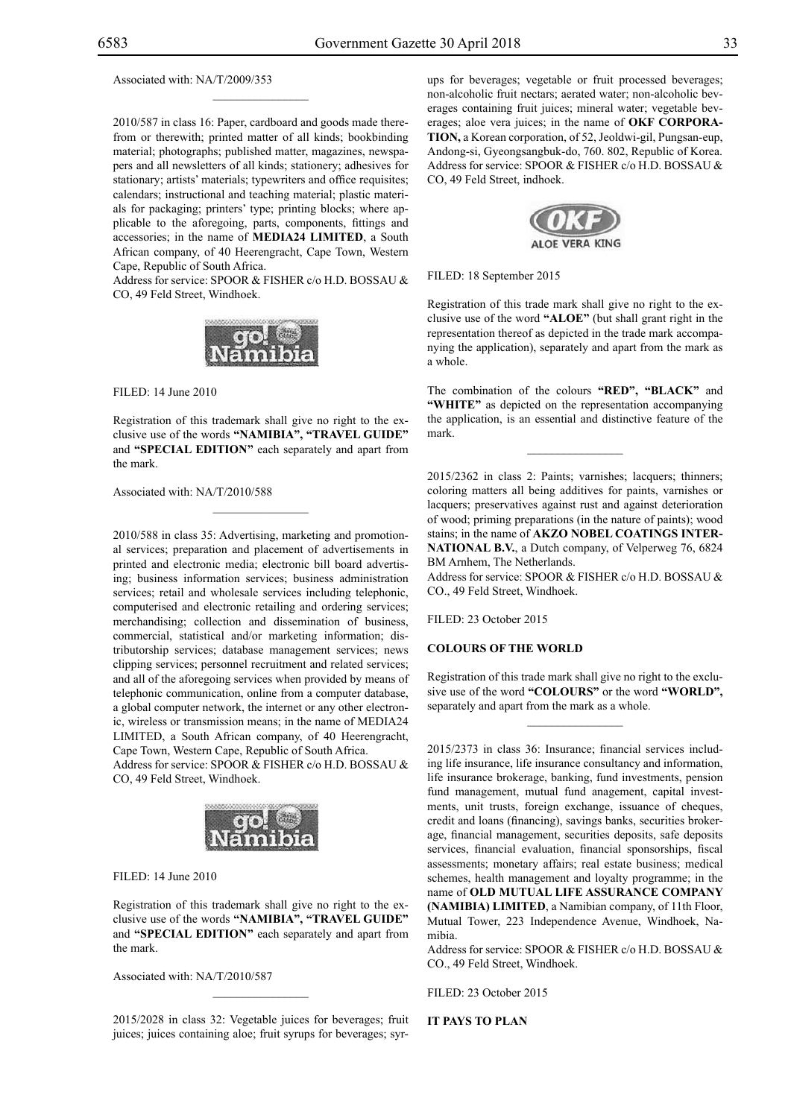Associated with: NA/T/2009/353

2010/587 in class 16: Paper, cardboard and goods made therefrom or therewith; printed matter of all kinds; bookbinding material; photographs; published matter, magazines, newspapers and all newsletters of all kinds; stationery; adhesives for stationary; artists' materials; typewriters and office requisites; calendars; instructional and teaching material; plastic materials for packaging; printers' type; printing blocks; where applicable to the aforegoing, parts, components, fittings and accessories; in the name of **MEDIA24 LIMITED**, a South African company, of 40 Heerengracht, Cape Town, Western Cape, Republic of South Africa.

 $\mathcal{L}=\mathcal{L}^{\text{max}}$ 

Address for service: SPOOR & FISHER c/o H.D. BOSSAU & Co, 49 Feld Street, Windhoek.



Filed: 14 June 2010

Registration of this trademark shall give no right to the exclusive use of the words **"NAMIBIA", "TRAVEL GUIDE"** and **"SPECIAL EDITION"** each separately and apart from the mark.

 $\mathcal{L}=\mathcal{L}^{\text{max}}$ 

Associated with: NA/T/2010/588

2010/588 in class 35: Advertising, marketing and promotional services; preparation and placement of advertisements in printed and electronic media; electronic bill board advertising; business information services; business administration services; retail and wholesale services including telephonic, computerised and electronic retailing and ordering services; merchandising; collection and dissemination of business, commercial, statistical and/or marketing information; distributorship services; database management services; news clipping services; personnel recruitment and related services; and all of the aforegoing services when provided by means of telephonic communication, online from a computer database, a global computer network, the internet or any other electronic, wireless or transmission means; in the name of MEDIA24 LIMITED, a South African company, of 40 Heerengracht, Cape Town, Western Cape, Republic of South Africa. Address for service: SPOOR & FISHER c/o H.D. BOSSAU &

Co, 49 Feld Street, Windhoek.



Filed: 14 June 2010

Registration of this trademark shall give no right to the exclusive use of the words **"NAMIBIA", "TRAVEL GUIDE"** and **"SPECIAL EDITION"** each separately and apart from the mark.

Associated with: NA/T/2010/587

2015/2028 in class 32: Vegetable juices for beverages; fruit juices; juices containing aloe; fruit syrups for beverages; syrups for beverages; vegetable or fruit processed beverages; non-alcoholic fruit nectars; aerated water; non-alcoholic beverages containing fruit juices; mineral water; vegetable beverages; aloe vera juices; in the name of **OKF CORPORA-TION,** a Korean corporation, of 52, Jeoldwi-gil, Pungsan-eup, Andong-si, Gyeongsangbuk-do, 760. 802, Republic of Korea. Address for service: SPOOR & FISHER c/o H.D. BOSSAU & Co, 49 Feld Street, indhoek.



FILED: 18 September 2015

Registration of this trade mark shall give no right to the exclusive use of the word **"ALOE"** (but shall grant right in the representation thereof as depicted in the trade mark accompanying the application), separately and apart from the mark as a whole.

The combination of the colours "RED", "BLACK" and "WHITE" as depicted on the representation accompanying the application, is an essential and distinctive feature of the mark.

 $\overline{\phantom{a}}$  , we can also the set of  $\overline{\phantom{a}}$ 

2015/2362 in class 2: Paints; varnishes; lacquers; thinners; coloring matters all being additives for paints, varnishes or lacquers; preservatives against rust and against deterioration of wood; priming preparations (in the nature of paints); wood stains; in the name of **AKZO NOBEL COATINGS INTER-NATIONAL B.V.**, a Dutch company, of Velperweg 76, 6824 BM Arnhem, The Netherlands.

Address for service: SPOOR & FISHER c/o H.D. BOSSAU & Co., 49 Feld Street, Windhoek.

FILED: 23 October 2015

#### **COLOURS OF THE WORLD**

Registration of this trade mark shall give no right to the exclusive use of the word **"COLOURS"** or the word **"WORLD",**  separately and apart from the mark as a whole.

 $\frac{1}{2}$ 

2015/2373 in class 36: Insurance; financial services including life insurance, life insurance consultancy and information, life insurance brokerage, banking, fund investments, pension fund management, mutual fund anagement, capital investments, unit trusts, foreign exchange, issuance of cheques, credit and loans (financing), savings banks, securities brokerage, financial management, securities deposits, safe deposits services, financial evaluation, financial sponsorships, fiscal assessments; monetary affairs; real estate business; medical schemes, health management and loyalty programme; in the name of **OLD MUTUAL LIFE ASSURANCE COMPANY (NAMIBIA) LIMITED**, a Namibian company, of 11th Floor, Mutual Tower, 223 Independence Avenue, Windhoek, Namibia.

Address for service: SPOOR & FISHER c/o H.D. BOSSAU & Co., 49 Feld Street, Windhoek.

FILED: 23 October 2015

**IT PAYS TO PLAN**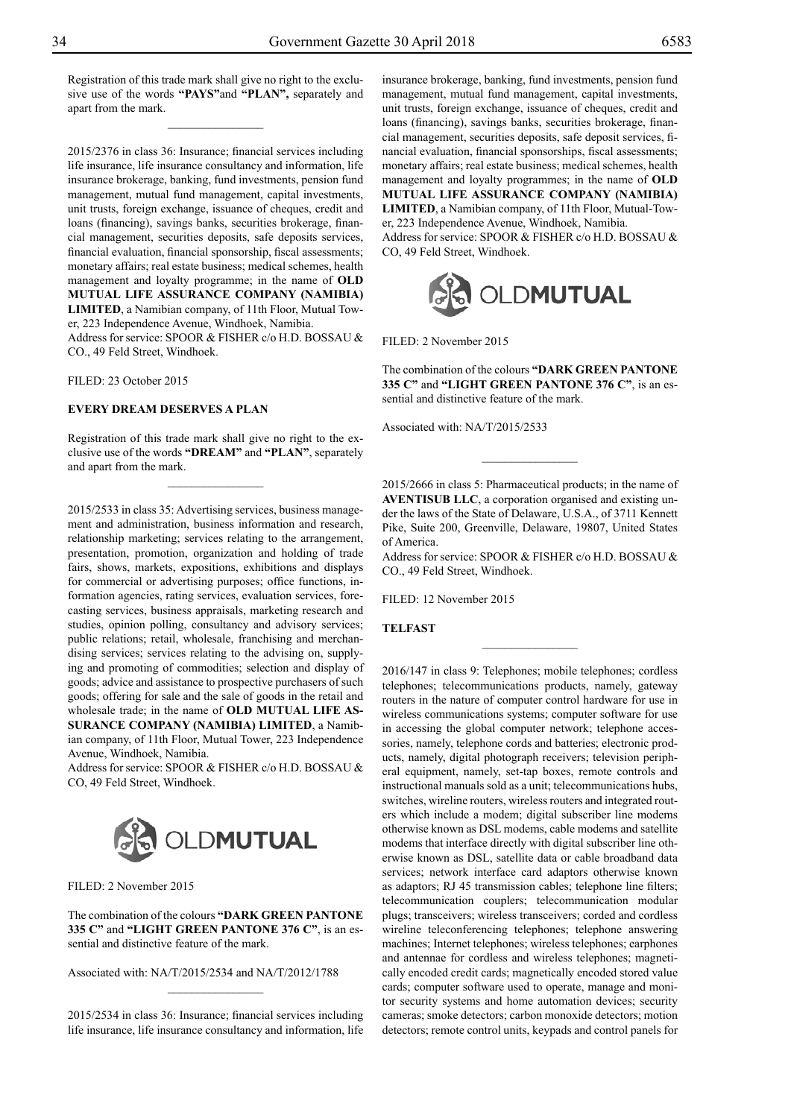Registration of this trade mark shall give no right to the exclusive use of the words **"PAYS"**and **"PLAN",** separately and apart from the mark.

 $\overline{\phantom{a}}$  , where  $\overline{\phantom{a}}$ 

2015/2376 in class 36: Insurance; financial services including life insurance, life insurance consultancy and information, life insurance brokerage, banking, fund investments, pension fund management, mutual fund management, capital investments, unit trusts, foreign exchange, issuance of cheques, credit and loans (financing), savings banks, securities brokerage, financial management, securities deposits, safe deposits services, financial evaluation, financial sponsorship, fiscal assessments; monetary affairs; real estate business; medical schemes, health management and loyalty programme; in the name of **OLD MUTUAL LIFE ASSURANCE COMPANY (NAMIBIA) LIMITED**, a Namibian company, of 11th Floor, Mutual Tower, 223 Independence Avenue, Windhoek, Namibia.

Address for service: SPOOR & FISHER c/o H.D. BOSSAU & Co., 49 Feld Street, Windhoek.

Filed: 23 October 2015

#### **EVERY DREAM DESERVES A PLAN**

Registration of this trade mark shall give no right to the exclusive use of the words **"DREAM"** and **"PLAN"**, separately and apart from the mark.

 $\frac{1}{2}$ 

2015/2533 in class 35: Advertising services, business management and administration, business information and research, relationship marketing; services relating to the arrangement, presentation, promotion, organization and holding of trade fairs, shows, markets, expositions, exhibitions and displays for commercial or advertising purposes; office functions, information agencies, rating services, evaluation services, forecasting services, business appraisals, marketing research and studies, opinion polling, consultancy and advisory services; public relations; retail, wholesale, franchising and merchandising services; services relating to the advising on, supplying and promoting of commodities; selection and display of goods; advice and assistance to prospective purchasers of such goods; offering for sale and the sale of goods in the retail and wholesale trade; in the name of **OLD MUTUAL LIFE AS-SURANCE COMPANY (NAMIBIA) LIMITED**, a Namibian company, of 11th Floor, Mutual Tower, 223 Independence Avenue, Windhoek, Namibia.

Address for service: SPOOR & FISHER c/o H.D. BOSSAU & Co, 49 Feld Street, Windhoek.



Filed: 2 November 2015

The combination of the colours **"Dark Green pantone 335 C"** and **"Light Green pantone 376 C"**, is an essential and distinctive feature of the mark.

Associated with: NA/T/2015/2534 and NA/T/2012/1788

2015/2534 in class 36: Insurance; financial services including life insurance, life insurance consultancy and information, life

 $\overline{\phantom{a}}$  , where  $\overline{\phantom{a}}$ 

insurance brokerage, banking, fund investments, pension fund management, mutual fund management, capital investments, unit trusts, foreign exchange, issuance of cheques, credit and loans (financing), savings banks, securities brokerage, financial management, securities deposits, safe deposit services, financial evaluation, financial sponsorships, fiscal assessments; monetary affairs; real estate business; medical schemes, health management and loyalty programmes; in the name of **OLD MUTUAL LIFE ASSURANCE COMPANY (NAMIBIA) LIMITED**, a Namibian company, of 11th Floor, Mutual-Tower, 223 Independence Avenue, Windhoek, Namibia. Address for service: SPOOR & FISHER c/o H.D. BOSSAU & Co, 49 Feld Street, Windhoek.



Filed: 2 November 2015

The combination of the colours **"Dark Green pantone 335 C"** and **"Light Green pantone 376 C"**, is an essential and distinctive feature of the mark.

Associated with: NA/T/2015/2533

2015/2666 in class 5: Pharmaceutical products; in the name of **AVENTISUB LLC**, a corporation organised and existing under the laws of the State of Delaware, U.S.A., of 3711 Kennett Pike, Suite 200, Greenville, Delaware, 19807, United States of America.

 $\overline{\phantom{a}}$  , where  $\overline{\phantom{a}}$ 

Address for service: SPOOR & FISHER c/o H.D. BOSSAU & Co., 49 Feld Street, Windhoek.

 $\frac{1}{2}$ 

FILED: 12 November 2015

#### **TELFAST**

2016/147 in class 9: Telephones; mobile telephones; cordless telephones; telecommunications products, namely, gateway routers in the nature of computer control hardware for use in wireless communications systems; computer software for use in accessing the global computer network; telephone accessories, namely, telephone cords and batteries; electronic products, namely, digital photograph receivers; television peripheral equipment, namely, set-tap boxes, remote controls and instructional manuals sold as a unit; telecommunications hubs, switches, wireline routers, wireless routers and integrated routers which include a modem; digital subscriber line modems otherwise known as DSL modems, cable modems and satellite modems that interface directly with digital subscriber line otherwise known as DSL, satellite data or cable broadband data services; network interface card adaptors otherwise known as adaptors; RJ 45 transmission cables; telephone line filters; telecommunication couplers; telecommunication modular plugs; transceivers; wireless transceivers; corded and cordless wireline teleconferencing telephones; telephone answering machines; Internet telephones; wireless telephones; earphones and antennae for cordless and wireless telephones; magnetically encoded credit cards; magnetically encoded stored value cards; computer software used to operate, manage and monitor security systems and home automation devices; security cameras; smoke detectors; carbon monoxide detectors; motion detectors; remote control units, keypads and control panels for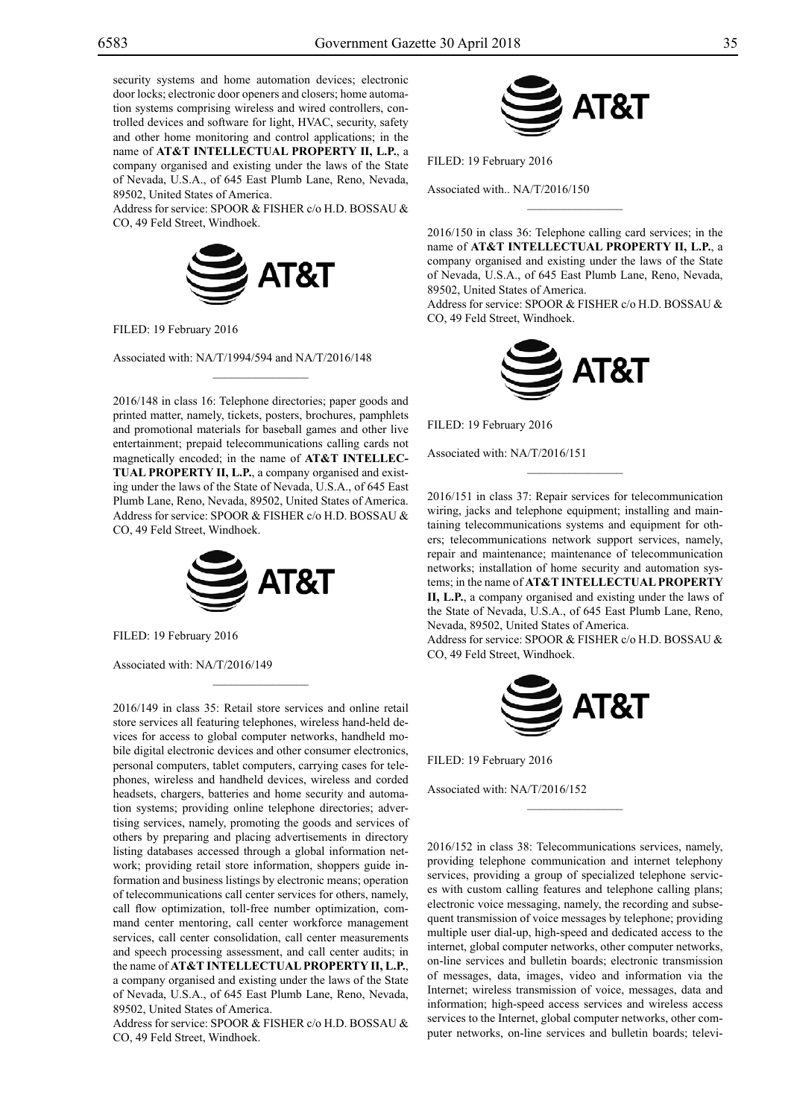security systems and home automation devices; electronic door locks; electronic door openers and closers; home automation systems comprising wireless and wired controllers, controlled devices and software for light, HVAC, security, safety and other home monitoring and control applications; in the name of **AT&T INTELLECTUAL PROPERTY II, L.P.**, a company organised and existing under the laws of the State of Nevada, U.S.A., of 645 East Plumb Lane, Reno, Nevada, 89502, United States of America.

Address for service: SPOOR & FISHER c/o H.D. BOSSAU & CO, 49 Feld Street, Windhoek.



FILED: 19 February 2016

Associated with: NA/T/1994/594 and NA/T/2016/148

2016/148 in class 16: Telephone directories; paper goods and printed matter, namely, tickets, posters, brochures, pamphlets and promotional materials for baseball games and other live entertainment; prepaid telecommunications calling cards not magnetically encoded; in the name of **AT&T INTELLEC-TUAL PROPERTY II, L.P.**, a company organised and existing under the laws of the State of Nevada, U.S.A., of 645 East Plumb Lane, Reno, Nevada, 89502, United States of America. Address for service: SPOOR & FISHER c/o H.D. BOSSAU & CO, 49 Feld Street, Windhoek.

 $\mathcal{L}=\mathcal{L}^{\mathcal{L}}$ 



 $\mathcal{L}=\mathcal{L}^{\mathcal{L}}$ 

FILED: 19 February 2016

Associated with: NA/T/2016/149

2016/149 in class 35: Retail store services and online retail store services all featuring telephones, wireless hand-held devices for access to global computer networks, handheld mobile digital electronic devices and other consumer electronics, personal computers, tablet computers, carrying cases for telephones, wireless and handheld devices, wireless and corded headsets, chargers, batteries and home security and automation systems; providing online telephone directories; advertising services, namely, promoting the goods and services of others by preparing and placing advertisements in directory listing databases accessed through a global information network; providing retail store information, shoppers guide information and business listings by electronic means; operation of telecommunications call center services for others, namely, call flow optimization, toll-free number optimization, command center mentoring, call center workforce management services, call center consolidation, call center measurements and speech processing assessment, and call center audits; in the name of **AT&T INTELLECTUAL PROPERTY II, L.P.**, a company organised and existing under the laws of the State of Nevada, U.S.A., of 645 East Plumb Lane, Reno, Nevada, 89502, United States of America.

Address for service: SPOOR & FISHER c/o H.D. BOSSAU & Co, 49 Feld Street, Windhoek.



Filed: 19 February 2016

Associated with.. NA/T/2016/150

2016/150 in class 36: Telephone calling card services; in the name of **AT&T INTELLECTUAL PROPERTY II, L.P.**, a company organised and existing under the laws of the State of Nevada, U.S.A., of 645 East Plumb Lane, Reno, Nevada, 89502, United States of America.

 $\overline{\phantom{a}}$  , we can also the set of  $\overline{\phantom{a}}$ 

Address for service: SPOOR & FISHER c/o H.D. BOSSAU & Co, 49 Feld Street, Windhoek.



FILED: 19 February 2016

Associated with: NA/T/2016/151

2016/151 in class 37: Repair services for telecommunication wiring, jacks and telephone equipment; installing and maintaining telecommunications systems and equipment for others; telecommunications network support services, namely, repair and maintenance; maintenance of telecommunication networks; installation of home security and automation systems; in the name of **AT&T INTELLECTUAL PROPERTY II, L.P.**, a company organised and existing under the laws of the State of Nevada, U.S.A., of 645 East Plumb Lane, Reno, Nevada, 89502, United States of America. Address for service: SPOOR & FISHER c/o H.D. BOSSAU &

 $\frac{1}{2}$ 

Co, 49 Feld Street, Windhoek.



 $\frac{1}{2}$ 

FILED: 19 February 2016

Associated with: NA/T/2016/152

2016/152 in class 38: Telecommunications services, namely, providing telephone communication and internet telephony services, providing a group of specialized telephone services with custom calling features and telephone calling plans; electronic voice messaging, namely, the recording and subsequent transmission of voice messages by telephone; providing multiple user dial-up, high-speed and dedicated access to the internet, global computer networks, other computer networks, on-line services and bulletin boards; electronic transmission of messages, data, images, video and information via the Internet; wireless transmission of voice, messages, data and information; high-speed access services and wireless access services to the Internet, global computer networks, other computer networks, on-line services and bulletin boards; televi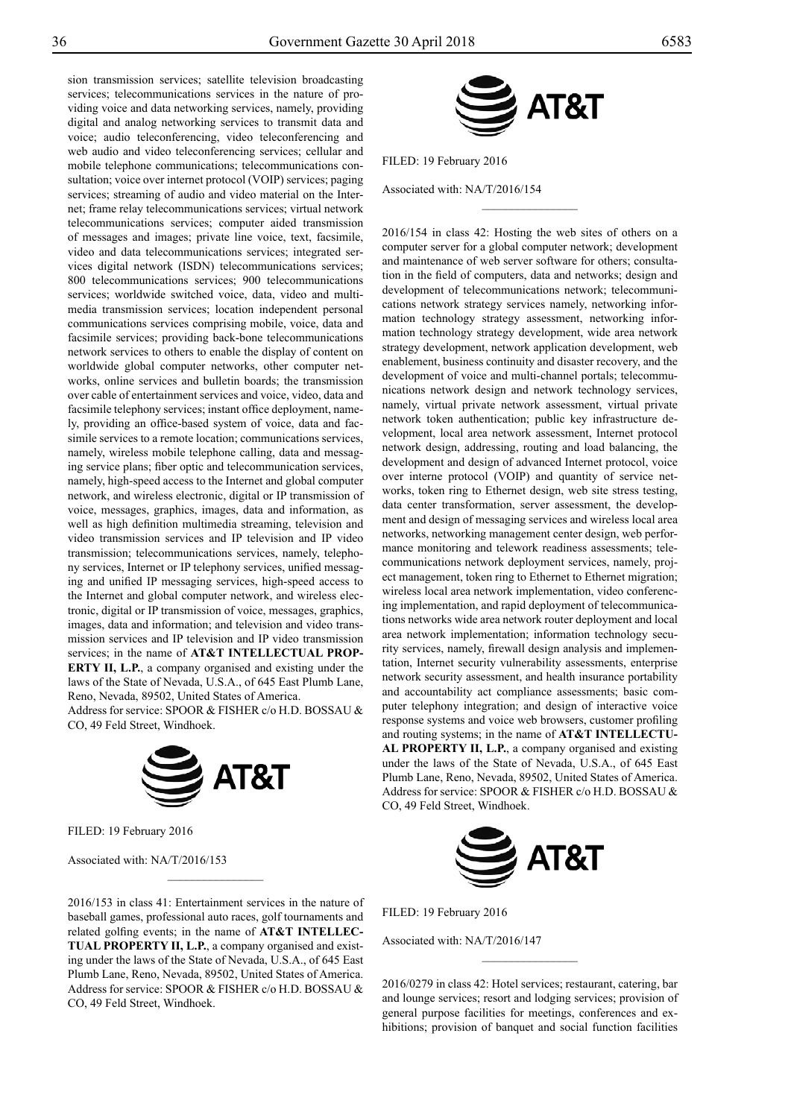sion transmission services; satellite television broadcasting services; telecommunications services in the nature of providing voice and data networking services, namely, providing digital and analog networking services to transmit data and voice; audio teleconferencing, video teleconferencing and web audio and video teleconferencing services; cellular and mobile telephone communications; telecommunications consultation; voice over internet protocol (VOIP) services; paging services; streaming of audio and video material on the Internet; frame relay telecommunications services; virtual network telecommunications services; computer aided transmission of messages and images; private line voice, text, facsimile, video and data telecommunications services; integrated services digital network (ISDN) telecommunications services; 800 telecommunications services; 900 telecommunications services; worldwide switched voice, data, video and multimedia transmission services; location independent personal communications services comprising mobile, voice, data and facsimile services; providing back-bone telecommunications network services to others to enable the display of content on worldwide global computer networks, other computer networks, online services and bulletin boards; the transmission over cable of entertainment services and voice, video, data and facsimile telephony services; instant office deployment, namely, providing an office-based system of voice, data and facsimile services to a remote location; communications services, namely, wireless mobile telephone calling, data and messaging service plans; fiber optic and telecommunication services, namely, high-speed access to the Internet and global computer network, and wireless electronic, digital or IP transmission of voice, messages, graphics, images, data and information, as well as high definition multimedia streaming, television and video transmission services and IP television and IP video transmission; telecommunications services, namely, telephony services, Internet or IP telephony services, unified messaging and unified IP messaging services, high-speed access to the Internet and global computer network, and wireless electronic, digital or IP transmission of voice, messages, graphics, images, data and information; and television and video transmission services and IP television and IP video transmission services; in the name of **AT&T INTELLECTUAL PROP-ERTY II, L.P.**, a company organised and existing under the laws of the State of Nevada, U.S.A., of 645 East Plumb Lane, Reno, Nevada, 89502, United States of America. Address for service: SPOOR & FISHER c/o H.D. BOSSAU &

Co, 49 Feld Street, Windhoek.



Filed: 19 February 2016

Associated with: NA/T/2016/153

2016/153 in class 41: Entertainment services in the nature of baseball games, professional auto races, golf tournaments and related golfing events; in the name of **AT&T INTELLEC-TUAL PROPERTY II, L.P.**, a company organised and existing under the laws of the State of Nevada, U.S.A., of 645 East Plumb Lane, Reno, Nevada, 89502, United States of America. Address for service: SPOOR & FISHER c/o H.D. BOSSAU & Co, 49 Feld Street, Windhoek.

 $\frac{1}{2}$ 



 $\overline{\phantom{a}}$  , where  $\overline{\phantom{a}}$ 

Filed: 19 February 2016

Associated with: NA/T/2016/154

2016/154 in class 42: Hosting the web sites of others on a computer server for a global computer network; development and maintenance of web server software for others; consultation in the field of computers, data and networks; design and development of telecommunications network; telecommunications network strategy services namely, networking information technology strategy assessment, networking information technology strategy development, wide area network strategy development, network application development, web enablement, business continuity and disaster recovery, and the development of voice and multi-channel portals; telecommunications network design and network technology services, namely, virtual private network assessment, virtual private network token authentication; public key infrastructure development, local area network assessment, Internet protocol network design, addressing, routing and load balancing, the development and design of advanced Internet protocol, voice over interne protocol (VOIP) and quantity of service networks, token ring to Ethernet design, web site stress testing, data center transformation, server assessment, the development and design of messaging services and wireless local area networks, networking management center design, web performance monitoring and telework readiness assessments; telecommunications network deployment services, namely, project management, token ring to Ethernet to Ethernet migration; wireless local area network implementation, video conferencing implementation, and rapid deployment of telecommunications networks wide area network router deployment and local area network implementation; information technology security services, namely, firewall design analysis and implementation, Internet security vulnerability assessments, enterprise network security assessment, and health insurance portability and accountability act compliance assessments; basic computer telephony integration; and design of interactive voice response systems and voice web browsers, customer profiling and routing systems; in the name of **AT&T INTELLECTU-AL PROPERTY II, L.P.**, a company organised and existing under the laws of the State of Nevada, U.S.A., of 645 East Plumb Lane, Reno, Nevada, 89502, United States of America. Address for service: SPOOR & FISHER c/o H.D. BOSSAU & Co, 49 Feld Street, Windhoek.



Filed: 19 February 2016

Associated with: NA/T/2016/147

2016/0279 in class 42: Hotel services; restaurant, catering, bar and lounge services; resort and lodging services; provision of general purpose facilities for meetings, conferences and exhibitions; provision of banquet and social function facilities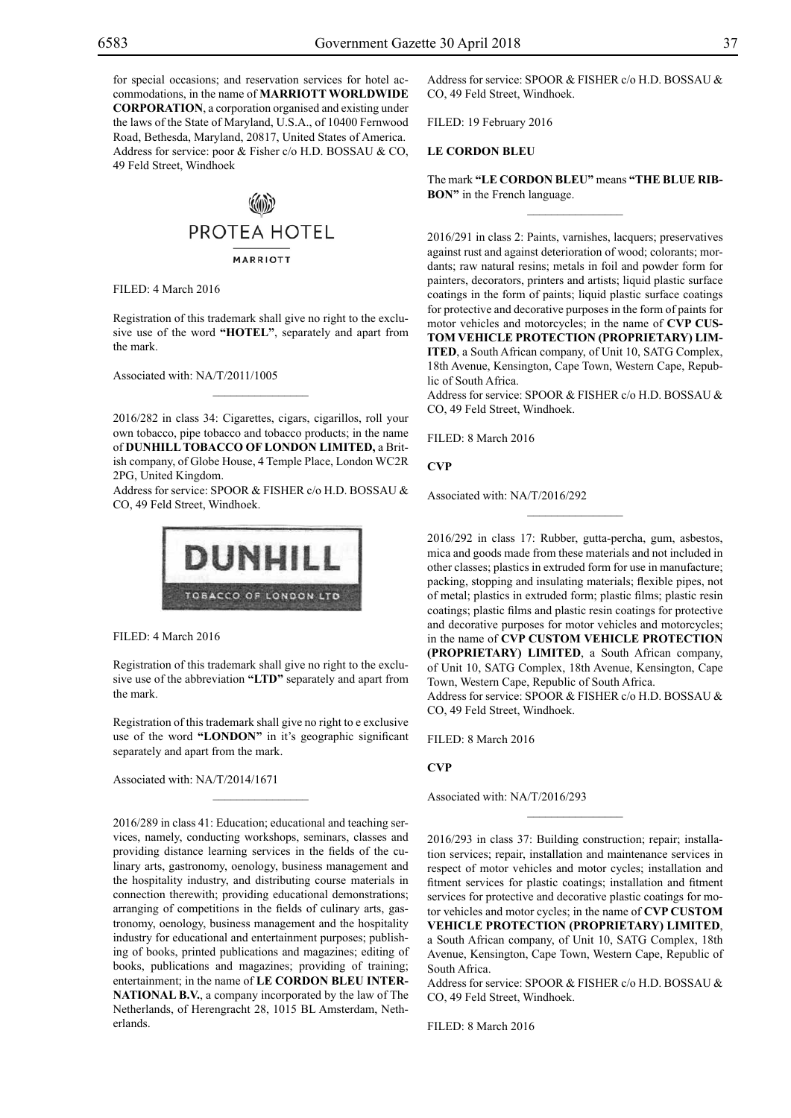for special occasions; and reservation services for hotel accommodations, in the name of **MARRIOTT WORLDWIDE CORPORATION**, a corporation organised and existing under the laws of the State of Maryland, U.S.A., of 10400 Fernwood Road, Bethesda, Maryland, 20817, United States of America. Address for service: poor & Fisher c/o H.D. BOSSAU & CO, 49 Feld Street, Windhoek



FILED: 4 March 2016

Registration of this trademark shall give no right to the exclusive use of the word **"HOTEL"**, separately and apart from the mark.

Associated with: NA/T/2011/1005

2016/282 in class 34: Cigarettes, cigars, cigarillos, roll your own tobacco, pipe tobacco and tobacco products; in the name of **DUNHILL TOBACCO OF LONDON LIMITED,** a British company, of Globe House, 4 Temple Place, London WC2R 2PG, United Kingdom.

 $\overline{\phantom{a}}$  , where  $\overline{\phantom{a}}$ 

Address for service: SPOOR & FISHER c/o H.D. BOSSAU & Co, 49 Feld Street, Windhoek.



FILED: 4 March 2016

Registration of this trademark shall give no right to the exclusive use of the abbreviation **"LTD"** separately and apart from the mark.

Registration of this trademark shall give no right to e exclusive use of the word **"LONDON"** in it's geographic significant separately and apart from the mark.

 $\overline{\phantom{a}}$  , where  $\overline{\phantom{a}}$ 

Associated with: NA/T/2014/1671

2016/289 in class 41: Education; educational and teaching services, namely, conducting workshops, seminars, classes and providing distance learning services in the fields of the culinary arts, gastronomy, oenology, business management and the hospitality industry, and distributing course materials in connection therewith; providing educational demonstrations; arranging of competitions in the fields of culinary arts, gastronomy, oenology, business management and the hospitality industry for educational and entertainment purposes; publishing of books, printed publications and magazines; editing of books, publications and magazines; providing of training; entertainment; in the name of **LE CORDON BLEU INTER-NATIONAL B.V.**, a company incorporated by the law of The Netherlands, of Herengracht 28, 1015 BL Amsterdam, Netherlands.

Address for service: SPOOR & FISHER c/o H.D. BOSSAU & CO, 49 Feld Street, Windhoek.

Filed: 19 February 2016

#### **LE CORDON BLEU**

The mark **"LE CORDON BLEU"** means **"THE BLUE RIB-BON"** in the French language.  $\overline{\phantom{a}}$  , we can also the set of  $\overline{\phantom{a}}$ 

2016/291 in class 2: Paints, varnishes, lacquers; preservatives against rust and against deterioration of wood; colorants; mordants; raw natural resins; metals in foil and powder form for painters, decorators, printers and artists; liquid plastic surface coatings in the form of paints; liquid plastic surface coatings for protective and decorative purposes in the form of paints for motor vehicles and motorcycles; in the name of **CVP CUS-TOM VEHICLE PROTECTION (PROPRIETARY) LIM-ITED**, a South African company, of Unit 10, SATG Complex, 18th Avenue, Kensington, Cape Town, Western Cape, Republic of South Africa.

Address for service: SPOOR & FISHER c/o H.D. BOSSAU & Co, 49 Feld Street, Windhoek.

FILED: 8 March 2016

**CVP**

Associated with: NA/T/2016/292

2016/292 in class 17: Rubber, gutta-percha, gum, asbestos, mica and goods made from these materials and not included in other classes; plastics in extruded form for use in manufacture; packing, stopping and insulating materials; flexible pipes, not of metal; plastics in extruded form; plastic films; plastic resin coatings; plastic films and plastic resin coatings for protective and decorative purposes for motor vehicles and motorcycles; in the name of **CVP CUSTOM VEHICLE PROTECTION (PROPRIETARY) LIMITED**, a South African company, of Unit 10, SATG Complex, 18th Avenue, Kensington, Cape Town, Western Cape, Republic of South Africa.

 $\overline{\phantom{a}}$  , we can also the set of  $\overline{\phantom{a}}$ 

Address for service: SPOOR & FISHER c/o H.D. BOSSAU & Co, 49 Feld Street, Windhoek.

FILED: 8 March 2016

# **CVP**

Associated with: NA/T/2016/293

2016/293 in class 37: Building construction; repair; installation services; repair, installation and maintenance services in respect of motor vehicles and motor cycles; installation and fitment services for plastic coatings; installation and fitment services for protective and decorative plastic coatings for motor vehicles and motor cycles; in the name of **CVP CUSTOM VEHICLE PROTECTION (PROPRIETARY) LIMITED**, a South African company, of Unit 10, SATG Complex, 18th Avenue, Kensington, Cape Town, Western Cape, Republic of South Africa.

 $\overline{\phantom{a}}$  , we can also the set of  $\overline{\phantom{a}}$ 

Address for service: SPOOR & FISHER c/o H.D. BOSSAU & Co, 49 Feld Street, Windhoek.

FILED: 8 March 2016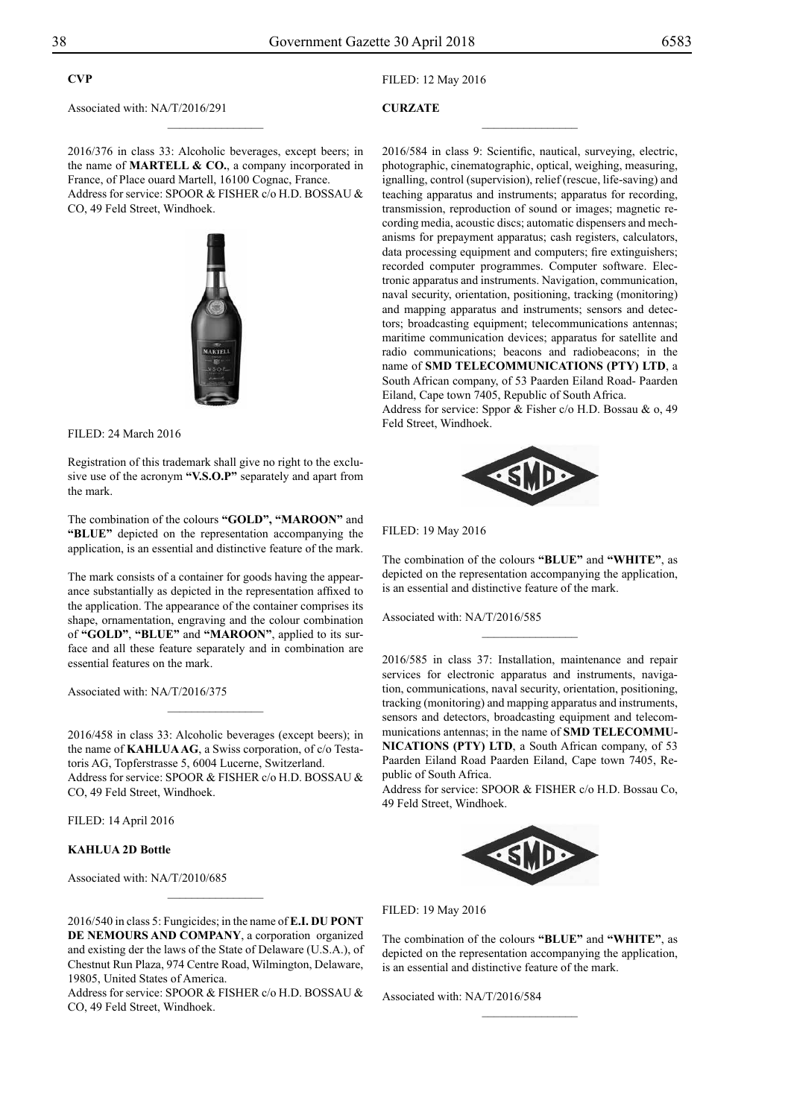# **CVP**

Associated with: NA/T/2016/291

Filed: 12 May 2016

# **CURZATE**

2016/376 in class 33: Alcoholic beverages, except beers; in the name of **MARTELL & CO.**, a company incorporated in France, of Place ouard Martell, 16100 Cognac, France. Address for service: SPOOR & FISHER c/o H.D. BOSSAU & Co, 49 Feld Street, Windhoek.

 $\frac{1}{2}$ 



Filed: 24 March 2016

Registration of this trademark shall give no right to the exclusive use of the acronym **"V.S.O.P"** separately and apart from the mark.

The combination of the colours **"GOLD", "MAROON"** and **"BLUE"** depicted on the representation accompanying the application, is an essential and distinctive feature of the mark.

The mark consists of a container for goods having the appearance substantially as depicted in the representation affixed to the application. The appearance of the container comprises its shape, ornamentation, engraving and the colour combination of **"GOLD"**, **"blue"** and **"maroon"**, applied to its surface and all these feature separately and in combination are essential features on the mark.

Associated with: NA/T/2016/375

2016/458 in class 33: Alcoholic beverages (except beers); in the name of **KAHLUA AG**, a Swiss corporation, of c/o Testatoris AG, Topferstrasse 5, 6004 Lucerne, Switzerland. Address for service: SPOOR & FISHER c/o H.D. BOSSAU & Co, 49 Feld Street, Windhoek.

 $\frac{1}{2}$ 

Filed: 14 April 2016

### **KAHLUA 2D Bottle**

Associated with: NA/T/2010/685

2016/540 in class 5: Fungicides; in the name of **E.I. DU PONT DE NEMOURS AND COMPANY**, a corporation organized and existing der the laws of the State of Delaware (U.S.A.), of Chestnut Run Plaza, 974 Centre Road, Wilmington, Delaware, 19805, United States of America.

Address for service: SPOOR & FISHER c/o H.D. BOSSAU & CO, 49 Feld Street, Windhoek.

2016/584 in class 9: Scientific, nautical, surveying, electric, photographic, cinematographic, optical, weighing, measuring, ignalling, control (supervision), relief (rescue, life-saving) and teaching apparatus and instruments; apparatus for recording, transmission, reproduction of sound or images; magnetic recording media, acoustic discs; automatic dispensers and mechanisms for prepayment apparatus; cash registers, calculators, data processing equipment and computers; fire extinguishers; recorded computer programmes. Computer software. Electronic apparatus and instruments. Navigation, communication, naval security, orientation, positioning, tracking (monitoring) and mapping apparatus and instruments; sensors and detectors; broadcasting equipment; telecommunications antennas; maritime communication devices; apparatus for satellite and radio communications; beacons and radiobeacons; in the name of **SMD TELECOMMUNICATIONS (PTY) LTD**, a South African company, of 53 Paarden Eiland Road- Paarden Eiland, Cape town 7405, Republic of South Africa.

 $\overline{\phantom{a}}$  , where  $\overline{\phantom{a}}$ 

Address for service: Sppor & Fisher c/o H.D. Bossau & o, 49 Feld Street, Windhoek.



Filed: 19 May 2016

The combination of the colours **"BLUE"** and **"WHITE"**, as depicted on the representation accompanying the application, is an essential and distinctive feature of the mark.

 $\frac{1}{2}$ 

Associated with: NA/T/2016/585

2016/585 in class 37: Installation, maintenance and repair services for electronic apparatus and instruments, navigation, communications, naval security, orientation, positioning, tracking (monitoring) and mapping apparatus and instruments, sensors and detectors, broadcasting equipment and telecommunications antennas; in the name of **SMD TELECOMMU-NICATIONS (PTY) LTD**, a South African company, of 53 Paarden Eiland Road Paarden Eiland, Cape town 7405, Republic of South Africa.

Address for service: SPOOR & FISHER c/o H.D. Bossau Co, 49 Feld Street, Windhoek.



#### Filed: 19 May 2016

The combination of the colours **"BLUE"** and **"WHITE"**, as depicted on the representation accompanying the application, is an essential and distinctive feature of the mark.

 $\frac{1}{2}$ 

Associated with: NA/T/2016/584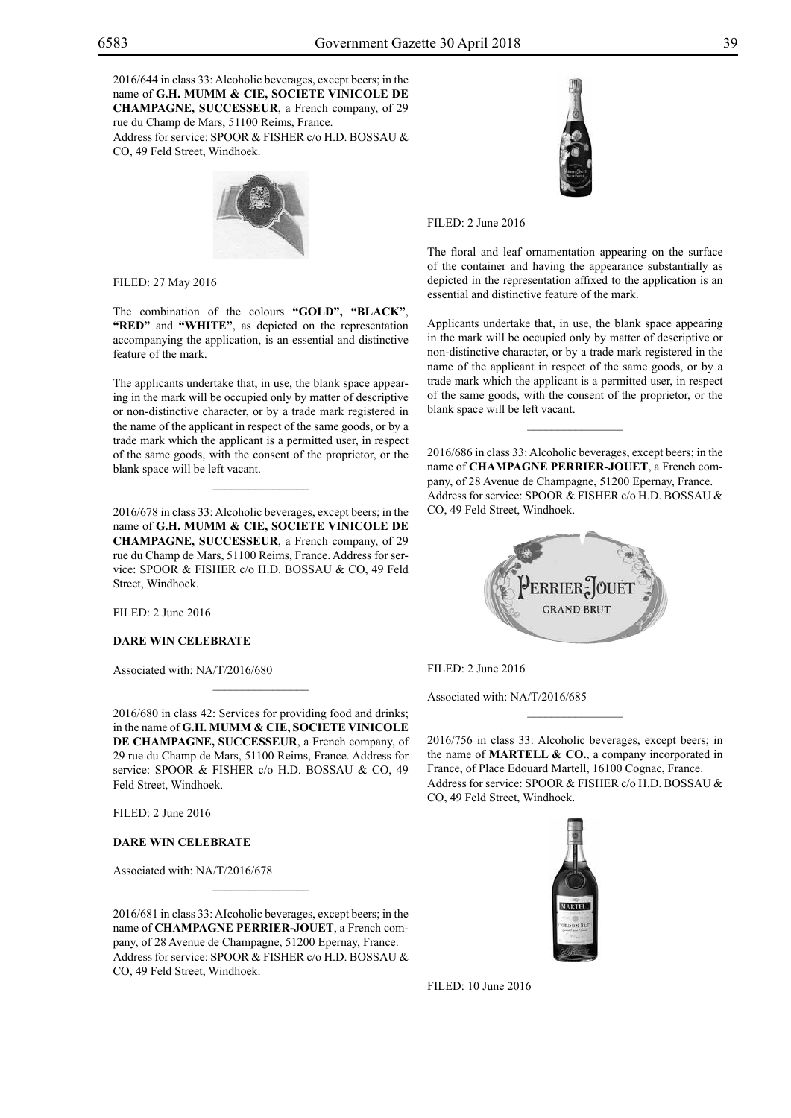2016/644 in class 33: Alcoholic beverages, except beers; in the name of **G.H. MUMM & CIE, SOCIETE VINICOLE DE CHAMPAGNE, SUCCESSEUR**, a French company, of 29 rue du Champ de Mars, 51100 Reims, France. Address for service: SPOOR & FISHER c/o H.D. BOSSAU & Co, 49 Feld Street, Windhoek.



Filed: 27 May 2016

The combination of the colours **"GOLD", "BLACK"**, **"RED"** and **"WHITE"**, as depicted on the representation accompanying the application, is an essential and distinctive feature of the mark.

The applicants undertake that, in use, the blank space appearing in the mark will be occupied only by matter of descriptive or non-distinctive character, or by a trade mark registered in the name of the applicant in respect of the same goods, or by a trade mark which the applicant is a permitted user, in respect of the same goods, with the consent of the proprietor, or the blank space will be left vacant.

 $\overline{\phantom{a}}$  , where  $\overline{\phantom{a}}$ 

2016/678 in class 33: Alcoholic beverages, except beers; in the name of **G.H. MUMM & CIE, SOCIETE VINICOLE DE CHAMPAGNE, SUCCESSEUR**, a French company, of 29 rue du Champ de Mars, 51100 Reims, France. Address for service: SPOOR & FISHER c/o H.D. BOSSAU & CO, 49 Feld Street, Windhoek.

 $FILED: 2 June 2016$ 

## **DARE WIN CELEBRATE**

Associated with: NA/T/2016/680

2016/680 in class 42: Services for providing food and drinks; in the name of **G.H. MUMM & CIE, SOCIETE VINICOLE DE CHAMPAGNE, SUCCESSEUR**, a French company, of 29 rue du Champ de Mars, 51100 Reims, France. Address for service: SPOOR & FISHER c/o H.D. BOSSAU & CO, 49 Feld Street, Windhoek.

 $\mathcal{L}=\mathcal{L}^{\mathcal{L}}$ 

Filed: 2 June 2016

#### **DARE WIN CELEBRATE**

Associated with: NA/T/2016/678

2016/681 in class 33: AIcoholic beverages, except beers; in the name of **CHAMPAGNE PERRIER-JOUET**, a French company, of 28 Avenue de Champagne, 51200 Epernay, France. Address for service: SPOOR & FISHER c/o H.D. BOSSAU & Co, 49 Feld Street, Windhoek.

 $\mathcal{L}=\mathcal{L}^{\mathcal{L}}$ 



Filed: 2 June 2016

The floral and leaf ornamentation appearing on the surface of the container and having the appearance substantially as depicted in the representation affixed to the application is an essential and distinctive feature of the mark.

Applicants undertake that, in use, the blank space appearing in the mark will be occupied only by matter of descriptive or non-distinctive character, or by a trade mark registered in the name of the applicant in respect of the same goods, or by a trade mark which the applicant is a permitted user, in respect of the same goods, with the consent of the proprietor, or the blank space will be left vacant.

2016/686 in class 33: Alcoholic beverages, except beers; in the name of **CHAMPAGNE PERRIER-JOUET**, a French company, of 28 Avenue de Champagne, 51200 Epernay, France. Address for service: SPOOR & FISHER c/o H.D. BOSSAU & Co, 49 Feld Street, Windhoek.

 $\frac{1}{2}$ 



 $FILED: 2 June 2016$ 

Associated with: NA/T/2016/685

2016/756 in class 33: Alcoholic beverages, except beers; in the name of **MARTELL & CO.**, a company incorporated in France, of Place Edouard Martell, 16100 Cognac, France. Address for service: SPOOR & FISHER c/o H.D. BOSSAU & CO, 49 Feld Street, Windhoek.

 $\overline{\phantom{a}}$  , we can also the set of  $\overline{\phantom{a}}$ 



FILED: 10 June 2016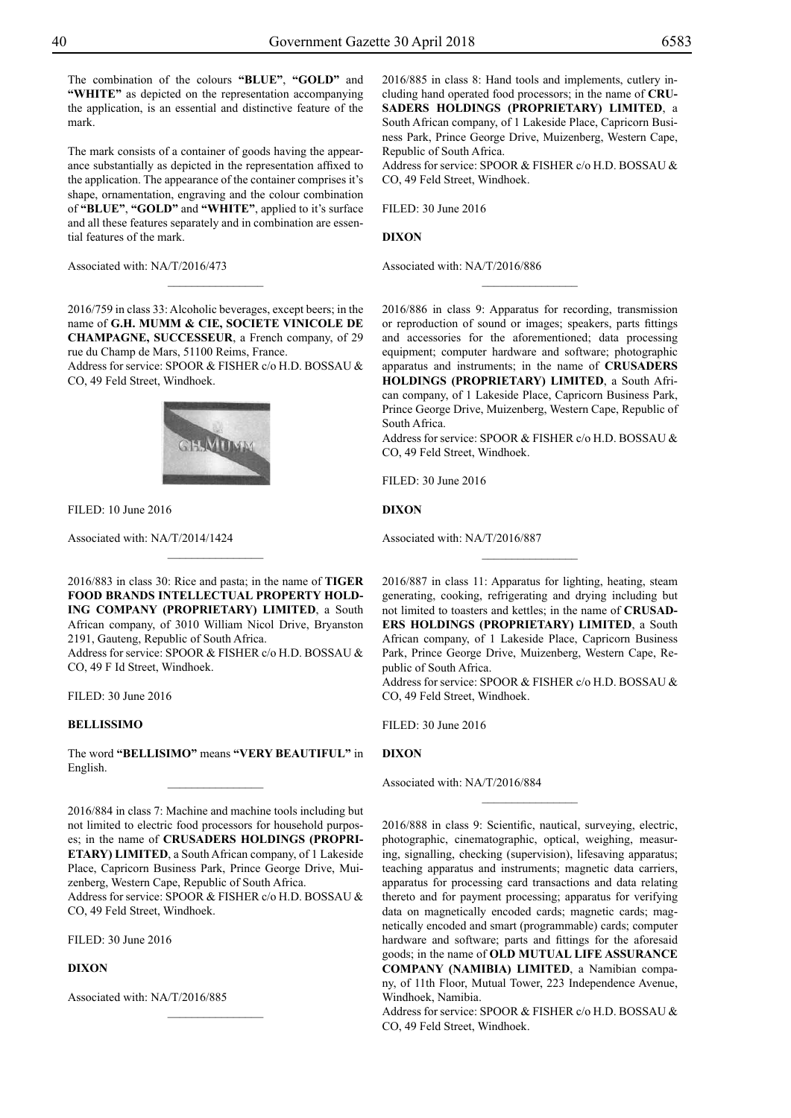The combination of the colours **"BLUE"**, **"GOLD"** and **"WHITE"** as depicted on the representation accompanying the application, is an essential and distinctive feature of the mark.

The mark consists of a container of goods having the appearance substantially as depicted in the representation affixed to the application. The appearance of the container comprises it's shape, ornamentation, engraving and the colour combination of **"blue"**, **"GOLD"** and **"white"**, applied to it's surface and all these features separately and in combination are essential features of the mark.

Associated with: NA/T/2016/473

2016/759 in class 33: Alcoholic beverages, except beers; in the name of **G.H. MUMM & CIE, SOCIETE VINICOLE DE CHAMPAGNE, SUCCESSEUR**, a French company, of 29 rue du Champ de Mars, 51100 Reims, France.

 $\overline{\phantom{a}}$  , where  $\overline{\phantom{a}}$ 

Address for service: SPOOR & FISHER c/o H.D. BOSSAU & Co, 49 Feld Street, Windhoek.



Filed: 10 June 2016

Associated with: NA/T/2014/1424

2016/883 in class 30: Rice and pasta; in the name of **TIGER FOOD BRANDS INTELLECTUAL PROPERTY HOLD-ING COMPANY (PROPRIETARY) LIMITED**, a South African company, of 3010 William Nicol Drive, Bryanston 2191, Gauteng, Republic of South Africa. Address for service: SPOOR & FISHER c/o H.D. BOSSAU &

 $\overline{\phantom{a}}$  , where  $\overline{\phantom{a}}$ 

Co, 49 F Id Street, Windhoek.

Filed: 30 June 2016

### **BELLISSIMO**

The word **"BELLISIMO"** means **"VERY BEAUTIFUL"** in English.  $\overline{\phantom{a}}$  , where  $\overline{\phantom{a}}$ 

2016/884 in class 7: Machine and machine tools including but not limited to electric food processors for household purposes; in the name of **CRUSADERS HOLDINGS (PROPRI-ETARY) LIMITED**, a South African company, of 1 Lakeside Place, Capricorn Business Park, Prince George Drive, Muizenberg, Western Cape, Republic of South Africa. Address for service: SPOOR & FISHER c/o H.D. BOSSAU & CO, 49 Feld Street, Windhoek.

 $\overline{\phantom{a}}$  , where  $\overline{\phantom{a}}$ 

Filed: 30 June 2016

#### **DIXON**

Associated with: NA/T/2016/885

2016/885 in class 8: Hand tools and implements, cutlery including hand operated food processors; in the name of **CRU-SADERS HOLDINGS (PROPRIETARY) LIMITED**, a South African company, of 1 Lakeside Place, Capricorn Business Park, Prince George Drive, Muizenberg, Western Cape, Republic of South Africa.

Address for service: SPOOR & FISHER c/o H.D. BOSSAU & Co, 49 Feld Street, Windhoek.

Filed: 30 June 2016

#### **DIXON**

Associated with: NA/T/2016/886

2016/886 in class 9: Apparatus for recording, transmission or reproduction of sound or images; speakers, parts fittings and accessories for the aforementioned; data processing equipment; computer hardware and software; photographic apparatus and instruments; in the name of **CRUSADERS HOLDINGS (PROPRIETARY) LIMITED**, a South African company, of 1 Lakeside Place, Capricorn Business Park, Prince George Drive, Muizenberg, Western Cape, Republic of South Africa.

 $\overline{\phantom{a}}$  , where  $\overline{\phantom{a}}$ 

Address for service: SPOOR & FISHER c/o H.D. BOSSAU & Co, 49 Feld Street, Windhoek.

Filed: 30 June 2016

**DIXON**

Associated with: NA/T/2016/887

2016/887 in class 11: Apparatus for lighting, heating, steam generating, cooking, refrigerating and drying including but not limited to toasters and kettles; in the name of **CRUSAD-ERS HOLDINGS (PROPRIETARY) LIMITED**, a South African company, of 1 Lakeside Place, Capricorn Business Park, Prince George Drive, Muizenberg, Western Cape, Republic of South Africa.

 $\frac{1}{2}$ 

Address for service: SPOOR & FISHER c/o H.D. BOSSAU & Co, 49 Feld Street, Windhoek.

 $\frac{1}{2}$ 

FILED: 30 June 2016

#### **DIXON**

Associated with: NA/T/2016/884

2016/888 in class 9: Scientific, nautical, surveying, electric, photographic, cinematographic, optical, weighing, measuring, signalling, checking (supervision), lifesaving apparatus; teaching apparatus and instruments; magnetic data carriers, apparatus for processing card transactions and data relating thereto and for payment processing; apparatus for verifying data on magnetically encoded cards; magnetic cards; magnetically encoded and smart (programmable) cards; computer hardware and software; parts and fittings for the aforesaid goods; in the name of **OLD MUTUAL LIFE ASSURANCE COMPANY (NAMIBIA) LIMITED**, a Namibian company, of 11th Floor, Mutual Tower, 223 Independence Avenue, Windhoek, Namibia.

Address for service: SPOOR & FISHER c/o H.D. BOSSAU & Co, 49 Feld Street, Windhoek.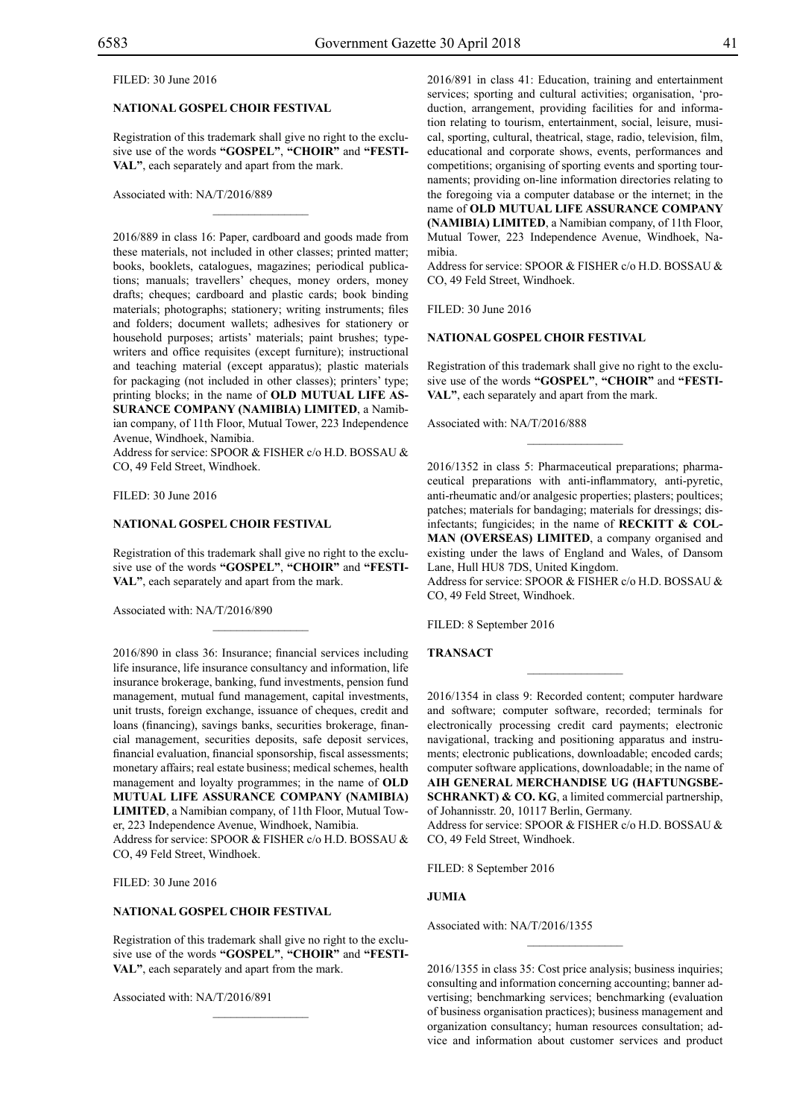#### Filed: 30 June 2016

# **NATIONAL GOSPEL CHOIR FESTIVAL**

Registration of this trademark shall give no right to the exclusive use of the words **"GOSPEL"**, **"CHOIR"** and **"FESTI-VAL"**, each separately and apart from the mark.

 $\overline{\phantom{a}}$  , where  $\overline{\phantom{a}}$ 

#### Associated with: NA/T/2016/889

2016/889 in class 16: Paper, cardboard and goods made from these materials, not included in other classes; printed matter; books, booklets, catalogues, magazines; periodical publications; manuals; travellers' cheques, money orders, money drafts; cheques; cardboard and plastic cards; book binding materials; photographs; stationery; writing instruments; files and folders; document wallets; adhesives for stationery or household purposes; artists' materials; paint brushes; typewriters and office requisites (except furniture); instructional and teaching material (except apparatus); plastic materials for packaging (not included in other classes); printers' type; printing blocks; in the name of **OLD MUTUAL LIFE AS-SURANCE COMPANY (NAMIBIA) LIMITED**, a Namibian company, of 11th Floor, Mutual Tower, 223 Independence Avenue, Windhoek, Namibia.

Address for service: SPOOR & FISHER c/o H.D. BOSSAU & Co, 49 Feld Street, Windhoek.

Filed: 30 June 2016

#### **NATIONAL GOSPEL CHOIR FESTIVAL**

Registration of this trademark shall give no right to the exclusive use of the words **"GOSPEL"**, **"CHOIR"** and **"FESTI-VAL"**, each separately and apart from the mark.

 $\mathcal{L}=\mathcal{L}^{\mathcal{L}}$ 

Associated with: NA/T/2016/890

2016/890 in class 36: Insurance; financial services including life insurance, life insurance consultancy and information, life insurance brokerage, banking, fund investments, pension fund management, mutual fund management, capital investments, unit trusts, foreign exchange, issuance of cheques, credit and loans (financing), savings banks, securities brokerage, financial management, securities deposits, safe deposit services, financial evaluation, financial sponsorship, fiscal assessments; monetary affairs; real estate business; medical schemes, health management and loyalty programmes; in the name of **OLD MUTUAL LIFE ASSURANCE COMPANY (NAMIBIA) LIMITED**, a Namibian company, of 11th Floor, Mutual Tower, 223 Independence Avenue, Windhoek, Namibia. Address for service: SPOOR & FISHER c/o H.D. BOSSAU & Co, 49 Feld Street, Windhoek.

Filed: 30 June 2016

#### **NATIONAL GOSPEL CHOIR FESTIVAL**

Registration of this trademark shall give no right to the exclusive use of the words **"GOSPEL"**, **"CHOIR"** and **"FESTI-VAL"**, each separately and apart from the mark.

 $\mathcal{L}=\mathcal{L}^{\mathcal{L}}$ 

Associated with: NA/T/2016/891

2016/891 in class 41: Education, training and entertainment services; sporting and cultural activities; organisation, 'production, arrangement, providing facilities for and information relating to tourism, entertainment, social, leisure, musical, sporting, cultural, theatrical, stage, radio, television, film, educational and corporate shows, events, performances and competitions; organising of sporting events and sporting tournaments; providing on-line information directories relating to the foregoing via a computer database or the internet; in the name of **OLD MUTUAL LIFE ASSURANCE COMPANY (NAMIBIA) LIMITED**, a Namibian company, of 11th Floor, Mutual Tower, 223 Independence Avenue, Windhoek, Namibia.

Address for service: SPOOR & FISHER c/o H.D. BOSSAU & Co, 49 Feld Street, Windhoek.

Filed: 30 June 2016

#### **NATIONAL GOSPEL CHOIR FESTIVAL**

Registration of this trademark shall give no right to the exclusive use of the words **"GOSPEL"**, **"CHOIR"** and **"FESTI-VAL"**, each separately and apart from the mark.

 $\frac{1}{2}$ 

Associated with: NA/T/2016/888

2016/1352 in class 5: Pharmaceutical preparations; pharmaceutical preparations with anti-inflammatory, anti-pyretic, anti-rheumatic and/or analgesic properties; plasters; poultices; patches; materials for bandaging; materials for dressings; disinfectants; fungicides; in the name of **RECKITT & COL-MAN (OVERSEAS) LIMITED**, a company organised and existing under the laws of England and Wales, of Dansom Lane, Hull HU8 7DS, United Kingdom.

Address for service: SPOOR & FISHER c/o H.D. BOSSAU & Co, 49 Feld Street, Windhoek.

FILED: 8 September 2016

#### **TRANSACT**

2016/1354 in class 9: Recorded content; computer hardware and software; computer software, recorded; terminals for electronically processing credit card payments; electronic navigational, tracking and positioning apparatus and instruments; electronic publications, downloadable; encoded cards; computer software applications, downloadable; in the name of **AIH GENERAL MERCHANDISE UG (HAFTUNGSBE-SCHRANKT) & CO. KG**, a limited commercial partnership, of Johannisstr. 20, 10117 Berlin, Germany.

Address for service: SPOOR & FISHER c/o H.D. BOSSAU & CO, 49 Feld Street, Windhoek.

Filed: 8 September 2016

#### **JUMIA**

Associated with: NA/T/2016/1355

2016/1355 in class 35: Cost price analysis; business inquiries; consulting and information concerning accounting; banner advertising; benchmarking services; benchmarking (evaluation of business organisation practices); business management and organization consultancy; human resources consultation; advice and information about customer services and product

 $\frac{1}{2}$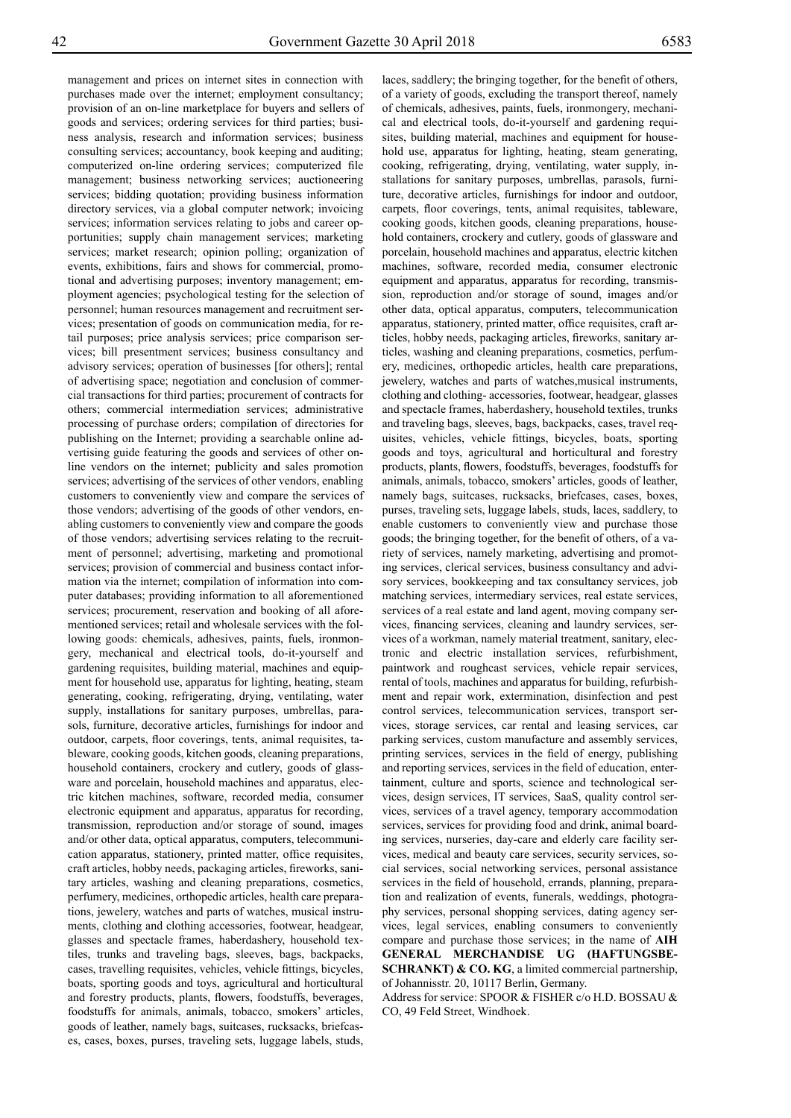management and prices on internet sites in connection with purchases made over the internet; employment consultancy; provision of an on-line marketplace for buyers and sellers of goods and services; ordering services for third parties; business analysis, research and information services; business consulting services; accountancy, book keeping and auditing; computerized on-line ordering services; computerized file management; business networking services; auctioneering services; bidding quotation; providing business information directory services, via a global computer network; invoicing services; information services relating to jobs and career opportunities; supply chain management services; marketing services; market research; opinion polling; organization of events, exhibitions, fairs and shows for commercial, promotional and advertising purposes; inventory management; employment agencies; psychological testing for the selection of personnel; human resources management and recruitment services; presentation of goods on communication media, for retail purposes; price analysis services; price comparison services; bill presentment services; business consultancy and advisory services; operation of businesses [for others]; rental of advertising space; negotiation and conclusion of commercial transactions for third parties; procurement of contracts for others; commercial intermediation services; administrative processing of purchase orders; compilation of directories for publishing on the Internet; providing a searchable online advertising guide featuring the goods and services of other online vendors on the internet; publicity and sales promotion services; advertising of the services of other vendors, enabling customers to conveniently view and compare the services of those vendors; advertising of the goods of other vendors, enabling customers to conveniently view and compare the goods of those vendors; advertising services relating to the recruitment of personnel; advertising, marketing and promotional services; provision of commercial and business contact information via the internet; compilation of information into computer databases; providing information to all aforementioned services; procurement, reservation and booking of all aforementioned services; retail and wholesale services with the following goods: chemicals, adhesives, paints, fuels, ironmongery, mechanical and electrical tools, do-it-yourself and gardening requisites, building material, machines and equipment for household use, apparatus for lighting, heating, steam generating, cooking, refrigerating, drying, ventilating, water supply, installations for sanitary purposes, umbrellas, parasols, furniture, decorative articles, furnishings for indoor and outdoor, carpets, floor coverings, tents, animal requisites, tableware, cooking goods, kitchen goods, cleaning preparations, household containers, crockery and cutlery, goods of glassware and porcelain, household machines and apparatus, electric kitchen machines, software, recorded media, consumer electronic equipment and apparatus, apparatus for recording, transmission, reproduction and/or storage of sound, images and/or other data, optical apparatus, computers, telecommunication apparatus, stationery, printed matter, office requisites, craft articles, hobby needs, packaging articles, fireworks, sanitary articles, washing and cleaning preparations, cosmetics, perfumery, medicines, orthopedic articles, health care preparations, jewelery, watches and parts of watches, musical instruments, clothing and clothing accessories, footwear, headgear, glasses and spectacle frames, haberdashery, household textiles, trunks and traveling bags, sleeves, bags, backpacks, cases, travelling requisites, vehicles, vehicle fittings, bicycles, boats, sporting goods and toys, agricultural and horticultural and forestry products, plants, flowers, foodstuffs, beverages, foodstuffs for animals, animals, tobacco, smokers' articles, goods of leather, namely bags, suitcases, rucksacks, briefcases, cases, boxes, purses, traveling sets, luggage labels, studs,

laces, saddlery; the bringing together, for the benefit of others, of a variety of goods, excluding the transport thereof, namely of chemicals, adhesives, paints, fuels, ironmongery, mechanical and electrical tools, do-it-yourself and gardening requisites, building material, machines and equipment for household use, apparatus for lighting, heating, steam generating, cooking, refrigerating, drying, ventilating, water supply, installations for sanitary purposes, umbrellas, parasols, furniture, decorative articles, furnishings for indoor and outdoor, carpets, floor coverings, tents, animal requisites, tableware, cooking goods, kitchen goods, cleaning preparations, household containers, crockery and cutlery, goods of glassware and porcelain, household machines and apparatus, electric kitchen machines, software, recorded media, consumer electronic equipment and apparatus, apparatus for recording, transmission, reproduction and/or storage of sound, images and/or other data, optical apparatus, computers, telecommunication apparatus, stationery, printed matter, office requisites, craft articles, hobby needs, packaging articles, fireworks, sanitary articles, washing and cleaning preparations, cosmetics, perfumery, medicines, orthopedic articles, health care preparations, jewelery, watches and parts of watches,musical instruments, clothing and clothing- accessories, footwear, headgear, glasses and spectacle frames, haberdashery, household textiles, trunks and traveling bags, sleeves, bags, backpacks, cases, travel requisites, vehicles, vehicle fittings, bicycles, boats, sporting goods and toys, agricultural and horticultural and forestry products, plants, flowers, foodstuffs, beverages, foodstuffs for animals, animals, tobacco, smokers' articles, goods of leather, namely bags, suitcases, rucksacks, briefcases, cases, boxes, purses, traveling sets, luggage labels, studs, laces, saddlery, to enable customers to conveniently view and purchase those goods; the bringing together, for the benefit of others, of a variety of services, namely marketing, advertising and promoting services, clerical services, business consultancy and advisory services, bookkeeping and tax consultancy services, job matching services, intermediary services, real estate services, services of a real estate and land agent, moving company services, financing services, cleaning and laundry services, services of a workman, namely material treatment, sanitary, electronic and electric installation services, refurbishment, paintwork and roughcast services, vehicle repair services, rental of tools, machines and apparatus for building, refurbishment and repair work, extermination, disinfection and pest control services, telecommunication services, transport services, storage services, car rental and leasing services, car parking services, custom manufacture and assembly services, printing services, services in the field of energy, publishing and reporting services, services in the field of education, entertainment, culture and sports, science and technological services, design services, IT services, SaaS, quality control services, services of a travel agency, temporary accommodation services, services for providing food and drink, animal boarding services, nurseries, day-care and elderly care facility services, medical and beauty care services, security services, social services, social networking services, personal assistance services in the field of household, errands, planning, preparation and realization of events, funerals, weddings, photography services, personal shopping services, dating agency services, legal services, enabling consumers to conveniently compare and purchase those services; in the name of **AIH GENERAL MERCHANDISE UG (HAFTUNGSBE-SCHRANKT) & CO. KG**, a limited commercial partnership, of Johannisstr. 20, 10117 Berlin, Germany.

Address for service: SPOOR & FISHER c/o H.D. BOSSAU & Co, 49 Feld Street, Windhoek.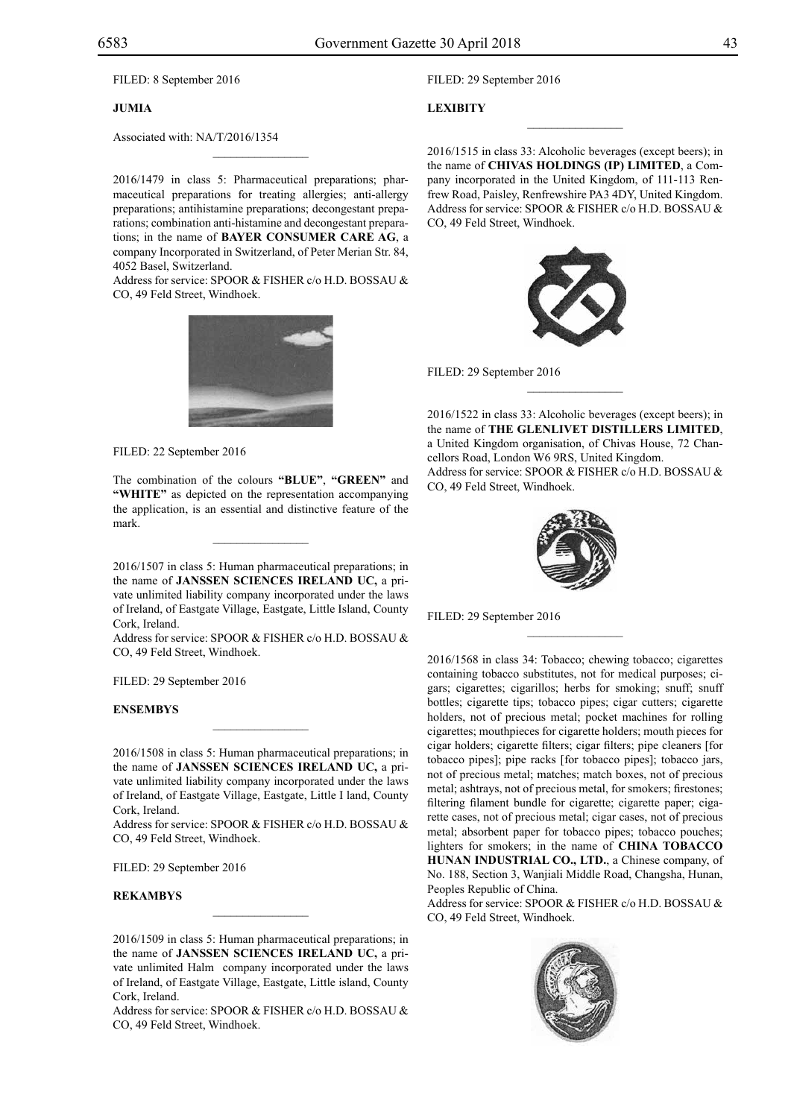FILED: 8 September 2016

#### **JUMIA**

Associated with: NA/T/2016/1354

2016/1479 in class 5: Pharmaceutical preparations; pharmaceutical preparations for treating allergies; anti-allergy preparations; antihistamine preparations; decongestant preparations; combination anti-histamine and decongestant preparations; in the name of **BAYER CONSUMER CARE AG**, a company Incorporated in Switzerland, of Peter Merian Str. 84, 4052 Basel, Switzerland.

 $\mathcal{L}=\mathcal{L}^{\mathcal{L}}$ 

Address for service: SPOOR & FISHER c/o H.D. BOSSAU & Co, 49 Feld Street, Windhoek.



FILED: 22 September 2016

The combination of the colours **"BLUE"**, **"GREEN"** and **"WHITE"** as depicted on the representation accompanying the application, is an essential and distinctive feature of the mark.

 $\mathcal{L}=\mathcal{L}^{\text{max}}$ 

2016/1507 in class 5: Human pharmaceutical preparations; in the name of **JANSSEN SCIENCES IRELAND UC,** a private unlimited liability company incorporated under the laws of Ireland, of Eastgate Village, Eastgate, Little Island, County Cork, Ireland.

Address for service: SPOOR & FISHER c/o H.D. BOSSAU & Co, 49 Feld Street, Windhoek.

FILED: 29 September 2016

#### **ENSEMBYS**

2016/1508 in class 5: Human pharmaceutical preparations; in the name of **JANSSEN SCIENCES IRELAND UC,** a private unlimited liability company incorporated under the laws of Ireland, of Eastgate Village, Eastgate, Little I land, County Cork, Ireland.

 $\mathcal{L}=\mathcal{L}^{\text{max}}$ 

Address for service: SPOOR & FISHER c/o H.D. BOSSAU & Co, 49 Feld Street, Windhoek.

FILED: 29 September 2016

#### **REKAMBYS**

2016/1509 in class 5: Human pharmaceutical preparations; in the name of **JANSSEN SCIENCES IRELAND UC,** a private unlimited Halm company incorporated under the laws of Ireland, of Eastgate Village, Eastgate, Little island, County Cork, Ireland.

Address for service: SPOOR & FISHER c/o H.D. BOSSAU & CO, 49 Feld Street, Windhoek.

Filed: 29 September 2016

### **LEXIBITY**

2016/1515 in class 33: Alcoholic beverages (except beers); in the name of **CHIVAS HOLDINGS (IP) LIMITED**, a Company incorporated in the United Kingdom, of 111-113 Renfrew Road, Paisley, Renfrewshire PA3 4DY, United Kingdom. Address for service: SPOOR & FISHER c/o H.D. BOSSAU & Co, 49 Feld Street, Windhoek.

 $\overline{\phantom{a}}$  , we can also the set of  $\overline{\phantom{a}}$ 



FILED: 29 September 2016

2016/1522 in class 33: Alcoholic beverages (except beers); in the name of **THE GLENLIVET DISTILLERS LIMITED**, a United Kingdom organisation, of Chivas House, 72 Chancellors Road, London W6 9RS, United Kingdom. Address for service: SPOOR & FISHER c/o H.D. BOSSAU & Co, 49 Feld Street, Windhoek.

 $\frac{1}{2}$ 



Filed: 29 September 2016

2016/1568 in class 34: Tobacco; chewing tobacco; cigarettes containing tobacco substitutes, not for medical purposes; cigars; cigarettes; cigarillos; herbs for smoking; snuff; snuff bottles; cigarette tips; tobacco pipes; cigar cutters; cigarette holders, not of precious metal; pocket machines for rolling cigarettes; mouthpieces for cigarette holders; mouth pieces for cigar holders; cigarette filters; cigar filters; pipe cleaners [for tobacco pipes]; pipe racks [for tobacco pipes]; tobacco jars, not of precious metal; matches; match boxes, not of precious metal; ashtrays, not of precious metal, for smokers; firestones; filtering filament bundle for cigarette; cigarette paper; cigarette cases, not of precious metal; cigar cases, not of precious metal; absorbent paper for tobacco pipes; tobacco pouches; lighters for smokers; in the name of **CHINA TOBACCO HUNAN INDUSTRIAL CO., LTD.**, a Chinese company, of No. 188, Section 3, Wanjiali Middle Road, Changsha, Hunan, Peoples Republic of China.

Address for service: SPOOR & FISHER c/o H.D. BOSSAU & Co, 49 Feld Street, Windhoek.

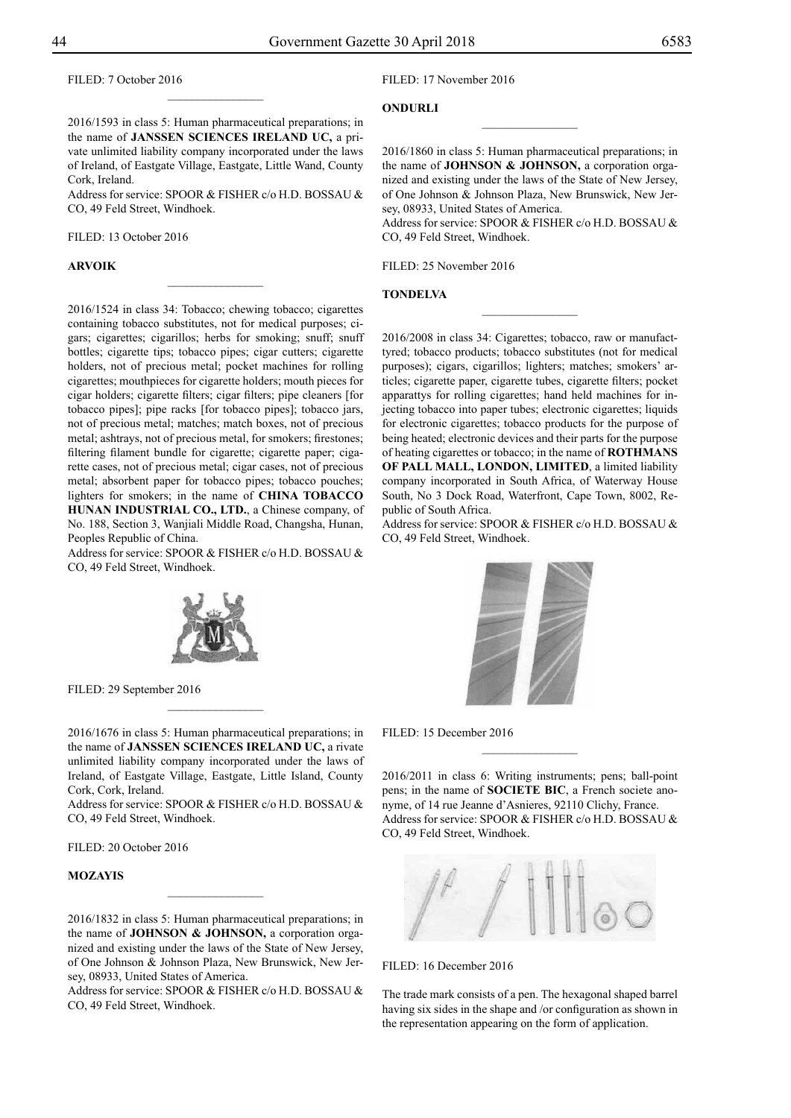Filed: 7 October 2016

Filed: 17 November 2016

### **ONDURLI**

2016/1593 in class 5: Human pharmaceutical preparations; in the name of **JANSSEN SCIENCES IRELAND UC,** a private unlimited liability company incorporated under the laws of Ireland, of Eastgate Village, Eastgate, Little Wand, County Cork, Ireland.

 $\frac{1}{2}$ 

Address for service: SPOOR & FISHER c/o H.D. BOSSAU & Co, 49 Feld Street, Windhoek.

 $\overline{\phantom{a}}$  , where  $\overline{\phantom{a}}$ 

Filed: 13 October 2016

#### **ARVOIK**

2016/1524 in class 34: Tobacco; chewing tobacco; cigarettes containing tobacco substitutes, not for medical purposes; cigars; cigarettes; cigarillos; herbs for smoking; snuff; snuff bottles; cigarette tips; tobacco pipes; cigar cutters; cigarette holders, not of precious metal; pocket machines for rolling cigarettes; mouthpieces for cigarette holders; mouth pieces for cigar holders; cigarette filters; cigar filters; pipe cleaners [for tobacco pipes]; pipe racks [for tobacco pipes]; tobacco jars, not of precious metal; matches; match boxes, not of precious metal; ashtrays, not of precious metal, for smokers; firestones; filtering filament bundle for cigarette; cigarette paper; cigarette cases, not of precious metal; cigar cases, not of precious metal; absorbent paper for tobacco pipes; tobacco pouches; lighters for smokers; in the name of **CHINA TOBACCO HUNAN INDUSTRIAL CO., LTD.**, a Chinese company, of No. 188, Section 3, Wanjiali Middle Road, Changsha, Hunan, Peoples Republic of China.

Address for service: SPOOR & FISHER c/o H.D. BOSSAU & Co, 49 Feld Street, Windhoek.



FILED: 29 September 2016

2016/1676 in class 5: Human pharmaceutical preparations; in the name of **JANSSEN SCIENCES IRELAND UC,** a rivate unlimited liability company incorporated under the laws of Ireland, of Eastgate Village, Eastgate, Little Island, County Cork, Cork, Ireland.

 $\frac{1}{2}$ 

Address for service: SPOOR & FISHER c/o H.D. BOSSAU & Co, 49 Feld Street, Windhoek.

Filed: 20 October 2016

#### **MOZAYIS**

2016/1832 in class 5: Human pharmaceutical preparations; in the name of **JOHNSON & JOHNSON,** a corporation organized and existing under the laws of the State of New Jersey, of One Johnson & Johnson Plaza, New Brunswick, New Jersey, 08933, United States of America.

Address for service: SPOOR & FISHER c/o H.D. BOSSAU & Co, 49 Feld Street, Windhoek.

2016/1860 in class 5: Human pharmaceutical preparations; in the name of **JOHNSON & JOHNSON,** a corporation organized and existing under the laws of the State of New Jersey, of One Johnson & Johnson Plaza, New Brunswick, New Jersey, 08933, United States of America.

 $\overline{\phantom{a}}$  , where  $\overline{\phantom{a}}$ 

Address for service: SPOOR & FISHER c/o H.D. BOSSAU & Co, 49 Feld Street, Windhoek.

 $\frac{1}{2}$ 

FILED: 25 November 2016

#### **TONDELVA**

2016/2008 in class 34: Cigarettes; tobacco, raw or manufacttyred; tobacco products; tobacco substitutes (not for medical purposes); cigars, cigarillos; lighters; matches; smokers' articles; cigarette paper, cigarette tubes, cigarette filters; pocket apparattys for rolling cigarettes; hand held machines for injecting tobacco into paper tubes; electronic cigarettes; liquids for electronic cigarettes; tobacco products for the purpose of being heated; electronic devices and their parts for the purpose of heating cigarettes or tobacco; in the name of **ROTHMANS OF PALL MALL, LONDON, LIMITED**, a limited liability company incorporated in South Africa, of Waterway House South, No 3 Dock Road, Waterfront, Cape Town, 8002, Republic of South Africa.

Address for service: SPOOR & FISHER c/o H.D. BOSSAU & Co, 49 Feld Street, Windhoek.



FILED: 15 December 2016

2016/2011 in class 6: Writing instruments; pens; ball-point pens; in the name of **SOCIETE BIC**, a French societe anonyme, of 14 rue Jeanne d'Asnieres, 92110 Clichy, France. Address for service: SPOOR & FISHER c/o H.D. BOSSAU & Co, 49 Feld Street, Windhoek.

 $\frac{1}{2}$ 



Filed: 16 December 2016

The trade mark consists of a pen. The hexagonal shaped barrel having six sides in the shape and /or configuration as shown in the representation appearing on the form of application.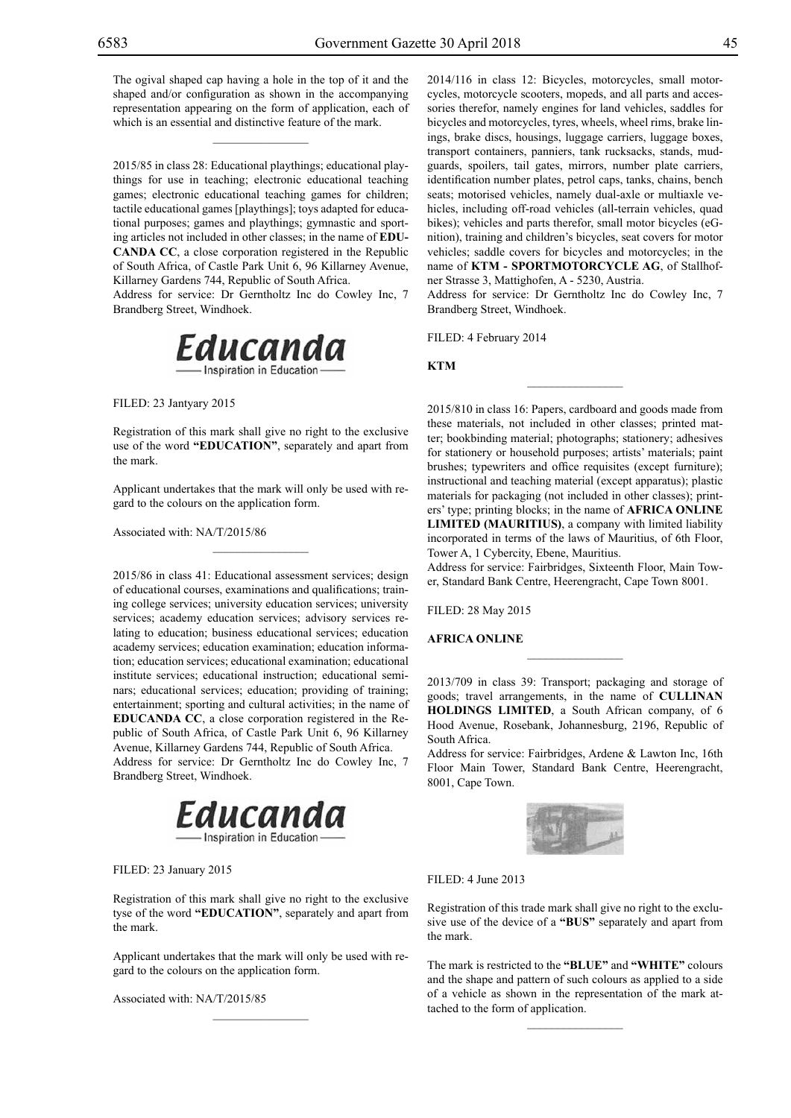The ogival shaped cap having a hole in the top of it and the shaped and/or configuration as shown in the accompanying representation appearing on the form of application, each of which is an essential and distinctive feature of the mark.

 $\overline{\phantom{a}}$  , where  $\overline{\phantom{a}}$ 

2015/85 in class 28: Educational playthings; educational playthings for use in teaching; electronic educational teaching games; electronic educational teaching games for children; tactile educational games [playthings]; toys adapted for educational purposes; games and playthings; gymnastic and sporting articles not included in other classes; in the name of **EDU-CANDA CC**, a close corporation registered in the Republic of South Africa, of Castle Park Unit 6, 96 Killarney Avenue, Killarney Gardens 744, Republic of South Africa.

Address for service: Dr Gerntholtz Inc do Cowley Inc, 7 Brandberg Street, Windhoek.



Filed: 23 Jantyary 2015

Registration of this mark shall give no right to the exclusive use of the word **"EDUCATION"**, separately and apart from the mark.

Applicant undertakes that the mark will only be used with regard to the colours on the application form.

 $\mathcal{L}=\mathcal{L}^{\text{max}}$ 

Associated with: NA/T/2015/86

2015/86 in class 41: Educational assessment services; design of educational courses, examinations and qualifications; training college services; university education services; university services; academy education services; advisory services relating to education; business educational services; education academy services; education examination; education information; education services; educational examination; educational institute services; educational instruction; educational seminars; educational services; education; providing of training; entertainment; sporting and cultural activities; in the name of **EDUCANDA CC**, a close corporation registered in the Republic of South Africa, of Castle Park Unit 6, 96 Killarney Avenue, Killarney Gardens 744, Republic of South Africa. Address for service: Dr Gerntholtz Inc do Cowley Inc, 7 Brandberg Street, Windhoek.



FILED: 23 January 2015

Registration of this mark shall give no right to the exclusive tyse of the word **"EDUCATION"**, separately and apart from the mark.

Applicant undertakes that the mark will only be used with regard to the colours on the application form.

 $\mathcal{L}=\mathcal{L}^{\text{max}}$ 

Associated with: NA/T/2015/85

2014/116 in class 12: Bicycles, motorcycles, small motorcycles, motorcycle scooters, mopeds, and all parts and accessories therefor, namely engines for land vehicles, saddles for bicycles and motorcycles, tyres, wheels, wheel rims, brake linings, brake discs, housings, luggage carriers, luggage boxes, transport containers, panniers, tank rucksacks, stands, mudguards, spoilers, tail gates, mirrors, number plate carriers, identification number plates, petrol caps, tanks, chains, bench seats; motorised vehicles, namely dual-axle or multiaxle vehicles, including off-road vehicles (all-terrain vehicles, quad bikes); vehicles and parts therefor, small motor bicycles (eGnition), training and children's bicycles, seat covers for motor vehicles; saddle covers for bicycles and motorcycles; in the name of **KTM - SPORTMOTORCYCLE AG**, of Stallhofner Strasse 3, Mattighofen, A - 5230, Austria.

Address for service: Dr Gerntholtz Inc do Cowley Inc, 7 Brandberg Street, Windhoek.

 $\frac{1}{2}$ 

Filed: 4 February 2014

**KTM**

2015/810 in class 16: Papers, cardboard and goods made from these materials, not included in other classes; printed matter; bookbinding material; photographs; stationery; adhesives for stationery or household purposes; artists' materials; paint brushes; typewriters and office requisites (except furniture); instructional and teaching material (except apparatus); plastic materials for packaging (not included in other classes); printers' type; printing blocks; in the name of **AFRICA ONLINE LIMITED (MAURITIUS)**, a company with limited liability incorporated in terms of the laws of Mauritius, of 6th Floor, Tower A, 1 Cybercity, Ebene, Mauritius.

Address for service: Fairbridges, Sixteenth Floor, Main Tower, Standard Bank Centre, Heerengracht, Cape Town 8001.

Filed: 28 May 2015

#### **AFRICA ONLINE**

2013/709 in class 39: Transport; packaging and storage of goods; travel arrangements, in the name of **CULLINAN HOLDINGS LIMITED**, a South African company, of 6 Hood Avenue, Rosebank, Johannesburg, 2196, Republic of South Africa.

 $\overline{\phantom{a}}$  , we can also the set of  $\overline{\phantom{a}}$ 

Address for service: Fairbridges, Ardene & Lawton Inc, 16th Floor Main Tower, Standard Bank Centre, Heerengracht, 8001, Cape Town.



FILED: 4 June 2013

Registration of this trade mark shall give no right to the exclusive use of the device of a **"BUS"** separately and apart from the mark.

The mark is restricted to the "BLUE" and "WHITE" colours and the shape and pattern of such colours as applied to a side of a vehicle as shown in the representation of the mark attached to the form of application.

 $\overline{\phantom{a}}$  , we can also the set of  $\overline{\phantom{a}}$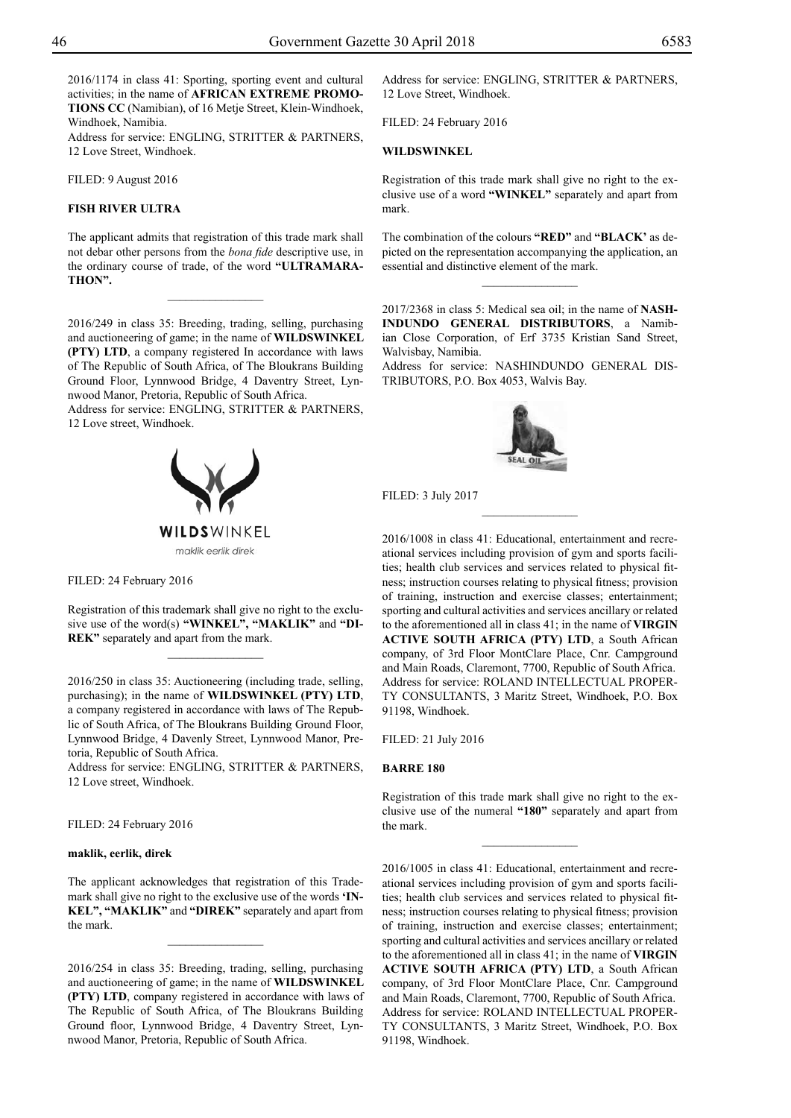2016/1174 in class 41: Sporting, sporting event and cultural activities; in the name of **AFRICAN EXTREME PROMO-TIONS CC** (Namibian), of 16 Metje Street, Klein-Windhoek, Windhoek, Namibia.

Address for service: ENGLING, STRITTER & PARTNERS, 12 Love Street, Windhoek.

Filed: 9 August 2016

### **FISH RIVER ULTRA**

The applicant admits that registration of this trade mark shall not debar other persons from the *bona fide* descriptive use, in the ordinary course of trade, of the word **"ULTRAMARA-THON".**

 $\frac{1}{2}$ 

2016/249 in class 35: Breeding, trading, selling, purchasing and auctioneering of game; in the name of **WILDSWINKEL (PTY) LTD**, a company registered In accordance with laws of The Republic of South Africa, of The Bloukrans Building Ground Floor, Lynnwood Bridge, 4 Daventry Street, Lynnwood Manor, Pretoria, Republic of South Africa.

Address for service: ENGLING, STRITTER & PARTNERS, 12 Love street, Windhoek.



FILED: 24 February 2016

Registration of this trademark shall give no right to the exclusive use of the word(s) **"WINKEL", "MAKLIK"** and **"DI-REK"** separately and apart from the mark.

2016/250 in class 35: Auctioneering (including trade, selling, purchasing); in the name of **WILDSWINKEL (PTY) LTD**, a company registered in accordance with laws of The Republic of South Africa, of The Bloukrans Building Ground Floor, Lynnwood Bridge, 4 Davenly Street, Lynnwood Manor, Pretoria, Republic of South Africa.

Address for service: ENGLING, STRITTER & PARTNERS, 12 Love street, Windhoek.

Filed: 24 February 2016

#### **maklik, eerlik, direk**

The applicant acknowledges that registration of this Trademark shall give no right to the exclusive use of the words **'IN-KEL", "MAKLIK"** and **"DIREK"** separately and apart from the mark.

2016/254 in class 35: Breeding, trading, selling, purchasing and auctioneering of game; in the name of **WILDSWINKEL (PTY) LTD**, company registered in accordance with laws of The Republic of South Africa, of The Bloukrans Building Ground floor, Lynnwood Bridge, 4 Daventry Street, Lynnwood Manor, Pretoria, Republic of South Africa.

Address for service: ENGLING, STRITTER & PARTNERS, 12 Love Street, Windhoek.

Filed: 24 February 2016

#### **WILDSWINKEL**

Registration of this trade mark shall give no right to the exclusive use of a word **"WINKEL"** separately and apart from mark.

The combination of the colours **"RED"** and **"BLACK'** as depicted on the representation accompanying the application, an essential and distinctive element of the mark.

 $\overline{\phantom{a}}$  , where  $\overline{\phantom{a}}$ 

2017/2368 in class 5: Medical sea oil; in the name of **NASH-INDUNDO GENERAL DISTRIBUTORS**, a Namibian Close Corporation, of Erf 3735 Kristian Sand Street, Walvisbay, Namibia.

Address for service: NASHINDUNDO GENERAL DIS-TRIBUTORS, P.O. Box 4053, Walvis Bay.



 $\frac{1}{2}$ 

Filed: 3 July 2017

2016/1008 in class 41: Educational, entertainment and recreational services including provision of gym and sports facilities; health club services and services related to physical fitness; instruction courses relating to physical fitness; provision of training, instruction and exercise classes; entertainment; sporting and cultural activities and services ancillary or related to the aforementioned all in class 41; in the name of **VIRGIN ACTIVE SOUTH AFRICA (PTY) LTD**, a South African company, of 3rd Floor MontClare Place, Cnr. Campground and Main Roads, Claremont, 7700, Republic of South Africa. Address for service: ROLAND INTELLECTUAL PROPERty Consultants, 3 Maritz Street, Windhoek, P.O. Box 91198, Windhoek.

Filed: 21 July 2016

#### **BARRE 180**

Registration of this trade mark shall give no right to the exclusive use of the numeral **"180"** separately and apart from the mark.

 $\frac{1}{2}$ 

2016/1005 in class 41: Educational, entertainment and recreational services including provision of gym and sports facilities; health club services and services related to physical fitness; instruction courses relating to physical fitness; provision of training, instruction and exercise classes; entertainment; sporting and cultural activities and services ancillary or related to the aforementioned all in class 41; in the name of **VIRGIN ACTIVE SOUTH AFRICA (PTY) LTD**, a South African company, of 3rd Floor MontClare Place, Cnr. Campground and Main Roads, Claremont, 7700, Republic of South Africa. Address for service: ROLAND INTELLECTUAL PROPER-TY CONSULTANTS, 3 Maritz Street, Windhoek, P.O. Box 91198, Windhoek.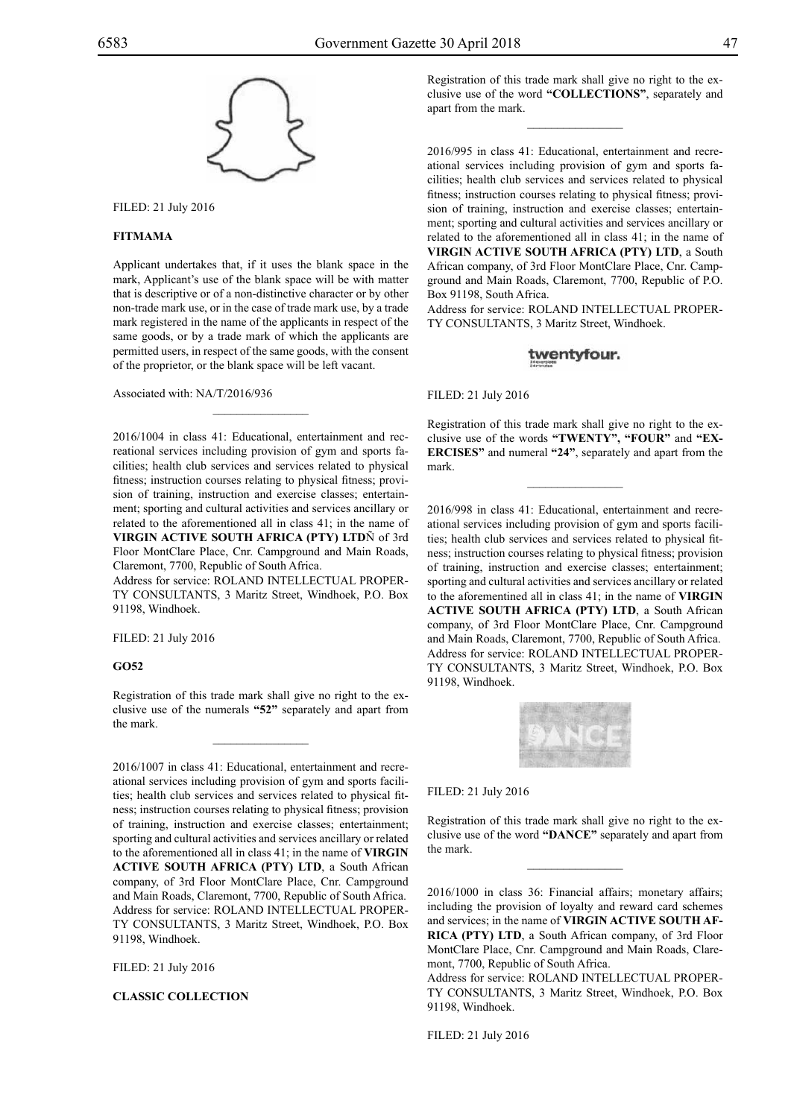

Filed: 21 July 2016

#### **FITMAMA**

Applicant undertakes that, if it uses the blank space in the mark, Applicant's use of the blank space will be with matter that is descriptive or of a non-distinctive character or by other non-trade mark use, or in the case of trade mark use, by a trade mark registered in the name of the applicants in respect of the same goods, or by a trade mark of which the applicants are permitted users, in respect of the same goods, with the consent of the proprietor, or the blank space will be left vacant.

Associated with: NA/T/2016/936

2016/1004 in class 41: Educational, entertainment and recreational services including provision of gym and sports facilities; health club services and services related to physical fitness; instruction courses relating to physical fitness; provision of training, instruction and exercise classes; entertainment; sporting and cultural activities and services ancillary or related to the aforementioned all in class 41; in the name of **VIRGIN ACTIVE SOUTH AFRICA (PTY) LTD**Ñ of 3rd Floor MontClare Place, Cnr. Campground and Main Roads, Claremont, 7700, Republic of South Africa.

 $\overline{\phantom{a}}$  , where  $\overline{\phantom{a}}$ 

Address for service: ROLAND INTELLECTUAL PROPERty Consultants, 3 Maritz Street, Windhoek, P.O. Box 91198, Windhoek.

Filed: 21 July 2016

#### **GO52**

Registration of this trade mark shall give no right to the exclusive use of the numerals **"52"** separately and apart from the mark.

2016/1007 in class 41: Educational, entertainment and recreational services including provision of gym and sports facilities; health club services and services related to physical fitness; instruction courses relating to physical fitness; provision of training, instruction and exercise classes; entertainment; sporting and cultural activities and services ancillary or related to the aforementioned all in class 41; in the name of **VIRGIN ACTIVE SOUTH AFRICA (PTY) LTD**, a South African company, of 3rd Floor MontClare Place, Cnr. Campground and Main Roads, Claremont, 7700, Republic of South Africa. Address for service: ROLAND INTELLECTUAL PROPERty Consultants, 3 Maritz Street, Windhoek, P.O. Box 91198, Windhoek.

Filed: 21 July 2016

**CLASSIC COLLECTION**

Registration of this trade mark shall give no right to the exclusive use of the word **"COLLECTIONS"**, separately and apart from the mark.

 $\overline{\phantom{a}}$  , where  $\overline{\phantom{a}}$ 

2016/995 in class 41: Educational, entertainment and recreational services including provision of gym and sports facilities; health club services and services related to physical fitness; instruction courses relating to physical fitness; provision of training, instruction and exercise classes; entertainment; sporting and cultural activities and services ancillary or related to the aforementioned all in class 41; in the name of **VIRGIN ACTIVE SOUTH AFRICA (PTY) LTD**, a South African company, of 3rd Floor MontClare Place, Cnr. Campground and Main Roads, Claremont, 7700, Republic of P.O. Box 91198, South Africa.

Address for service: ROLAND INTELLECTUAL PROPER-TY CONSULTANTS, 3 Maritz Street, Windhoek.

### twentyfour.

Filed: 21 July 2016

Registration of this trade mark shall give no right to the exclusive use of the words **"TWENTY", "FOUR"** and **"EX-ERCISES"** and numeral **"24"**, separately and apart from the mark.

 $\frac{1}{2}$ 

2016/998 in class 41: Educational, entertainment and recreational services including provision of gym and sports facilities; health club services and services related to physical fitness; instruction courses relating to physical fitness; provision of training, instruction and exercise classes; entertainment; sporting and cultural activities and services ancillary or related to the aforementined all in class 41; in the name of **VIRGIN ACTIVE SOUTH AFRICA (PTY) LTD**, a South African company, of 3rd Floor MontClare Place, Cnr. Campground and Main Roads, Claremont, 7700, Republic of South Africa. Address for service: ROLAND INTELLECTUAL PROPER-TY CONSULTANTS, 3 Maritz Street, Windhoek, P.O. Box 91198, Windhoek.



#### Filed: 21 July 2016

Registration of this trade mark shall give no right to the exclusive use of the word **"DANCE"** separately and apart from the mark.

 $\frac{1}{2}$ 

2016/1000 in class 36: Financial affairs; monetary affairs; including the provision of loyalty and reward card schemes and services; in the name of **VIRGIN ACTIVE SOUTH AF-RICA (PTY) LTD**, a South African company, of 3rd Floor MontClare Place, Cnr. Campground and Main Roads, Claremont, 7700, Republic of South Africa.

Address for service: ROLAND INTELLECTUAL PROPER-TY CONSULTANTS, 3 Maritz Street, Windhoek, P.O. Box 91198, Windhoek.

Filed: 21 July 2016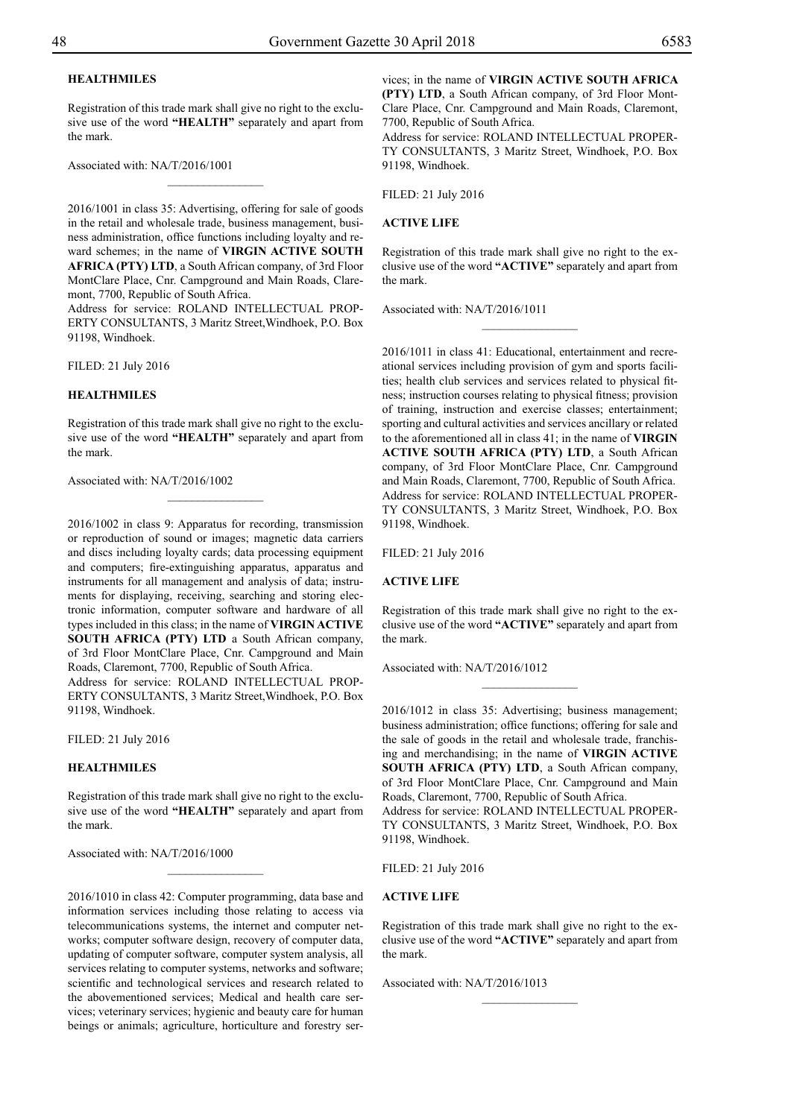# **HEALTHMILES**

Registration of this trade mark shall give no right to the exclusive use of the word **"HEALTH"** separately and apart from the mark.

 $\overline{\phantom{a}}$  , where  $\overline{\phantom{a}}$ 

Associated with: NA/T/2016/1001

2016/1001 in class 35: Advertising, offering for sale of goods in the retail and wholesale trade, business management, business administration, office functions including loyalty and reward schemes; in the name of **VIRGIN ACTIVE SOUTH AFRICA (PTY) LTD**, a South African company, of 3rd Floor MontClare Place, Cnr. Campground and Main Roads, Claremont, 7700, Republic of South Africa.

Address for service: ROLAND INTELLECTUAL PROP-ERTY CONSULTANTS, 3 Maritz Street, Windhoek, P.O. Box 91198, Windhoek.

Filed: 21 July 2016

#### **HEALTHMILES**

Registration of this trade mark shall give no right to the exclusive use of the word **"HEALTH"** separately and apart from the mark.

Associated with: NA/T/2016/1002

2016/1002 in class 9: Apparatus for recording, transmission or reproduction of sound or images; magnetic data carriers and discs including loyalty cards; data processing equipment and computers; fire-extinguishing apparatus, apparatus and instruments for all management and analysis of data; instruments for displaying, receiving, searching and storing electronic information, computer software and hardware of all types included in this class; in the name of **VIRGIN ACTIVE SOUTH AFRICA (PTY) LTD** a South African company, of 3rd Floor MontClare Place, Cnr. Campground and Main Roads, Claremont, 7700, Republic of South Africa.

Address for service: ROLAND INTELLECTUAL PROP-ERTY CONSULTANTS, 3 Maritz Street, Windhoek, P.O. Box 91198, Windhoek.

Filed: 21 July 2016

#### **HEALTHMILES**

Registration of this trade mark shall give no right to the exclusive use of the word **"HEALTH"** separately and apart from the mark.

 $\frac{1}{2}$ 

Associated with: NA/T/2016/1000

2016/1010 in class 42: Computer programming, data base and information services including those relating to access via telecommunications systems, the internet and computer networks; computer software design, recovery of computer data, updating of computer software, computer system analysis, all services relating to computer systems, networks and software; scientific and technological services and research related to the abovementioned services; Medical and health care services; veterinary services; hygienic and beauty care for human beings or animals; agriculture, horticulture and forestry services; in the name of **VIRGIN ACTIVE SOUTH AFRICA (PTY) LTD**, a South African company, of 3rd Floor Mont-Clare Place, Cnr. Campground and Main Roads, Claremont, 7700, Republic of South Africa.

Address for service: ROLAND INTELLECTUAL PROPER-TY CONSULTANTS, 3 Maritz Street, Windhoek, P.O. Box 91198, Windhoek.

Filed: 21 July 2016

#### **ACTIVE LIFE**

Registration of this trade mark shall give no right to the exclusive use of the word **"ACTIVE"** separately and apart from the mark.

 $\frac{1}{2}$ 

Associated with: NA/T/2016/1011

2016/1011 in class 41: Educational, entertainment and recreational services including provision of gym and sports facilities; health club services and services related to physical fitness; instruction courses relating to physical fitness; provision of training, instruction and exercise classes; entertainment; sporting and cultural activities and services ancillary or related to the aforementioned all in class 41; in the name of **VIRGIN ACTIVE SOUTH AFRICA (PTY) LTD**, a South African company, of 3rd Floor MontClare Place, Cnr. Campground and Main Roads, Claremont, 7700, Republic of South Africa. Address for service: ROLAND INTELLECTUAL PROPER-TY CONSULTANTS, 3 Maritz Street, Windhoek, P.O. Box 91198, Windhoek.

Filed: 21 July 2016

#### **ACTIVE LIFE**

Registration of this trade mark shall give no right to the exclusive use of the word **"ACTIVE"** separately and apart from the mark.

 $\frac{1}{2}$ 

Associated with: NA/T/2016/1012

2016/1012 in class 35: Advertising; business management; business administration; office functions; offering for sale and the sale of goods in the retail and wholesale trade, franchising and merchandising; in the name of **VIRGIN ACTIVE SOUTH AFRICA (PTY) LTD, a South African company,** of 3rd Floor MontClare Place, Cnr. Campground and Main Roads, Claremont, 7700, Republic of South Africa. Address for service: ROLAND INTELLECTUAL PROPER-TY CONSULTANTS, 3 Maritz Street, Windhoek, P.O. Box 91198, Windhoek.

Filed: 21 July 2016

#### **ACTIVE LIFE**

Registration of this trade mark shall give no right to the exclusive use of the word **"ACTIVE"** separately and apart from the mark.

 $\frac{1}{2}$ 

Associated with: NA/T/2016/1013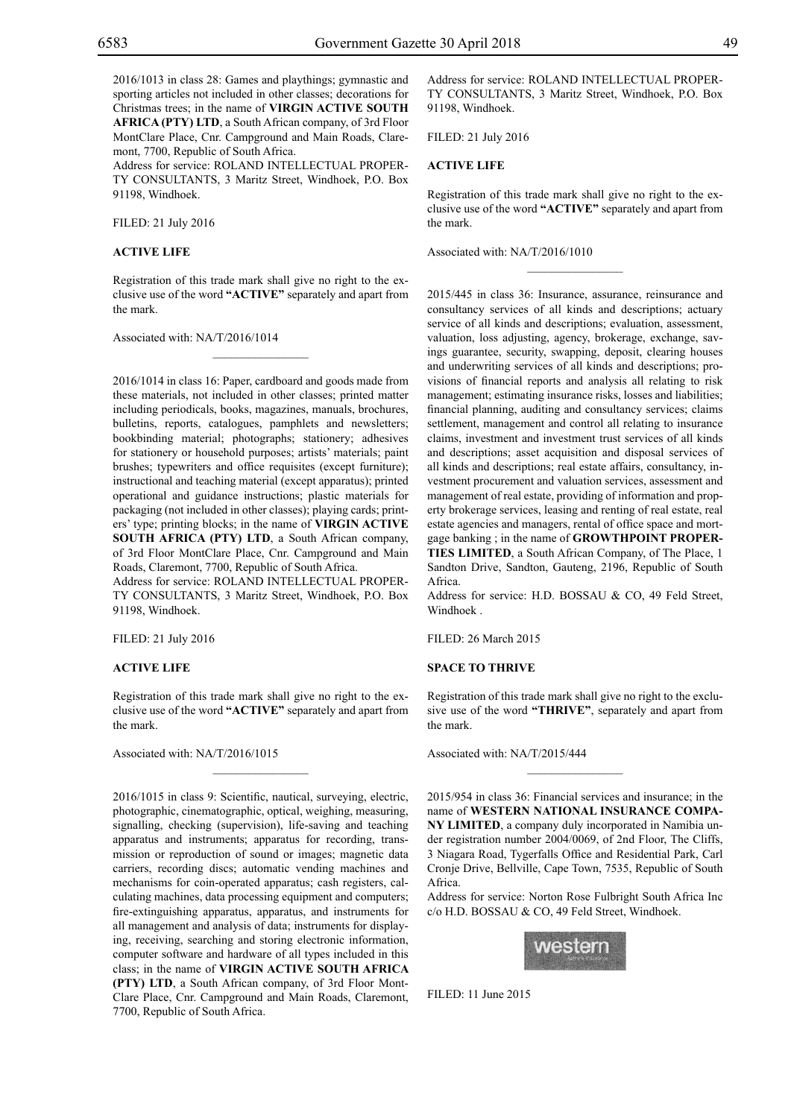2016/1013 in class 28: Games and playthings; gymnastic and sporting articles not included in other classes; decorations for Christmas trees; in the name of **VIRGIN ACTIVE SOUTH AFRICA (PTY) LTD**, a South African company, of 3rd Floor MontClare Place, Cnr. Campground and Main Roads, Claremont, 7700, Republic of South Africa.

Address for service: ROLAND INTELLECTUAL PROPERty Consultants, 3 Maritz Street, Windhoek, P.O. Box 91198, Windhoek.

Filed: 21 July 2016

#### **ACTIVE LIFE**

Registration of this trade mark shall give no right to the exclusive use of the word **"ACTIVE"** separately and apart from the mark.

 $\overline{\phantom{a}}$  , where  $\overline{\phantom{a}}$ 

Associated with: NA/T/2016/1014

2016/1014 in class 16: Paper, cardboard and goods made from these materials, not included in other classes; printed matter including periodicals, books, magazines, manuals, brochures, bulletins, reports, catalogues, pamphlets and newsletters; bookbinding material; photographs; stationery; adhesives for stationery or household purposes; artists' materials; paint brushes; typewriters and office requisites (except furniture); instructional and teaching material (except apparatus); printed operational and guidance instructions; plastic materials for packaging (not included in other classes); playing cards; printers' type; printing blocks; in the name of **VIRGIN ACTIVE SOUTH AFRICA (PTY) LTD**, a South African company, of 3rd Floor MontClare Place, Cnr. Campground and Main Roads, Claremont, 7700, Republic of South Africa.

Address for service: ROLAND INTELLECTUAL PROPERty Consultants, 3 Maritz Street, Windhoek, P.O. Box 91198, Windhoek.

Filed: 21 July 2016

#### **ACTIVE LIFE**

Registration of this trade mark shall give no right to the exclusive use of the word **"ACTIVE"** separately and apart from the mark.

 $\frac{1}{2}$ 

Associated with: NA/T/2016/1015

2016/1015 in class 9: Scientific, nautical, surveying, electric, photographic, cinematographic, optical, weighing, measuring, signalling, checking (supervision), life-saving and teaching apparatus and instruments; apparatus for recording, transmission or reproduction of sound or images; magnetic data carriers, recording discs; automatic vending machines and mechanisms for coin-operated apparatus; cash registers, calculating machines, data processing equipment and computers; fire-extinguishing apparatus, apparatus, and instruments for all management and analysis of data; instruments for displaying, receiving, searching and storing electronic information, computer software and hardware of all types included in this class; in the name of **VIRGIN ACTIVE SOUTH AFRICA (PTY) LTD**, a South African company, of 3rd Floor Mont-Clare Place, Cnr. Campground and Main Roads, Claremont, 7700, Republic of South Africa.

Address for service: ROLAND INTELLECTUAL PROPERty Consultants, 3 Maritz Street, Windhoek, P.O. Box 91198, Windhoek.

Filed: 21 July 2016

#### **ACTIVE LIFE**

Registration of this trade mark shall give no right to the exclusive use of the word **"ACTIVE"** separately and apart from the mark.

 $\overline{\phantom{a}}$  , we can also the contract of  $\overline{\phantom{a}}$ 

Associated with: NA/T/2016/1010

2015/445 in class 36: Insurance, assurance, reinsurance and consultancy services of all kinds and descriptions; actuary service of all kinds and descriptions; evaluation, assessment, valuation, loss adjusting, agency, brokerage, exchange, savings guarantee, security, swapping, deposit, clearing houses and underwriting services of all kinds and descriptions; provisions of financial reports and analysis all relating to risk management; estimating insurance risks, losses and liabilities; financial planning, auditing and consultancy services; claims settlement, management and control all relating to insurance claims, investment and investment trust services of all kinds and descriptions; asset acquisition and disposal services of all kinds and descriptions; real estate affairs, consultancy, investment procurement and valuation services, assessment and management of real estate, providing of information and property brokerage services, leasing and renting of real estate, real estate agencies and managers, rental of office space and mortgage banking ; in the name of **GROWTHPOINT PROPER-TIES LIMITED**, a South African Company, of The Place, 1 Sandton Drive, Sandton, Gauteng, 2196, Republic of South Africa.

Address for service: H.D. BOSSAU & CO, 49 Feld Street, Windhoek .

Filed: 26 March 2015

#### **SPACE TO THRIVE**

Registration of this trade mark shall give no right to the exclusive use of the word **"THRIVE"**, separately and apart from the mark.

 $\frac{1}{2}$ 

Associated with: NA/T/2015/444

2015/954 in class 36: Financial services and insurance; in the name of **WESTERN NATIONAL INSURANCE COMPA-NY LIMITED**, a company duly incorporated in Namibia under registration number 2004/0069, of 2nd Floor, The Cliffs, 3 Niagara Road, Tygerfalls Office and Residential Park, Carl Cronje Drive, Bellville, Cape Town, 7535, Republic of South Africa.

Address for service: Norton Rose Fulbright South Africa Inc c/o H.D. BOSSAU & CO, 49 Feld Street, Windhoek.



Filed: 11 June 2015